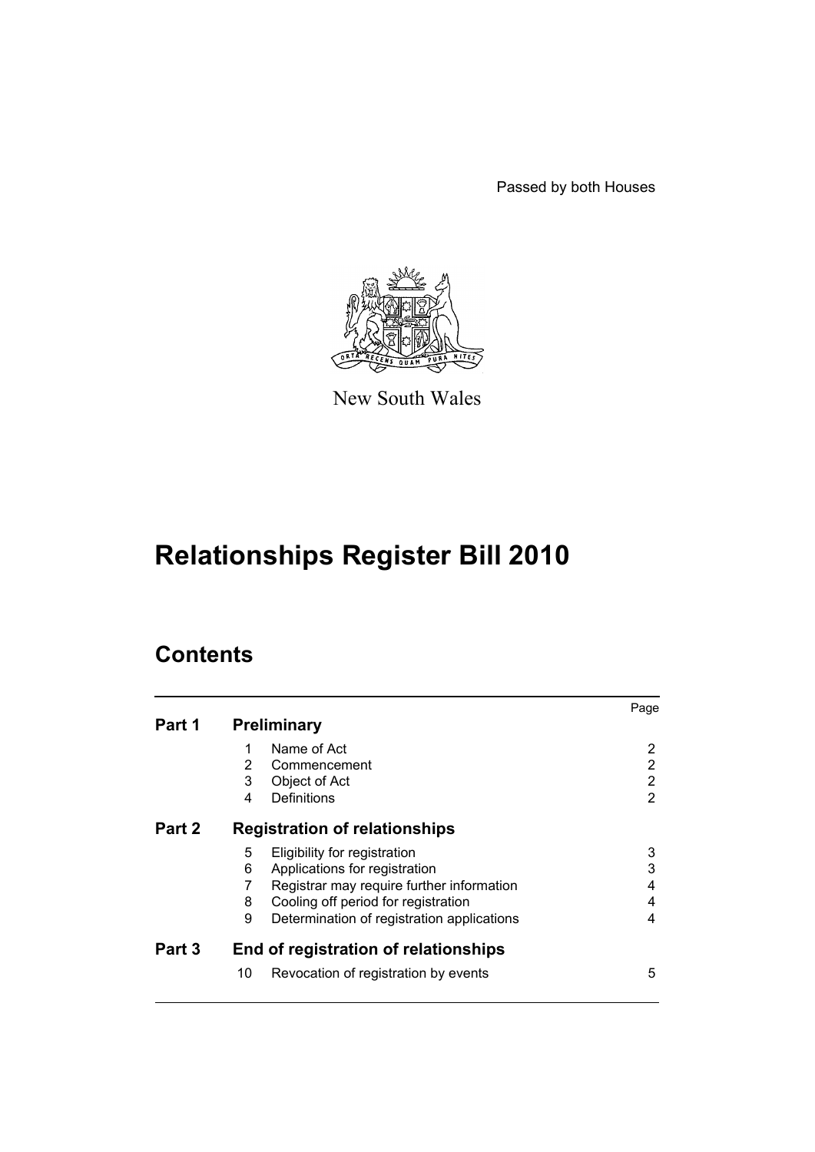Passed by both Houses



New South Wales

# **Relationships Register Bill 2010**

# **Contents**

|        |                                                 | Page |  |
|--------|-------------------------------------------------|------|--|
| Part 1 | <b>Preliminary</b>                              |      |  |
|        | 1<br>Name of Act                                | 2    |  |
|        | 2<br>Commencement                               | 2    |  |
|        | 3<br>Object of Act                              | 2    |  |
|        | Definitions<br>4                                | 2    |  |
| Part 2 | <b>Registration of relationships</b>            |      |  |
|        | 5<br>Eligibility for registration               | 3    |  |
|        | 6<br>Applications for registration              | 3    |  |
|        | Registrar may require further information       | 4    |  |
|        | Cooling off period for registration<br>8        | 4    |  |
|        | 9<br>Determination of registration applications | 4    |  |
| Part 3 | End of registration of relationships            |      |  |
|        | 10<br>Revocation of registration by events      | 5    |  |
|        |                                                 |      |  |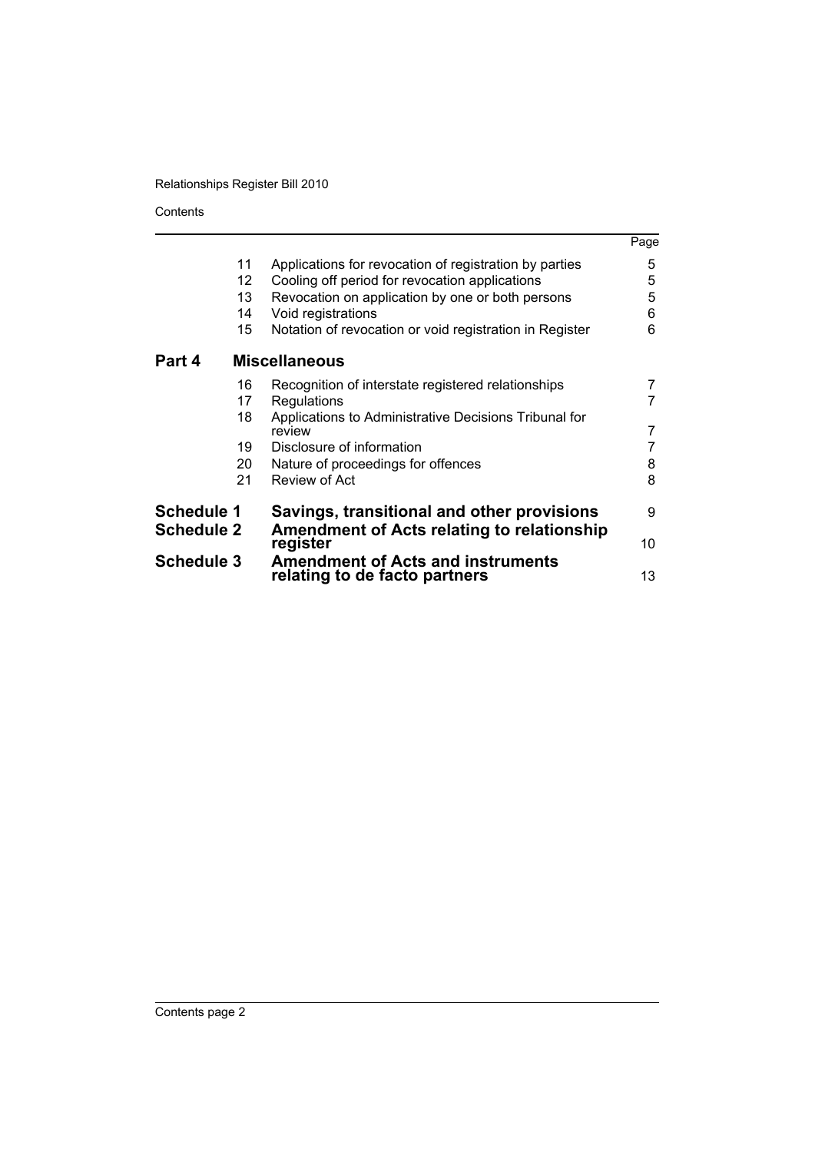Contents

|                                        |    |                                                                                                 | Page |
|----------------------------------------|----|-------------------------------------------------------------------------------------------------|------|
|                                        | 11 | Applications for revocation of registration by parties                                          | 5    |
|                                        | 12 | Cooling off period for revocation applications                                                  | 5    |
|                                        | 13 | Revocation on application by one or both persons                                                | 5    |
|                                        | 14 | Void registrations                                                                              | 6    |
|                                        | 15 | Notation of revocation or void registration in Register                                         | 6    |
| Part 4                                 |    | <b>Miscellaneous</b>                                                                            |      |
|                                        | 16 | Recognition of interstate registered relationships                                              |      |
|                                        | 17 | Regulations                                                                                     |      |
|                                        | 18 | Applications to Administrative Decisions Tribunal for<br>review                                 | 7    |
|                                        | 19 | Disclosure of information                                                                       |      |
|                                        | 20 | Nature of proceedings for offences                                                              | 8    |
|                                        | 21 | Review of Act                                                                                   | 8    |
| <b>Schedule 1</b><br><b>Schedule 2</b> |    | Savings, transitional and other provisions<br><b>Amendment of Acts relating to relationship</b> | 9    |
|                                        |    | register                                                                                        |      |
| <b>Schedule 3</b>                      |    | <b>Amendment of Acts and instruments</b><br>relating to de facto partners                       | 13   |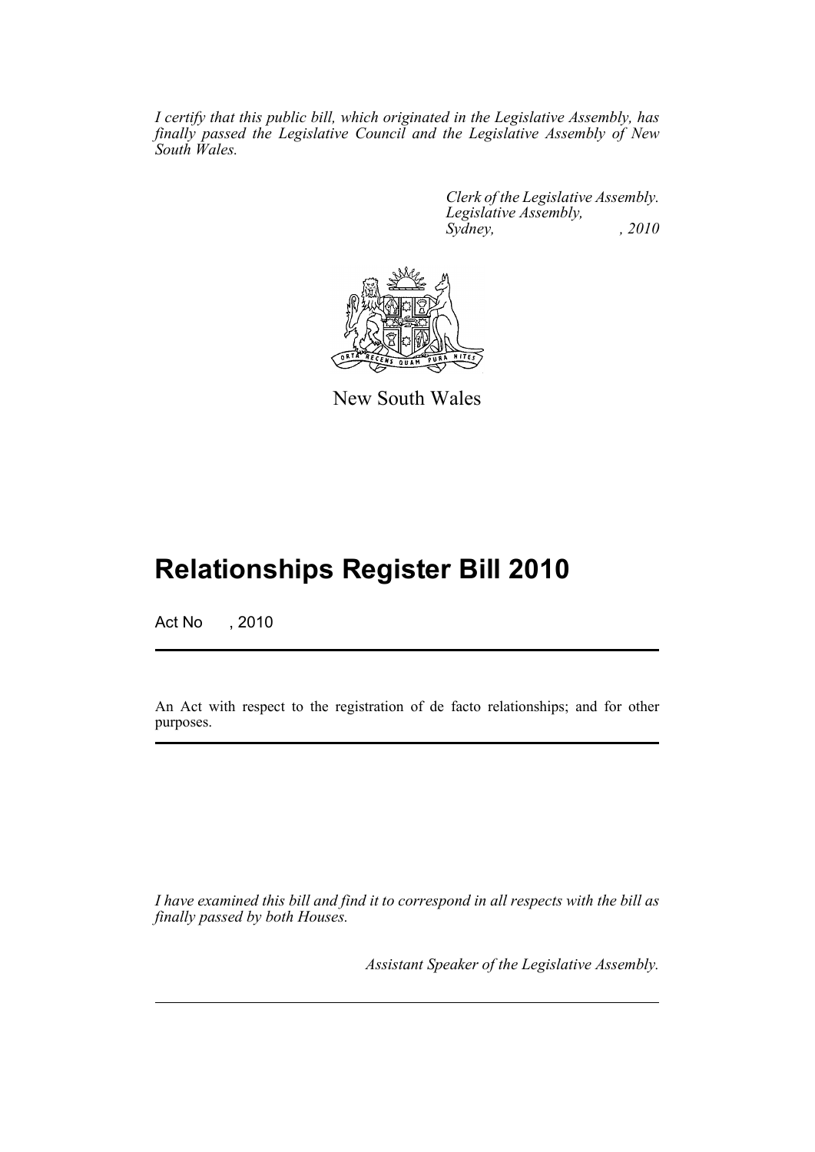*I certify that this public bill, which originated in the Legislative Assembly, has finally passed the Legislative Council and the Legislative Assembly of New South Wales.*

> *Clerk of the Legislative Assembly. Legislative Assembly, Sydney, , 2010*



New South Wales

# **Relationships Register Bill 2010**

Act No , 2010

An Act with respect to the registration of de facto relationships; and for other purposes.

*I have examined this bill and find it to correspond in all respects with the bill as finally passed by both Houses.*

*Assistant Speaker of the Legislative Assembly.*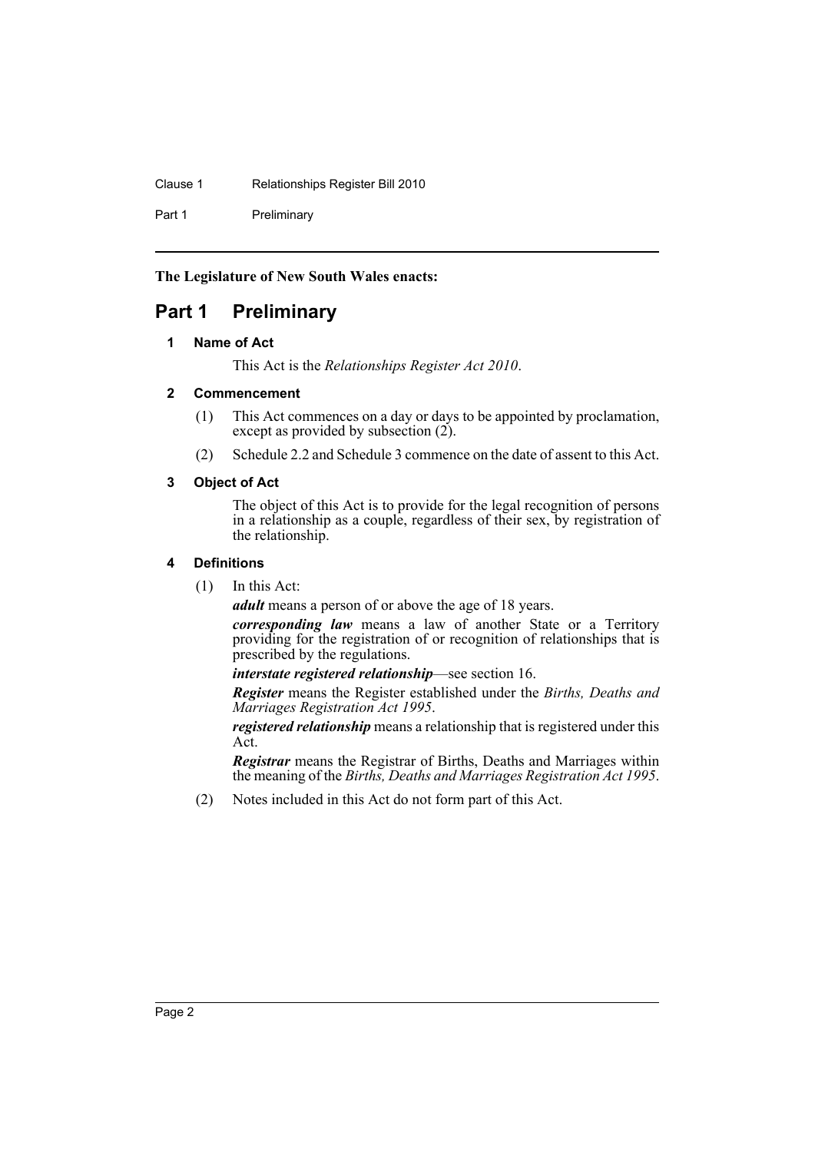Clause 1 Relationships Register Bill 2010

Part 1 Preliminary

**The Legislature of New South Wales enacts:**

# <span id="page-3-1"></span><span id="page-3-0"></span>**Part 1 Preliminary**

## **1 Name of Act**

This Act is the *Relationships Register Act 2010*.

## <span id="page-3-2"></span>**2 Commencement**

- (1) This Act commences on a day or days to be appointed by proclamation, except as provided by subsection  $(2)$ .
- (2) Schedule 2.2 and Schedule 3 commence on the date of assent to this Act.

## <span id="page-3-3"></span>**3 Object of Act**

The object of this Act is to provide for the legal recognition of persons in a relationship as a couple, regardless of their sex, by registration of the relationship.

## <span id="page-3-4"></span>**4 Definitions**

(1) In this Act:

*adult* means a person of or above the age of 18 years.

*corresponding law* means a law of another State or a Territory providing for the registration of or recognition of relationships that is prescribed by the regulations.

*interstate registered relationship*—see section 16.

*Register* means the Register established under the *Births, Deaths and Marriages Registration Act 1995*.

*registered relationship* means a relationship that is registered under this Act.

*Registrar* means the Registrar of Births, Deaths and Marriages within the meaning of the *Births, Deaths and Marriages Registration Act 1995*.

(2) Notes included in this Act do not form part of this Act.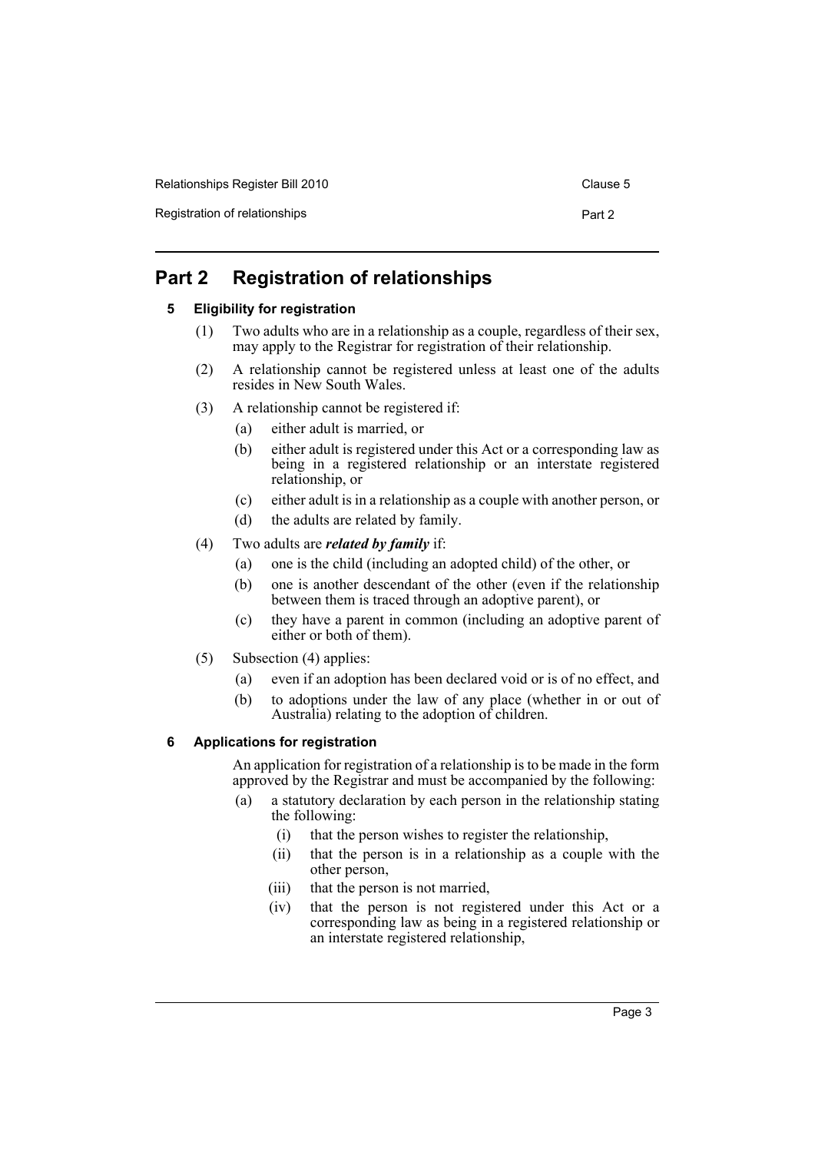| Relationships Register Bill 2010 | Clause 5 |
|----------------------------------|----------|
| Registration of relationships    | Part 2   |

# <span id="page-4-1"></span><span id="page-4-0"></span>**Part 2 Registration of relationships**

## **5 Eligibility for registration**

- (1) Two adults who are in a relationship as a couple, regardless of their sex, may apply to the Registrar for registration of their relationship.
- (2) A relationship cannot be registered unless at least one of the adults resides in New South Wales.
- (3) A relationship cannot be registered if:
	- (a) either adult is married, or
	- (b) either adult is registered under this Act or a corresponding law as being in a registered relationship or an interstate registered relationship, or
	- (c) either adult is in a relationship as a couple with another person, or
	- (d) the adults are related by family.
- (4) Two adults are *related by family* if:
	- (a) one is the child (including an adopted child) of the other, or
	- (b) one is another descendant of the other (even if the relationship between them is traced through an adoptive parent), or
	- (c) they have a parent in common (including an adoptive parent of either or both of them).
- (5) Subsection (4) applies:
	- (a) even if an adoption has been declared void or is of no effect, and
	- (b) to adoptions under the law of any place (whether in or out of Australia) relating to the adoption of children.

# <span id="page-4-2"></span>**6 Applications for registration**

An application for registration of a relationship is to be made in the form approved by the Registrar and must be accompanied by the following:

- (a) a statutory declaration by each person in the relationship stating the following:
	- (i) that the person wishes to register the relationship,
	- (ii) that the person is in a relationship as a couple with the other person,
	- (iii) that the person is not married,
	- (iv) that the person is not registered under this Act or a corresponding law as being in a registered relationship or an interstate registered relationship,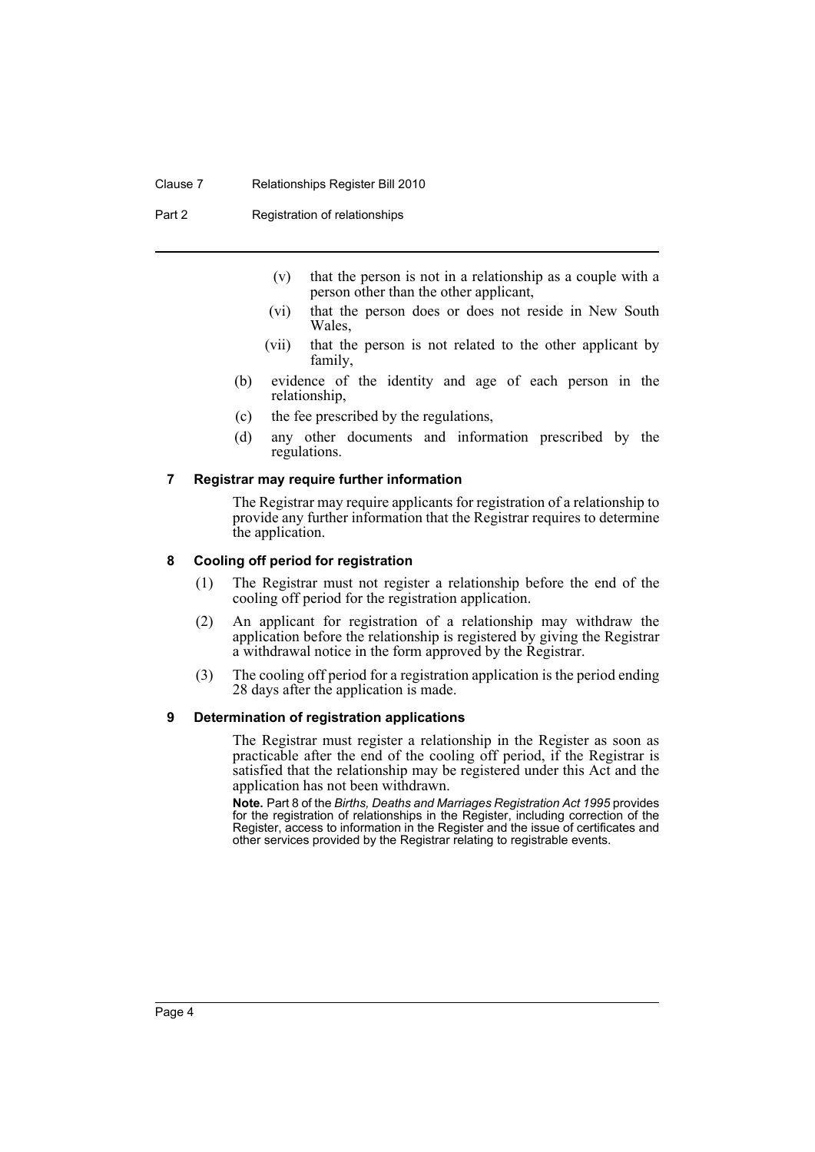#### Clause 7 Relationships Register Bill 2010

Part 2 Registration of relationships

- (v) that the person is not in a relationship as a couple with a person other than the other applicant,
- (vi) that the person does or does not reside in New South Wales,
- (vii) that the person is not related to the other applicant by family,
- (b) evidence of the identity and age of each person in the relationship,
- (c) the fee prescribed by the regulations,
- (d) any other documents and information prescribed by the regulations.

#### <span id="page-5-0"></span>**7 Registrar may require further information**

The Registrar may require applicants for registration of a relationship to provide any further information that the Registrar requires to determine the application.

#### <span id="page-5-1"></span>**8 Cooling off period for registration**

- (1) The Registrar must not register a relationship before the end of the cooling off period for the registration application.
- (2) An applicant for registration of a relationship may withdraw the application before the relationship is registered by giving the Registrar a withdrawal notice in the form approved by the Registrar.
- (3) The cooling off period for a registration application is the period ending 28 days after the application is made.

#### <span id="page-5-2"></span>**9 Determination of registration applications**

The Registrar must register a relationship in the Register as soon as practicable after the end of the cooling off period, if the Registrar is satisfied that the relationship may be registered under this Act and the application has not been withdrawn.

**Note.** Part 8 of the *Births, Deaths and Marriages Registration Act 1995* provides for the registration of relationships in the Register, including correction of the Register, access to information in the Register and the issue of certificates and other services provided by the Registrar relating to registrable events.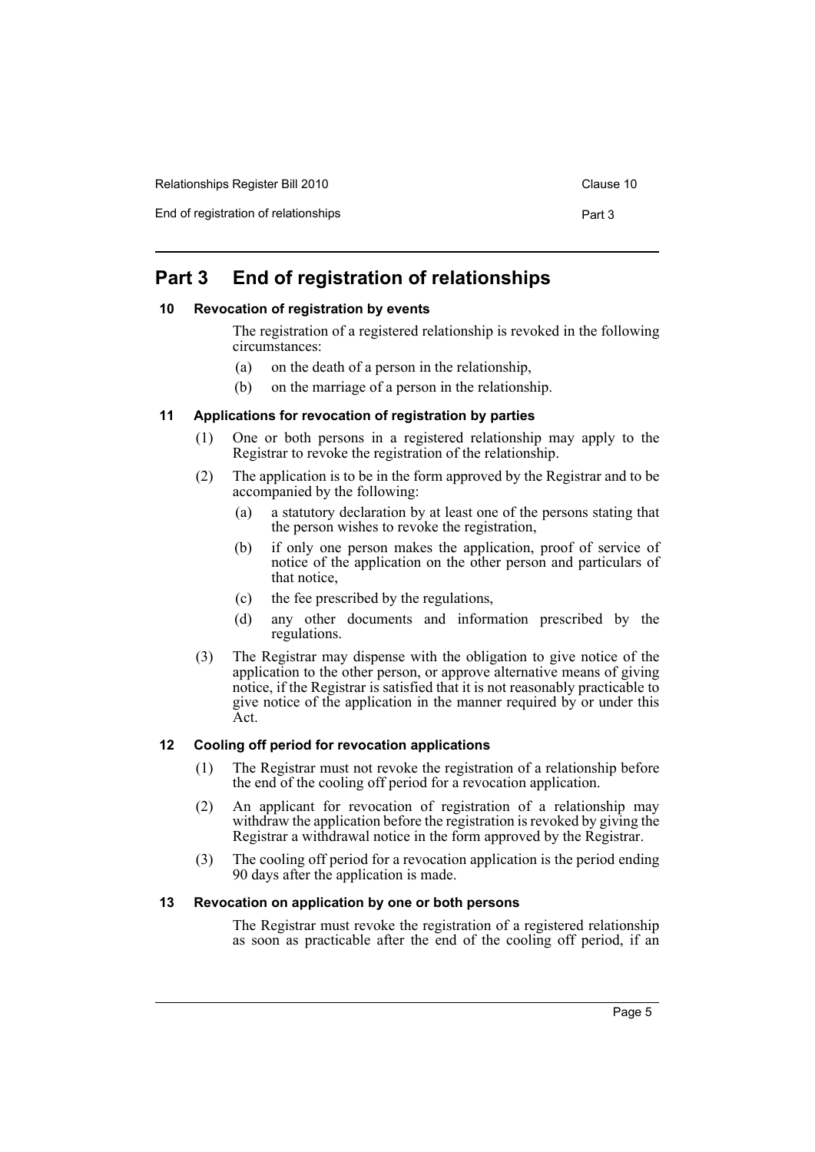End of registration of relationships **Part 3** Part 3

# <span id="page-6-0"></span>**Part 3 End of registration of relationships**

#### <span id="page-6-1"></span>**10 Revocation of registration by events**

The registration of a registered relationship is revoked in the following circumstances:

- (a) on the death of a person in the relationship,
- (b) on the marriage of a person in the relationship.

#### <span id="page-6-2"></span>**11 Applications for revocation of registration by parties**

- (1) One or both persons in a registered relationship may apply to the Registrar to revoke the registration of the relationship.
- (2) The application is to be in the form approved by the Registrar and to be accompanied by the following:
	- (a) a statutory declaration by at least one of the persons stating that the person wishes to revoke the registration,
	- (b) if only one person makes the application, proof of service of notice of the application on the other person and particulars of that notice,
	- (c) the fee prescribed by the regulations,
	- (d) any other documents and information prescribed by the regulations.
- (3) The Registrar may dispense with the obligation to give notice of the application to the other person, or approve alternative means of giving notice, if the Registrar is satisfied that it is not reasonably practicable to give notice of the application in the manner required by or under this Act.

## <span id="page-6-3"></span>**12 Cooling off period for revocation applications**

- (1) The Registrar must not revoke the registration of a relationship before the end of the cooling off period for a revocation application.
- (2) An applicant for revocation of registration of a relationship may withdraw the application before the registration is revoked by giving the Registrar a withdrawal notice in the form approved by the Registrar.
- (3) The cooling off period for a revocation application is the period ending 90 days after the application is made.

#### <span id="page-6-4"></span>**13 Revocation on application by one or both persons**

The Registrar must revoke the registration of a registered relationship as soon as practicable after the end of the cooling off period, if an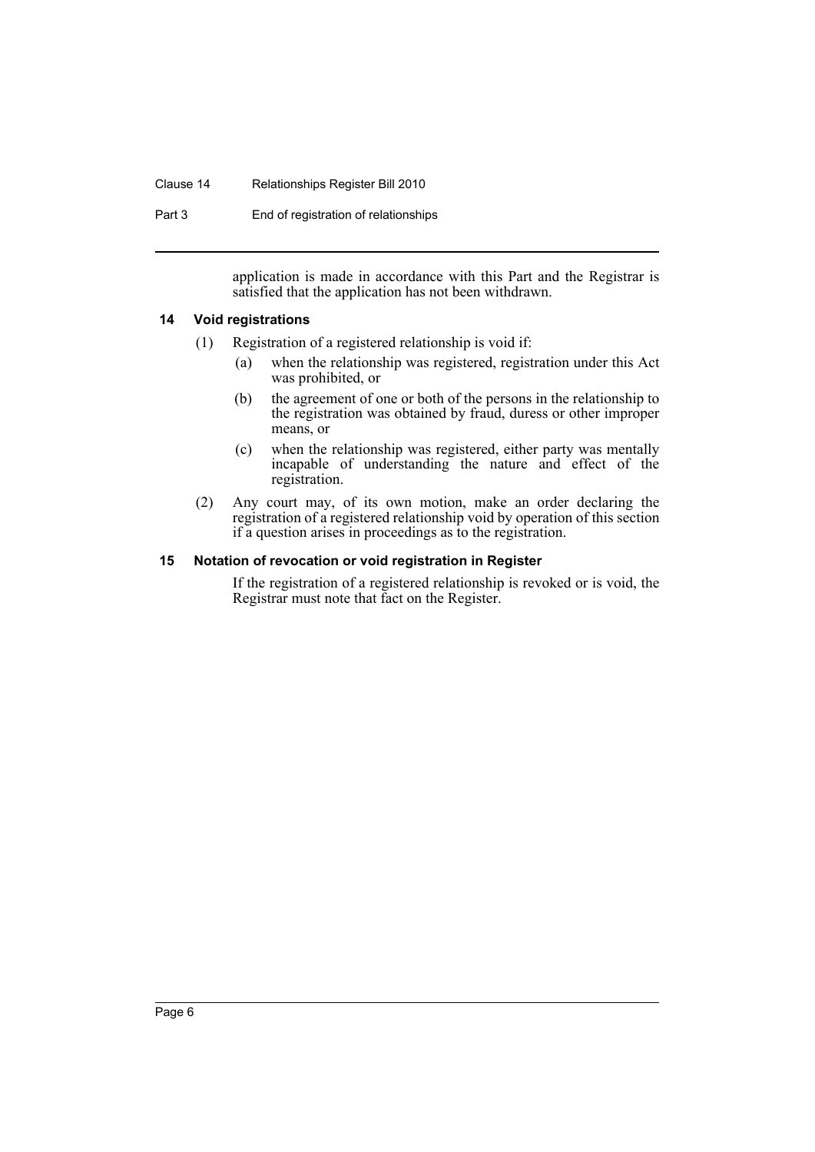#### Clause 14 Relationships Register Bill 2010

Part 3 End of registration of relationships

application is made in accordance with this Part and the Registrar is satisfied that the application has not been withdrawn.

#### <span id="page-7-0"></span>**14 Void registrations**

- (1) Registration of a registered relationship is void if:
	- (a) when the relationship was registered, registration under this Act was prohibited, or
	- (b) the agreement of one or both of the persons in the relationship to the registration was obtained by fraud, duress or other improper means, or
	- (c) when the relationship was registered, either party was mentally incapable of understanding the nature and effect of the registration.
- (2) Any court may, of its own motion, make an order declaring the registration of a registered relationship void by operation of this section if a question arises in proceedings as to the registration.

#### <span id="page-7-1"></span>**15 Notation of revocation or void registration in Register**

If the registration of a registered relationship is revoked or is void, the Registrar must note that fact on the Register.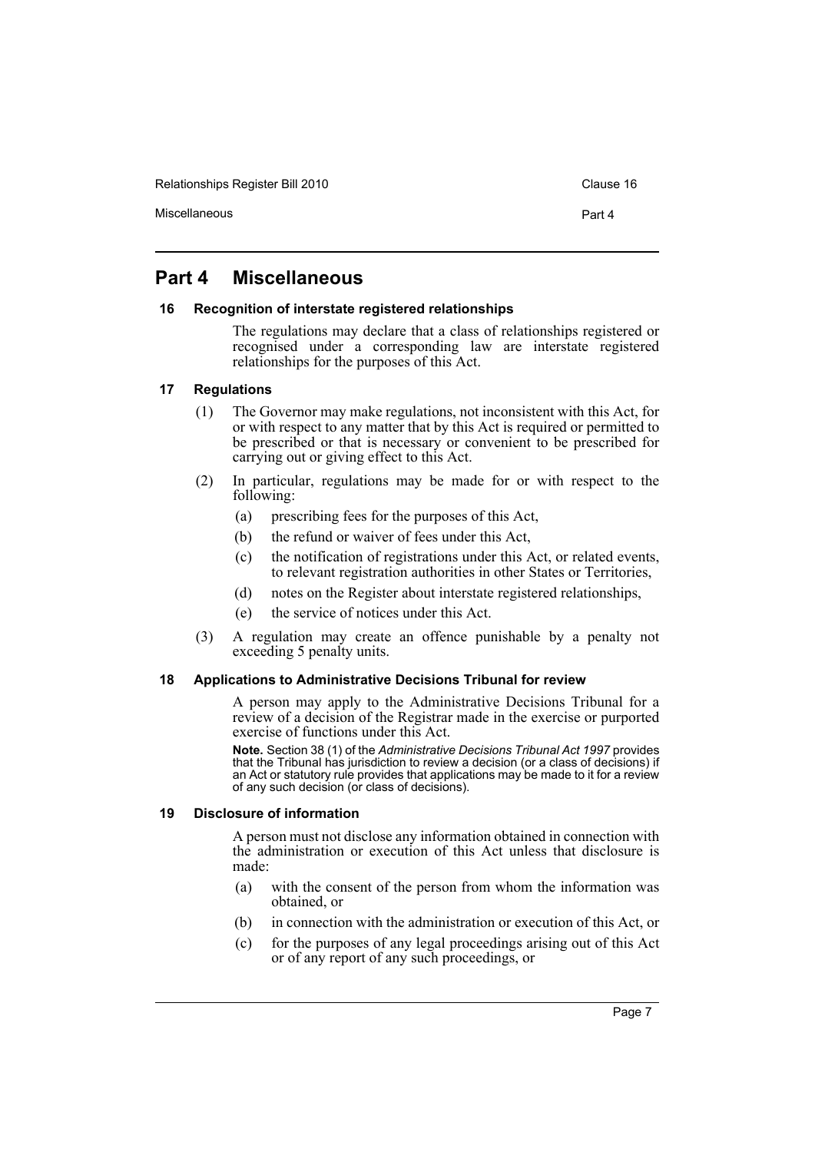Relationships Register Bill 2010 Clause 16 and the Clause 16

Miscellaneous Part 4

# <span id="page-8-0"></span>**Part 4 Miscellaneous**

## <span id="page-8-1"></span>**16 Recognition of interstate registered relationships**

The regulations may declare that a class of relationships registered or recognised under a corresponding law are interstate registered relationships for the purposes of this Act.

## <span id="page-8-2"></span>**17 Regulations**

- (1) The Governor may make regulations, not inconsistent with this Act, for or with respect to any matter that by this Act is required or permitted to be prescribed or that is necessary or convenient to be prescribed for carrying out or giving effect to this Act.
- (2) In particular, regulations may be made for or with respect to the following:
	- (a) prescribing fees for the purposes of this Act,
	- (b) the refund or waiver of fees under this Act,
	- (c) the notification of registrations under this Act, or related events, to relevant registration authorities in other States or Territories,
	- (d) notes on the Register about interstate registered relationships,
	- (e) the service of notices under this Act.
- (3) A regulation may create an offence punishable by a penalty not exceeding 5 penalty units.

## <span id="page-8-3"></span>**18 Applications to Administrative Decisions Tribunal for review**

A person may apply to the Administrative Decisions Tribunal for a review of a decision of the Registrar made in the exercise or purported exercise of functions under this Act.

**Note.** Section 38 (1) of the *Administrative Decisions Tribunal Act 1997* provides that the Tribunal has jurisdiction to review a decision (or a class of decisions) if an Act or statutory rule provides that applications may be made to it for a review of any such decision (or class of decisions).

#### <span id="page-8-4"></span>**19 Disclosure of information**

A person must not disclose any information obtained in connection with the administration or execution of this Act unless that disclosure is made:

- (a) with the consent of the person from whom the information was obtained, or
- (b) in connection with the administration or execution of this Act, or
- (c) for the purposes of any legal proceedings arising out of this Act or of any report of any such proceedings, or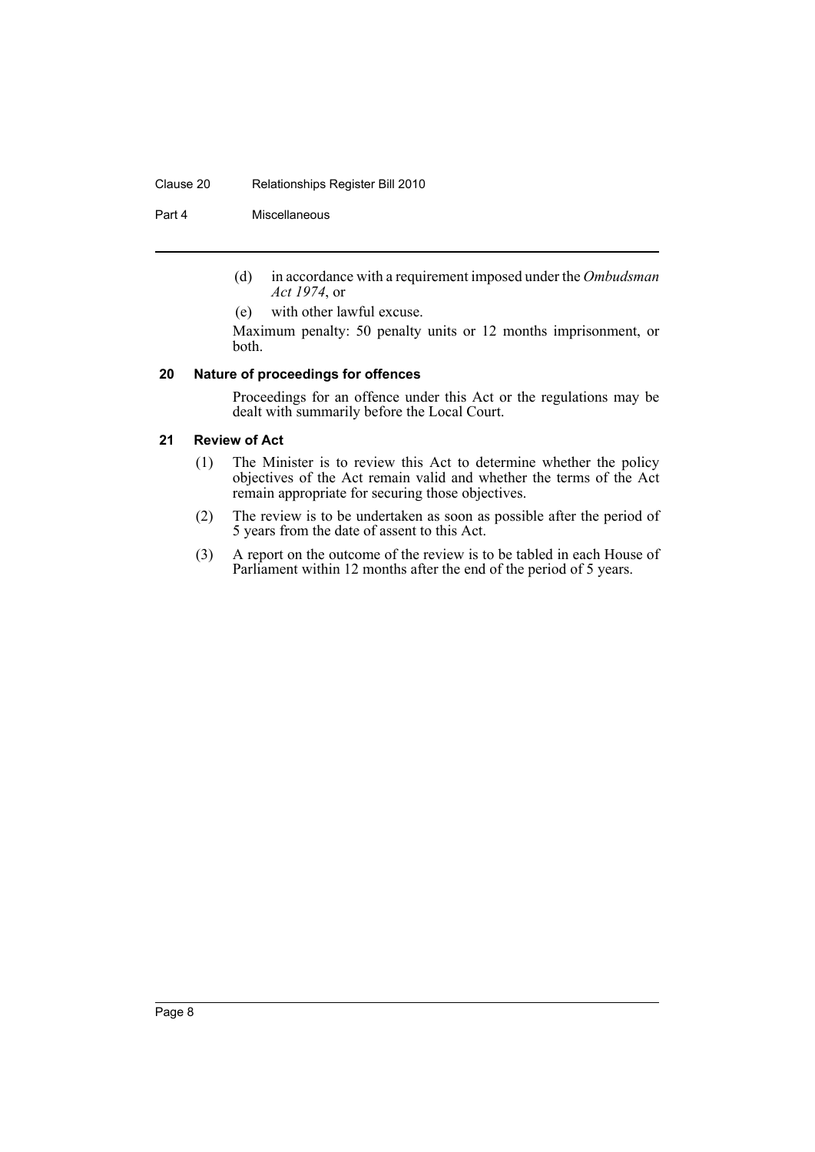#### Clause 20 Relationships Register Bill 2010

#### Part 4 Miscellaneous

- (d) in accordance with a requirement imposed under the *Ombudsman Act 1974*, or
- (e) with other lawful excuse.

Maximum penalty: 50 penalty units or 12 months imprisonment, or both.

#### <span id="page-9-0"></span>**20 Nature of proceedings for offences**

Proceedings for an offence under this Act or the regulations may be dealt with summarily before the Local Court.

## <span id="page-9-1"></span>**21 Review of Act**

- (1) The Minister is to review this Act to determine whether the policy objectives of the Act remain valid and whether the terms of the Act remain appropriate for securing those objectives.
- (2) The review is to be undertaken as soon as possible after the period of 5 years from the date of assent to this Act.
- (3) A report on the outcome of the review is to be tabled in each House of Parliament within 12 months after the end of the period of 5 years.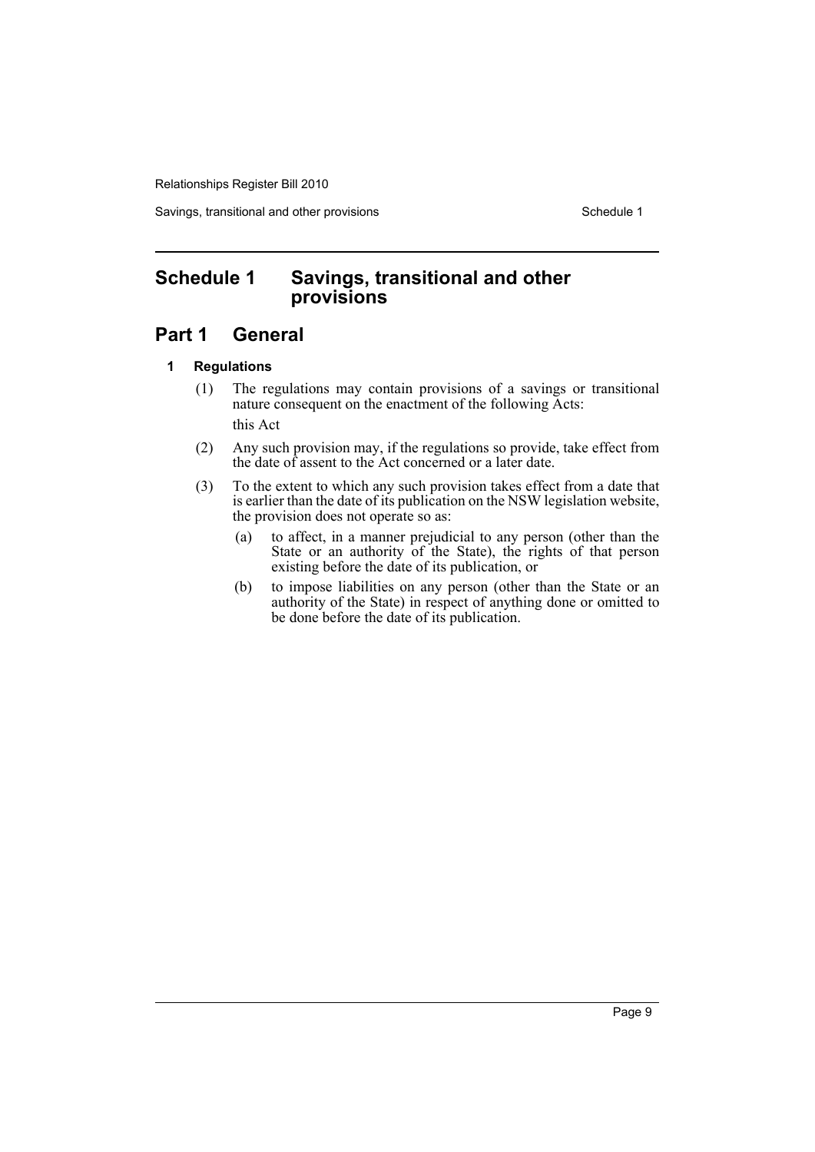Savings, transitional and other provisions Schedule 1

# <span id="page-10-0"></span>**Schedule 1 Savings, transitional and other provisions**

# **Part 1 General**

## **1 Regulations**

- (1) The regulations may contain provisions of a savings or transitional nature consequent on the enactment of the following Acts: this Act
- (2) Any such provision may, if the regulations so provide, take effect from the date of assent to the Act concerned or a later date.
- (3) To the extent to which any such provision takes effect from a date that is earlier than the date of its publication on the NSW legislation website, the provision does not operate so as:
	- (a) to affect, in a manner prejudicial to any person (other than the State or an authority of the State), the rights of that person existing before the date of its publication, or
	- (b) to impose liabilities on any person (other than the State or an authority of the State) in respect of anything done or omitted to be done before the date of its publication.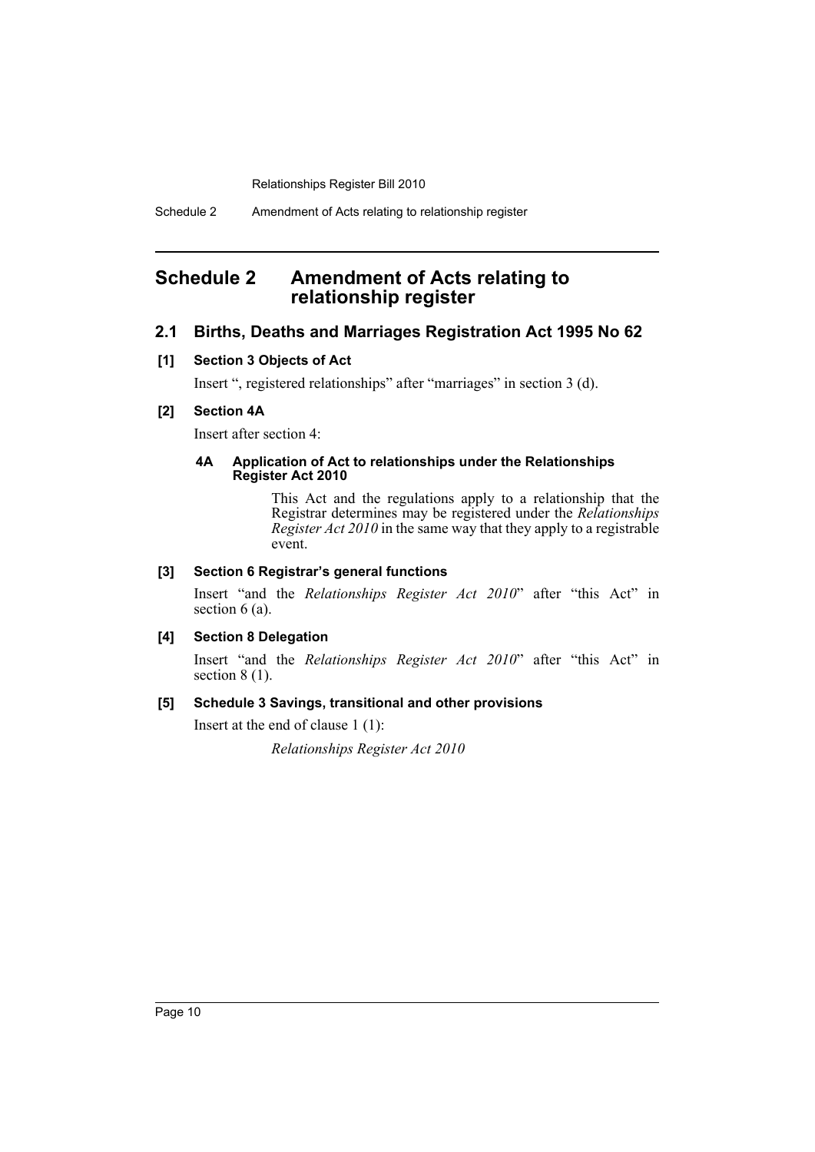# <span id="page-11-0"></span>**Schedule 2 Amendment of Acts relating to relationship register**

## **2.1 Births, Deaths and Marriages Registration Act 1995 No 62**

#### **[1] Section 3 Objects of Act**

Insert ", registered relationships" after "marriages" in section 3 (d).

## **[2] Section 4A**

Insert after section 4:

#### **4A Application of Act to relationships under the Relationships Register Act 2010**

This Act and the regulations apply to a relationship that the Registrar determines may be registered under the *Relationships Register Act 2010* in the same way that they apply to a registrable event.

## **[3] Section 6 Registrar's general functions**

Insert "and the *Relationships Register Act 2010*" after "this Act" in section 6 (a).

## **[4] Section 8 Delegation**

Insert "and the *Relationships Register Act 2010*" after "this Act" in section  $8(1)$ .

#### **[5] Schedule 3 Savings, transitional and other provisions**

Insert at the end of clause 1 (1):

*Relationships Register Act 2010*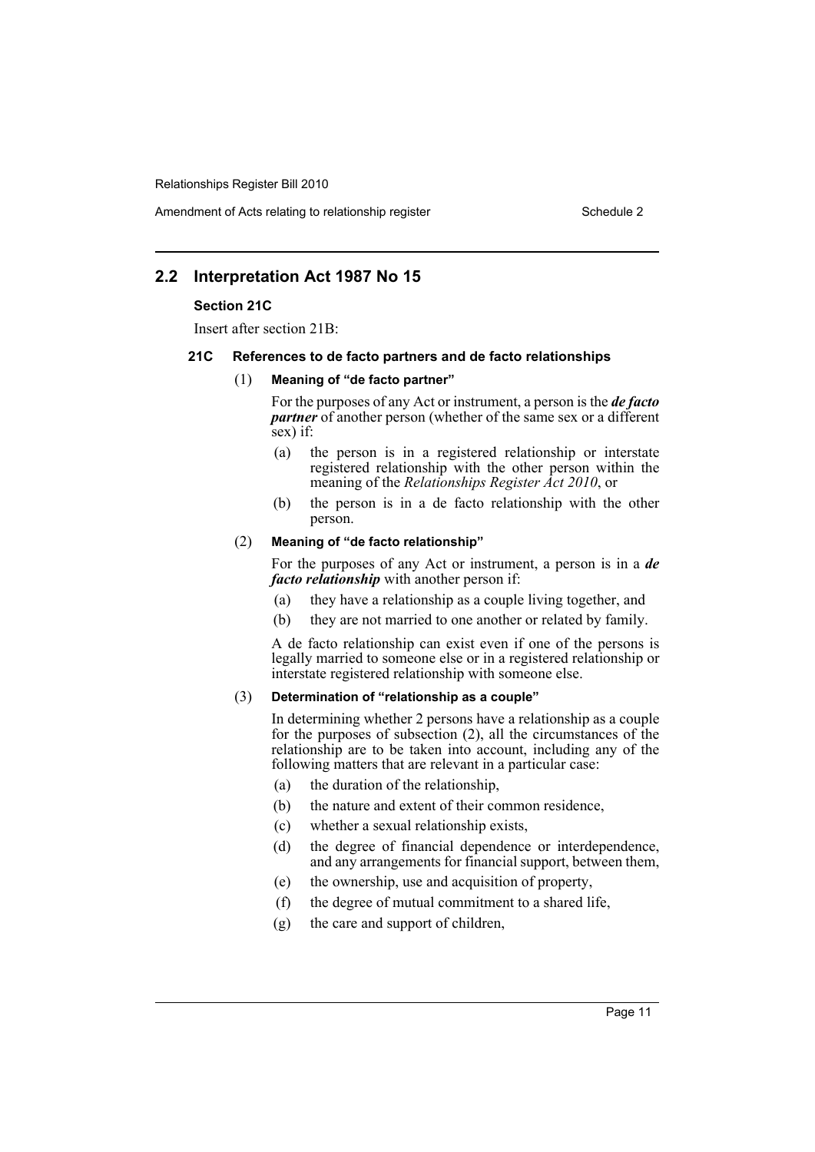Amendment of Acts relating to relationship register Schedule 2

## **2.2 Interpretation Act 1987 No 15**

#### **Section 21C**

Insert after section 21B:

#### **21C References to de facto partners and de facto relationships**

#### (1) **Meaning of "de facto partner"**

For the purposes of any Act or instrument, a person is the *de facto partner* of another person (whether of the same sex or a different sex) if:

- (a) the person is in a registered relationship or interstate registered relationship with the other person within the meaning of the *Relationships Register Act 2010*, or
- (b) the person is in a de facto relationship with the other person.

#### (2) **Meaning of "de facto relationship"**

For the purposes of any Act or instrument, a person is in a *de facto relationship* with another person if:

- (a) they have a relationship as a couple living together, and
- (b) they are not married to one another or related by family.

A de facto relationship can exist even if one of the persons is legally married to someone else or in a registered relationship or interstate registered relationship with someone else.

## (3) **Determination of "relationship as a couple"**

In determining whether 2 persons have a relationship as a couple for the purposes of subsection (2), all the circumstances of the relationship are to be taken into account, including any of the following matters that are relevant in a particular case:

- (a) the duration of the relationship,
- (b) the nature and extent of their common residence,
- (c) whether a sexual relationship exists,
- (d) the degree of financial dependence or interdependence, and any arrangements for financial support, between them,
- (e) the ownership, use and acquisition of property,
- (f) the degree of mutual commitment to a shared life,
- (g) the care and support of children,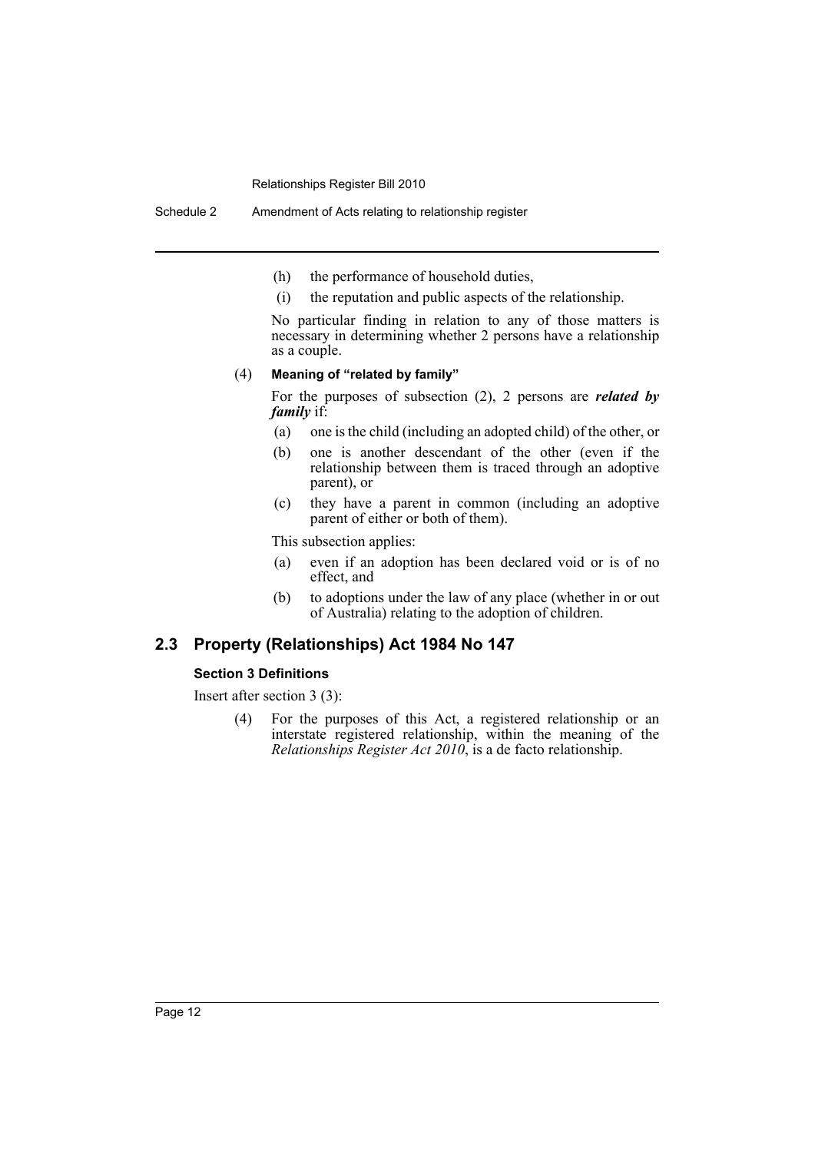- (h) the performance of household duties,
- (i) the reputation and public aspects of the relationship.

No particular finding in relation to any of those matters is necessary in determining whether 2 persons have a relationship as a couple.

#### (4) **Meaning of "related by family"**

For the purposes of subsection (2), 2 persons are *related by family* if:

- (a) one is the child (including an adopted child) of the other, or
- (b) one is another descendant of the other (even if the relationship between them is traced through an adoptive parent), or
- (c) they have a parent in common (including an adoptive parent of either or both of them).

This subsection applies:

- (a) even if an adoption has been declared void or is of no effect, and
- (b) to adoptions under the law of any place (whether in or out of Australia) relating to the adoption of children.

# **2.3 Property (Relationships) Act 1984 No 147**

#### **Section 3 Definitions**

Insert after section 3 (3):

(4) For the purposes of this Act, a registered relationship or an interstate registered relationship, within the meaning of the *Relationships Register Act 2010*, is a de facto relationship.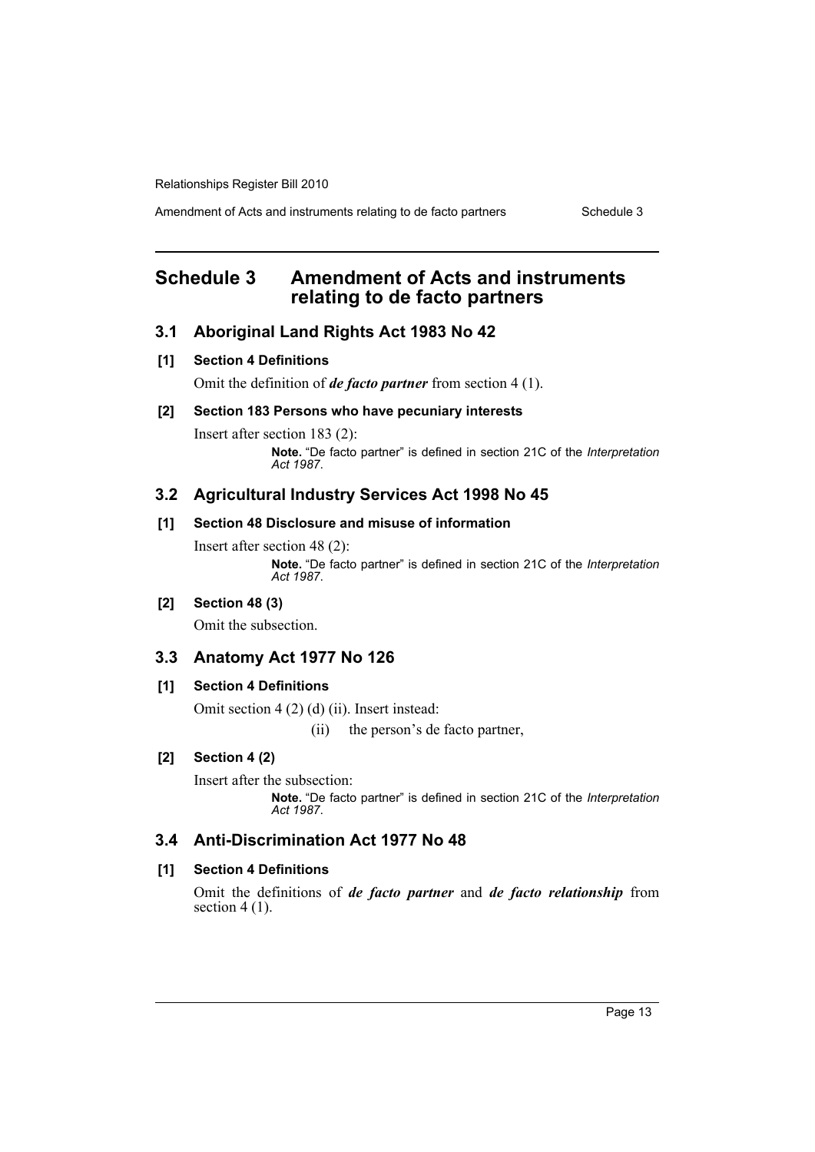Amendment of Acts and instruments relating to de facto partners Schedule 3

# <span id="page-14-0"></span>**Schedule 3 Amendment of Acts and instruments relating to de facto partners**

## **3.1 Aboriginal Land Rights Act 1983 No 42**

#### **[1] Section 4 Definitions**

Omit the definition of *de facto partner* from section 4 (1).

## **[2] Section 183 Persons who have pecuniary interests**

Insert after section 183 (2): **Note.** "De facto partner" is defined in section 21C of the *Interpretation Act 1987*.

### **3.2 Agricultural Industry Services Act 1998 No 45**

## **[1] Section 48 Disclosure and misuse of information**

Insert after section 48 (2): **Note.** "De facto partner" is defined in section 21C of the *Interpretation Act 1987*.

## **[2] Section 48 (3)**

Omit the subsection.

#### **3.3 Anatomy Act 1977 No 126**

#### **[1] Section 4 Definitions**

Omit section 4 (2) (d) (ii). Insert instead:

(ii) the person's de facto partner,

## **[2] Section 4 (2)**

Insert after the subsection:

**Note.** "De facto partner" is defined in section 21C of the *Interpretation Act 1987*.

## **3.4 Anti-Discrimination Act 1977 No 48**

## **[1] Section 4 Definitions**

Omit the definitions of *de facto partner* and *de facto relationship* from section  $4(1)$ .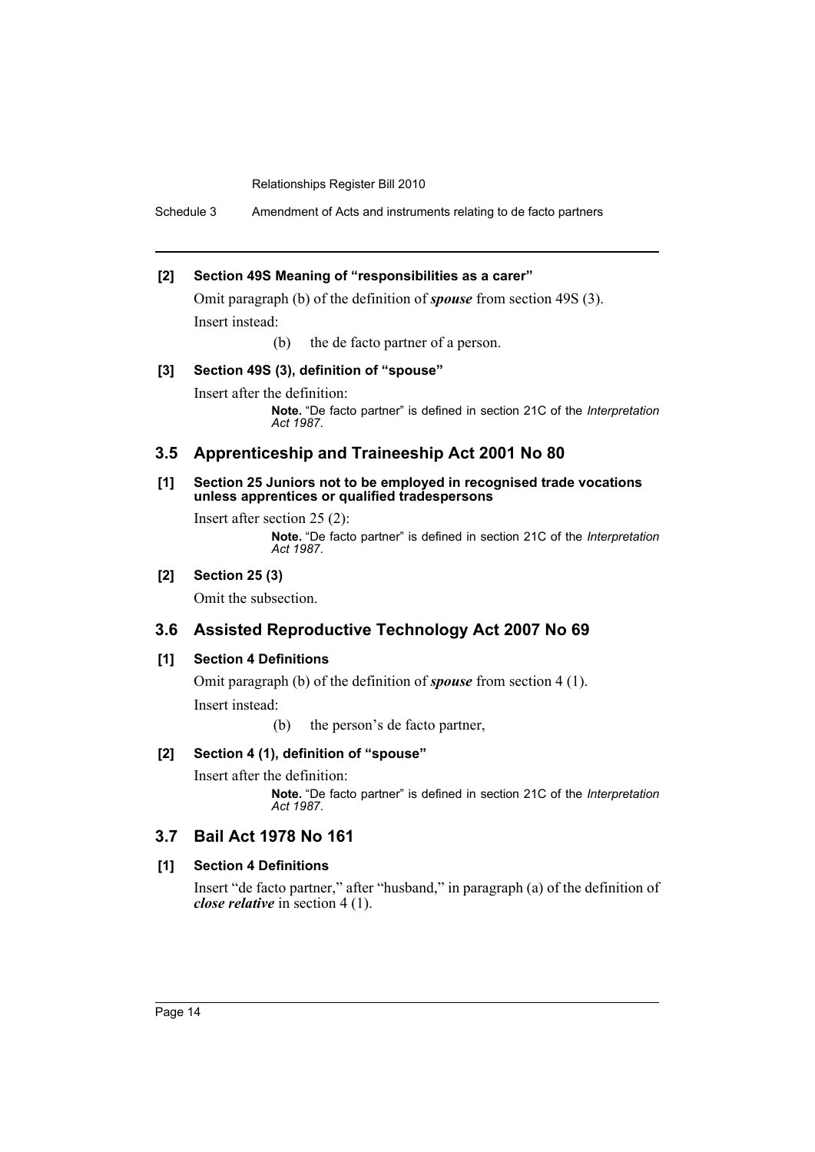Schedule 3 Amendment of Acts and instruments relating to de facto partners

## **[2] Section 49S Meaning of "responsibilities as a carer"**

Omit paragraph (b) of the definition of *spouse* from section 49S (3). Insert instead:

(b) the de facto partner of a person.

#### **[3] Section 49S (3), definition of "spouse"**

Insert after the definition: **Note.** "De facto partner" is defined in section 21C of the *Interpretation Act 1987*.

## **3.5 Apprenticeship and Traineeship Act 2001 No 80**

#### **[1] Section 25 Juniors not to be employed in recognised trade vocations unless apprentices or qualified tradespersons**

Insert after section 25 (2): **Note.** "De facto partner" is defined in section 21C of the *Interpretation Act 1987*.

## **[2] Section 25 (3)**

Omit the subsection.

## **3.6 Assisted Reproductive Technology Act 2007 No 69**

## **[1] Section 4 Definitions**

Omit paragraph (b) of the definition of *spouse* from section 4 (1).

Insert instead:

(b) the person's de facto partner,

## **[2] Section 4 (1), definition of "spouse"**

Insert after the definition:

**Note.** "De facto partner" is defined in section 21C of the *Interpretation Act 1987*.

# **3.7 Bail Act 1978 No 161**

## **[1] Section 4 Definitions**

Insert "de facto partner," after "husband," in paragraph (a) of the definition of *close relative* in section 4 (1).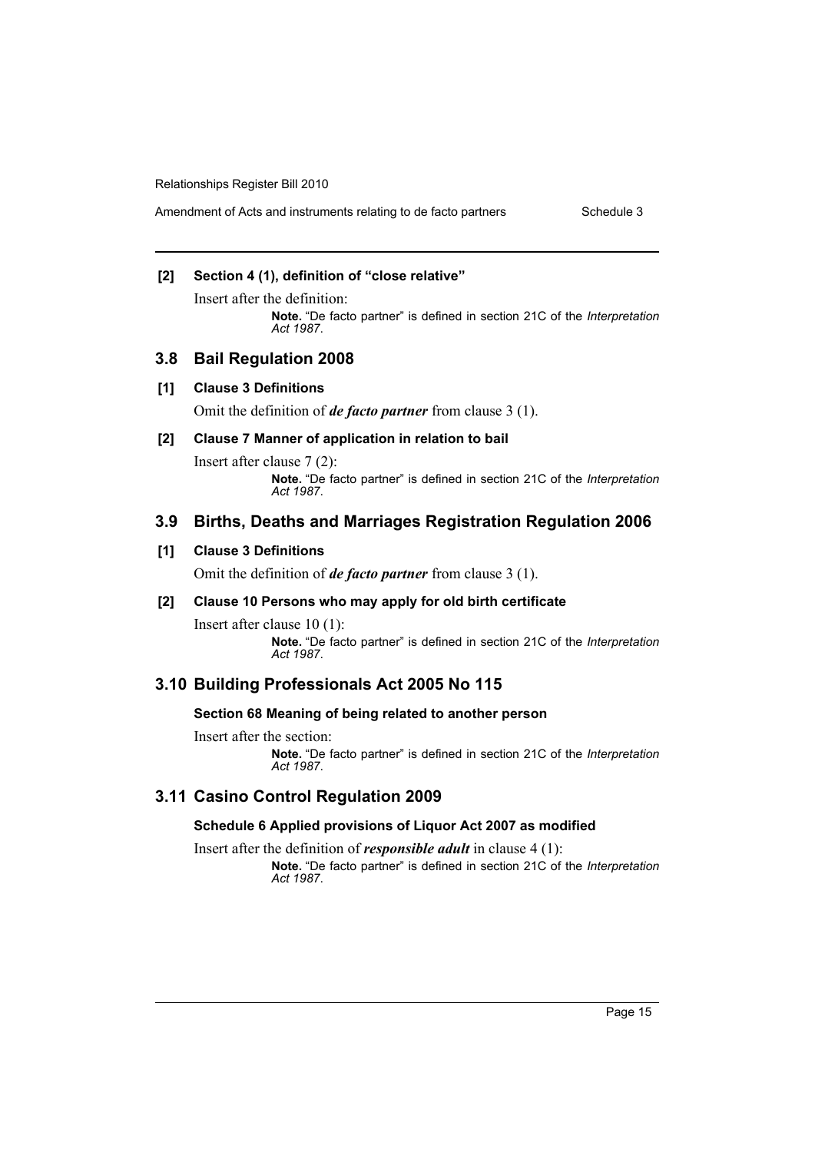## **[2] Section 4 (1), definition of "close relative"**

Insert after the definition: **Note.** "De facto partner" is defined in section 21C of the *Interpretation Act 1987*.

## **3.8 Bail Regulation 2008**

#### **[1] Clause 3 Definitions**

Omit the definition of *de facto partner* from clause 3 (1).

#### **[2] Clause 7 Manner of application in relation to bail**

Insert after clause 7 (2): **Note.** "De facto partner" is defined in section 21C of the *Interpretation Act 1987*.

## **3.9 Births, Deaths and Marriages Registration Regulation 2006**

## **[1] Clause 3 Definitions**

Omit the definition of *de facto partner* from clause 3 (1).

#### **[2] Clause 10 Persons who may apply for old birth certificate**

Insert after clause 10 (1): **Note.** "De facto partner" is defined in section 21C of the *Interpretation Act 1987*.

## **3.10 Building Professionals Act 2005 No 115**

#### **Section 68 Meaning of being related to another person**

Insert after the section:

**Note.** "De facto partner" is defined in section 21C of the *Interpretation Act 1987*.

## **3.11 Casino Control Regulation 2009**

#### **Schedule 6 Applied provisions of Liquor Act 2007 as modified**

Insert after the definition of *responsible adult* in clause 4 (1): **Note.** "De facto partner" is defined in section 21C of the *Interpretation Act 1987*.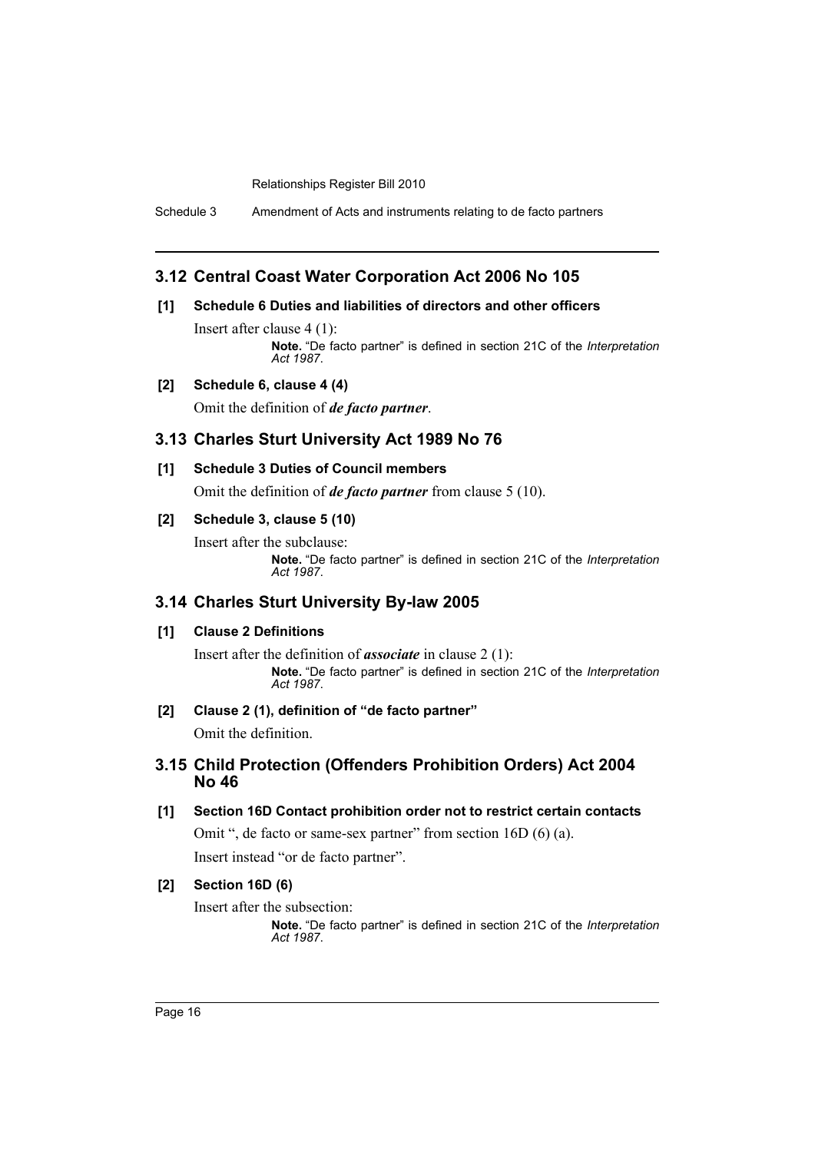Schedule 3 Amendment of Acts and instruments relating to de facto partners

## **3.12 Central Coast Water Corporation Act 2006 No 105**

## **[1] Schedule 6 Duties and liabilities of directors and other officers**

Insert after clause 4 (1): **Note.** "De facto partner" is defined in section 21C of the *Interpretation Act 1987*.

## **[2] Schedule 6, clause 4 (4)**

Omit the definition of *de facto partner*.

## **3.13 Charles Sturt University Act 1989 No 76**

#### **[1] Schedule 3 Duties of Council members**

Omit the definition of *de facto partner* from clause 5 (10).

#### **[2] Schedule 3, clause 5 (10)**

Insert after the subclause:

**Note.** "De facto partner" is defined in section 21C of the *Interpretation Act 1987*.

## **3.14 Charles Sturt University By-law 2005**

## **[1] Clause 2 Definitions**

Insert after the definition of *associate* in clause 2 (1): **Note.** "De facto partner" is defined in section 21C of the *Interpretation Act 1987*.

## **[2] Clause 2 (1), definition of "de facto partner"**

Omit the definition.

## **3.15 Child Protection (Offenders Prohibition Orders) Act 2004 No 46**

## **[1] Section 16D Contact prohibition order not to restrict certain contacts**

Omit ", de facto or same-sex partner" from section 16D (6) (a).

Insert instead "or de facto partner".

## **[2] Section 16D (6)**

Insert after the subsection: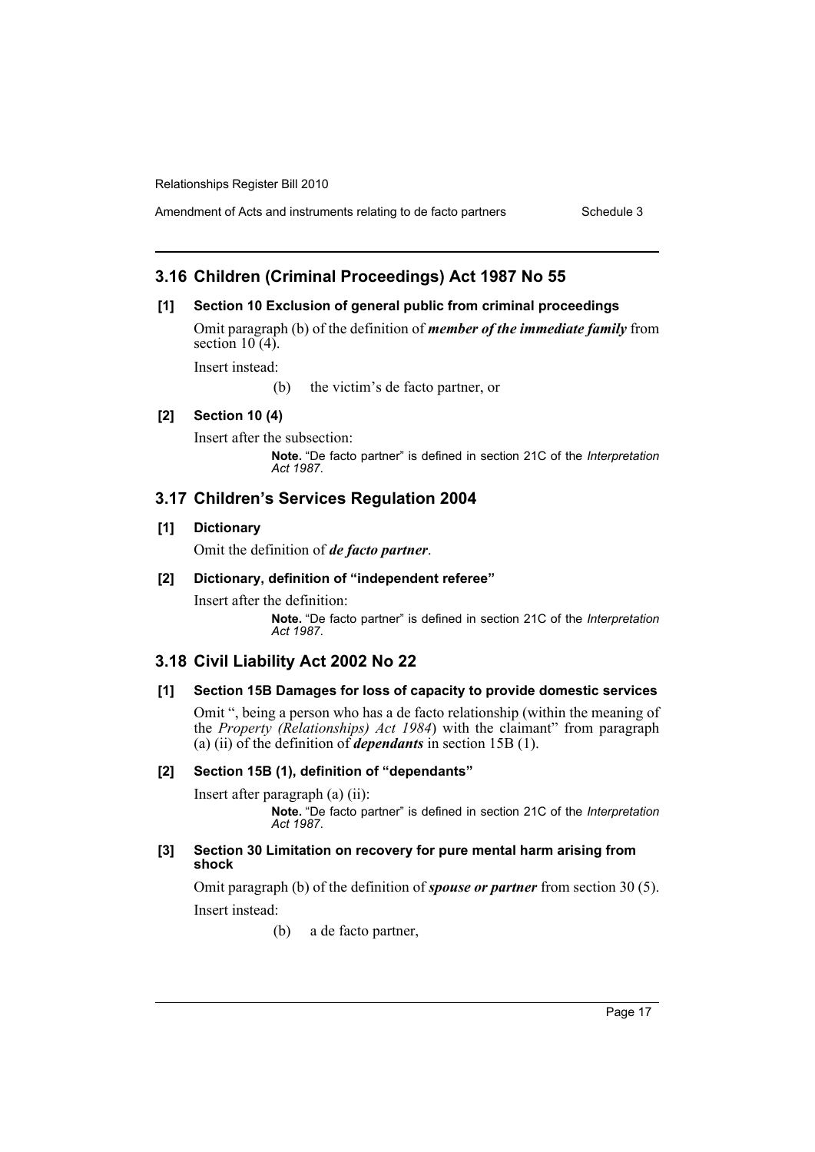Amendment of Acts and instruments relating to de facto partners Schedule 3

# **3.16 Children (Criminal Proceedings) Act 1987 No 55**

## **[1] Section 10 Exclusion of general public from criminal proceedings**

Omit paragraph (b) of the definition of *member of the immediate family* from section  $10(4)$ .

Insert instead:

(b) the victim's de facto partner, or

## **[2] Section 10 (4)**

Insert after the subsection: **Note.** "De facto partner" is defined in section 21C of the *Interpretation*

*Act 1987*.

# **3.17 Children's Services Regulation 2004**

## **[1] Dictionary**

Omit the definition of *de facto partner*.

## **[2] Dictionary, definition of "independent referee"**

Insert after the definition: **Note.** "De facto partner" is defined in section 21C of the *Interpretation Act 1987*.

# **3.18 Civil Liability Act 2002 No 22**

## **[1] Section 15B Damages for loss of capacity to provide domestic services**

Omit ", being a person who has a de facto relationship (within the meaning of the *Property (Relationships) Act 1984*) with the claimant" from paragraph (a) (ii) of the definition of *dependants* in section 15B (1).

## **[2] Section 15B (1), definition of "dependants"**

Insert after paragraph (a) (ii): **Note.** "De facto partner" is defined in section 21C of the *Interpretation Act 1987*.

#### **[3] Section 30 Limitation on recovery for pure mental harm arising from shock**

Omit paragraph (b) of the definition of *spouse or partner* from section 30 (5). Insert instead:

(b) a de facto partner,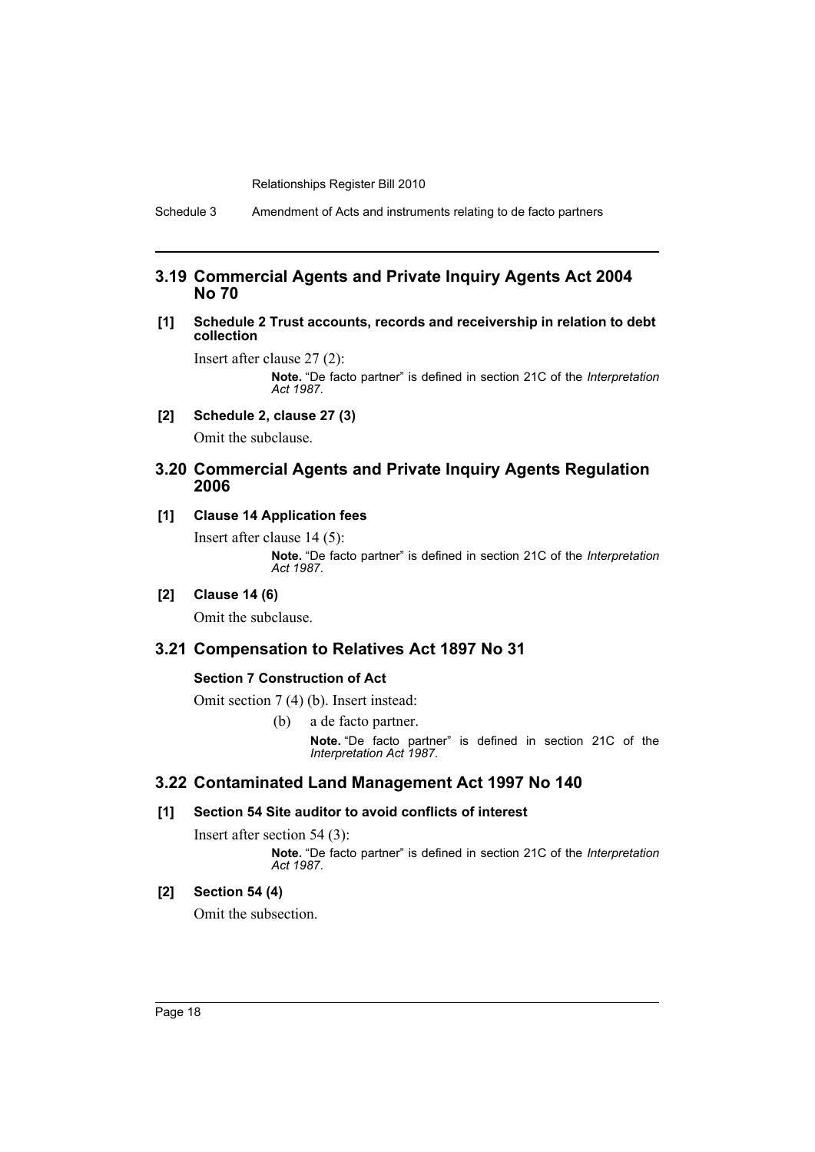Schedule 3 Amendment of Acts and instruments relating to de facto partners

## **3.19 Commercial Agents and Private Inquiry Agents Act 2004 No 70**

#### **[1] Schedule 2 Trust accounts, records and receivership in relation to debt collection**

Insert after clause 27 (2): **Note.** "De facto partner" is defined in section 21C of the *Interpretation Act 1987*.

**[2] Schedule 2, clause 27 (3)**

Omit the subclause.

## **3.20 Commercial Agents and Private Inquiry Agents Regulation 2006**

## **[1] Clause 14 Application fees**

Insert after clause 14 (5): **Note.** "De facto partner" is defined in section 21C of the *Interpretation Act 1987*.

## **[2] Clause 14 (6)**

Omit the subclause.

## **3.21 Compensation to Relatives Act 1897 No 31**

#### **Section 7 Construction of Act**

Omit section 7 (4) (b). Insert instead:

(b) a de facto partner. **Note.** "De facto partner" is defined in section 21C of the *Interpretation Act 1987*.

## **3.22 Contaminated Land Management Act 1997 No 140**

#### **[1] Section 54 Site auditor to avoid conflicts of interest**

Insert after section 54 (3):

**Note.** "De facto partner" is defined in section 21C of the *Interpretation Act 1987*.

## **[2] Section 54 (4)**

Omit the subsection.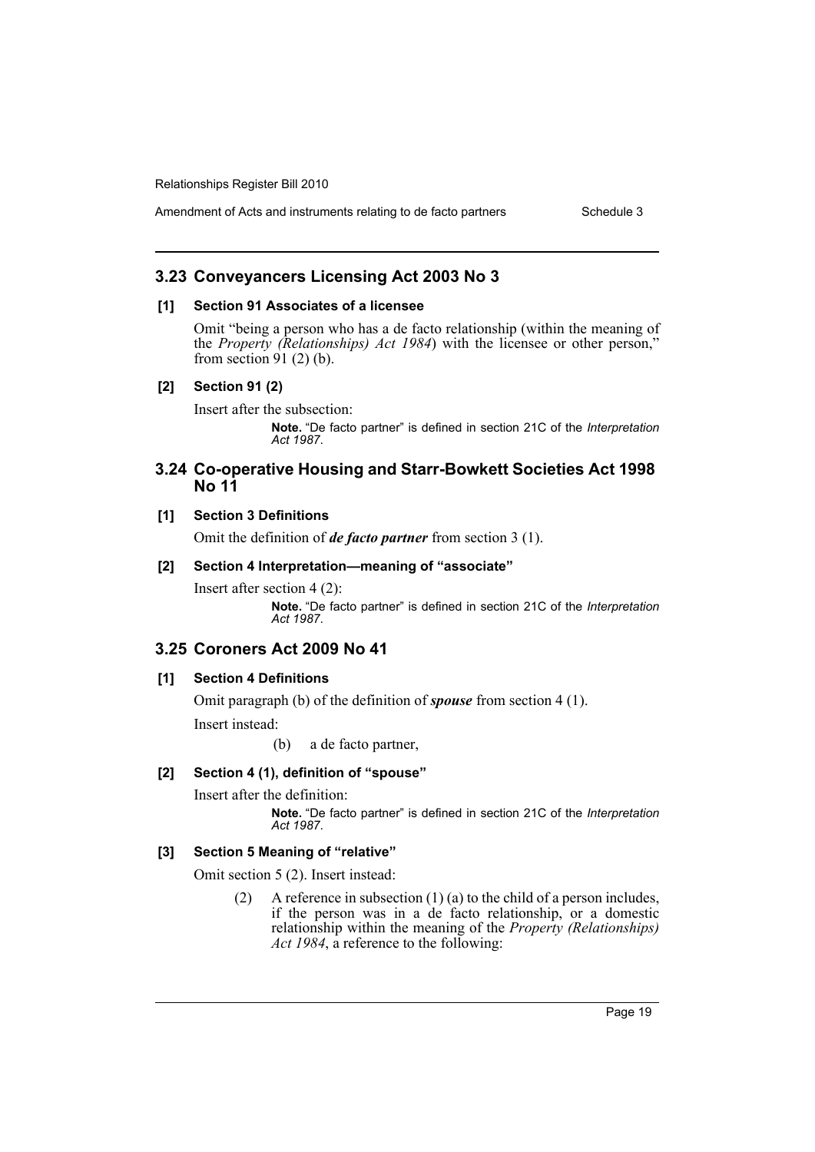## **3.23 Conveyancers Licensing Act 2003 No 3**

#### **[1] Section 91 Associates of a licensee**

Omit "being a person who has a de facto relationship (within the meaning of the *Property (Relationships) Act 1984*) with the licensee or other person," from section 91 $(2)$  $(b)$ .

## **[2] Section 91 (2)**

Insert after the subsection:

**Note.** "De facto partner" is defined in section 21C of the *Interpretation Act 1987*.

## **3.24 Co-operative Housing and Starr-Bowkett Societies Act 1998 No 11**

## **[1] Section 3 Definitions**

Omit the definition of *de facto partner* from section 3 (1).

#### **[2] Section 4 Interpretation—meaning of "associate"**

Insert after section 4 (2): **Note.** "De facto partner" is defined in section 21C of the *Interpretation Act 1987*.

## **3.25 Coroners Act 2009 No 41**

## **[1] Section 4 Definitions**

Omit paragraph (b) of the definition of *spouse* from section 4 (1).

Insert instead:

(b) a de facto partner,

## **[2] Section 4 (1), definition of "spouse"**

Insert after the definition:

**Note.** "De facto partner" is defined in section 21C of the *Interpretation Act 1987*.

## **[3] Section 5 Meaning of "relative"**

Omit section 5 (2). Insert instead:

(2) A reference in subsection  $(1)$  (a) to the child of a person includes, if the person was in a de facto relationship, or a domestic relationship within the meaning of the *Property (Relationships) Act 1984*, a reference to the following: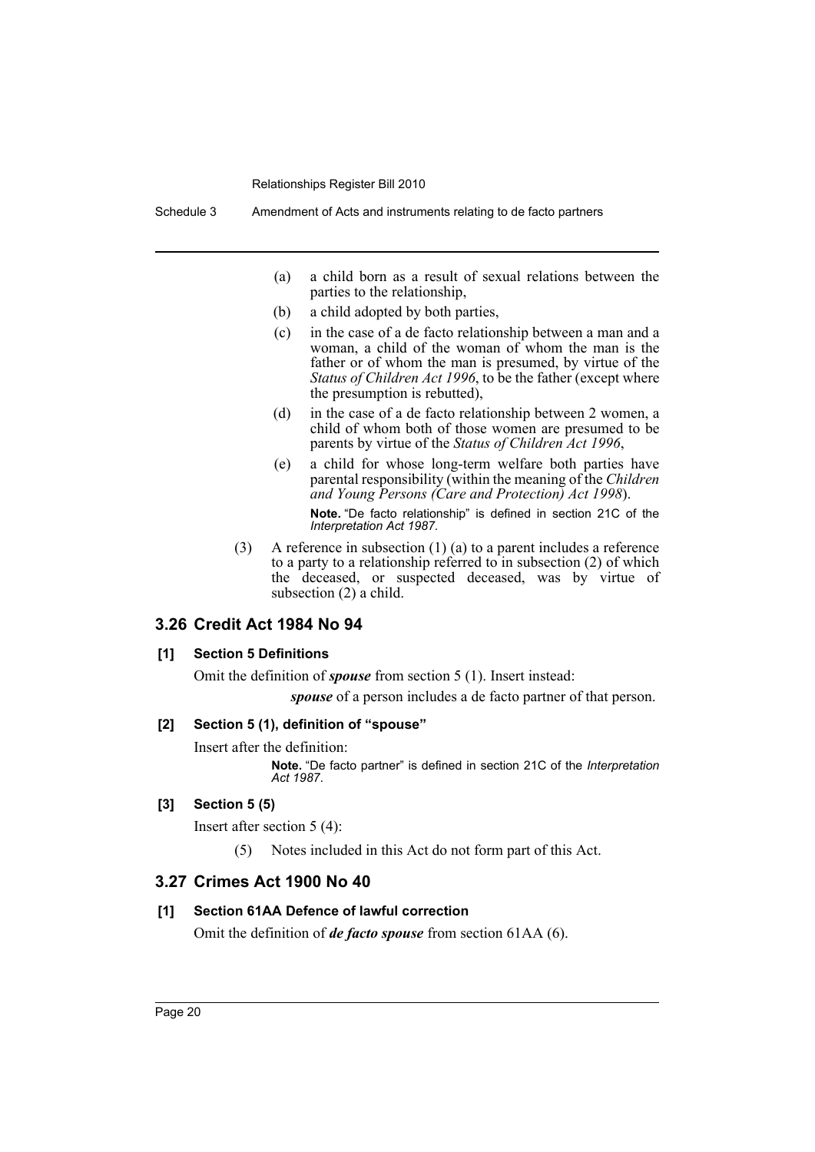Schedule 3 Amendment of Acts and instruments relating to de facto partners

- (a) a child born as a result of sexual relations between the parties to the relationship,
- (b) a child adopted by both parties,
- (c) in the case of a de facto relationship between a man and a woman, a child of the woman of whom the man is the father or of whom the man is presumed, by virtue of the *Status of Children Act 1996*, to be the father (except where the presumption is rebutted),
- (d) in the case of a de facto relationship between 2 women, a child of whom both of those women are presumed to be parents by virtue of the *Status of Children Act 1996*,
- (e) a child for whose long-term welfare both parties have parental responsibility (within the meaning of the *Children and Young Persons (Care and Protection) Act 1998*). **Note.** "De facto relationship" is defined in section 21C of the *Interpretation Act 1987*.
- (3) A reference in subsection (1) (a) to a parent includes a reference to a party to a relationship referred to in subsection (2) of which the deceased, or suspected deceased, was by virtue of subsection (2) a child.

## **3.26 Credit Act 1984 No 94**

#### **[1] Section 5 Definitions**

Omit the definition of *spouse* from section 5 (1). Insert instead:

*spouse* of a person includes a de facto partner of that person.

#### **[2] Section 5 (1), definition of "spouse"**

Insert after the definition:

**Note.** "De facto partner" is defined in section 21C of the *Interpretation Act 1987*.

#### **[3] Section 5 (5)**

Insert after section 5 (4):

(5) Notes included in this Act do not form part of this Act.

## **3.27 Crimes Act 1900 No 40**

#### **[1] Section 61AA Defence of lawful correction**

Omit the definition of *de facto spouse* from section 61AA (6).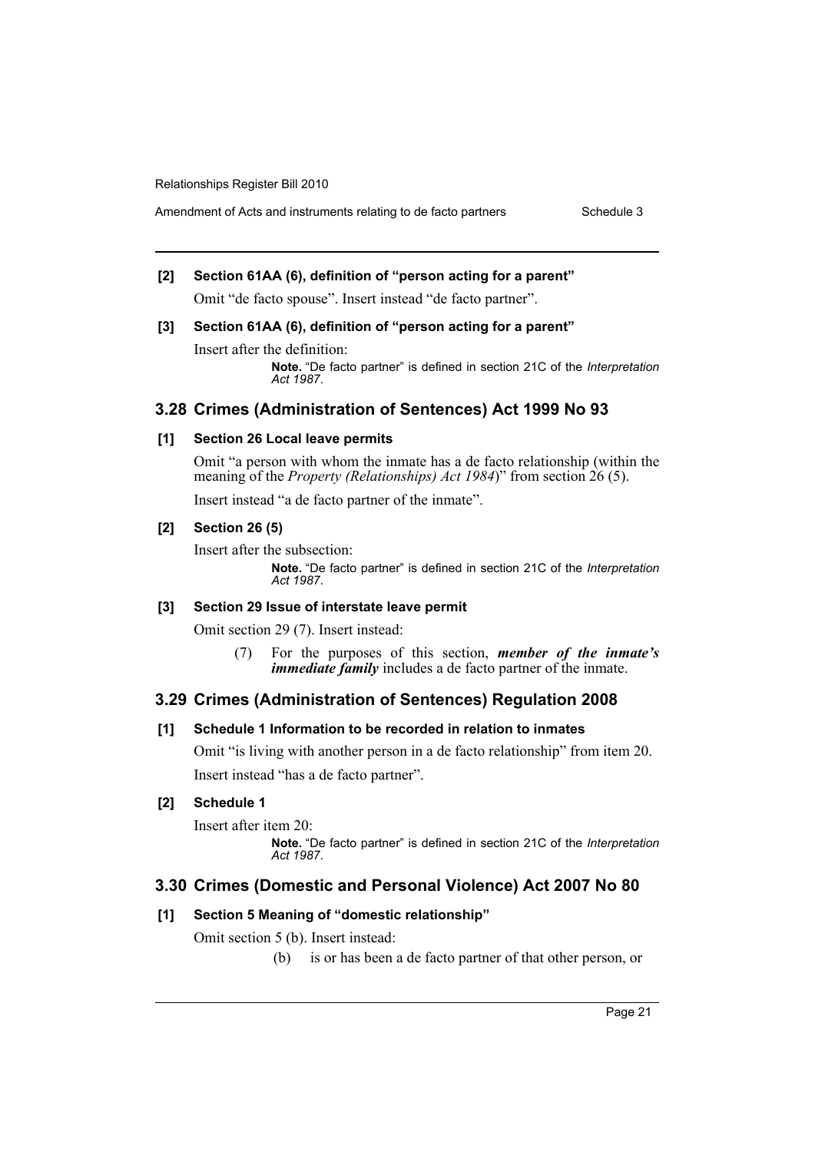# **[2] Section 61AA (6), definition of "person acting for a parent"**

Omit "de facto spouse". Insert instead "de facto partner".

# **[3] Section 61AA (6), definition of "person acting for a parent"**

Insert after the definition:

**Note.** "De facto partner" is defined in section 21C of the *Interpretation Act 1987*.

## **3.28 Crimes (Administration of Sentences) Act 1999 No 93**

## **[1] Section 26 Local leave permits**

Omit "a person with whom the inmate has a de facto relationship (within the meaning of the *Property (Relationships) Act 1984*)" from section 26 (5).

Insert instead "a de facto partner of the inmate".

## **[2] Section 26 (5)**

Insert after the subsection:

**Note.** "De facto partner" is defined in section 21C of the *Interpretation Act 1987*.

#### **[3] Section 29 Issue of interstate leave permit**

Omit section 29 (7). Insert instead:

(7) For the purposes of this section, *member of the inmate's immediate family* includes a de facto partner of the inmate.

## **3.29 Crimes (Administration of Sentences) Regulation 2008**

## **[1] Schedule 1 Information to be recorded in relation to inmates**

Omit "is living with another person in a de facto relationship" from item 20. Insert instead "has a de facto partner".

## **[2] Schedule 1**

Insert after item 20:

**Note.** "De facto partner" is defined in section 21C of the *Interpretation Act 1987*.

## **3.30 Crimes (Domestic and Personal Violence) Act 2007 No 80**

## **[1] Section 5 Meaning of "domestic relationship"**

Omit section 5 (b). Insert instead:

(b) is or has been a de facto partner of that other person, or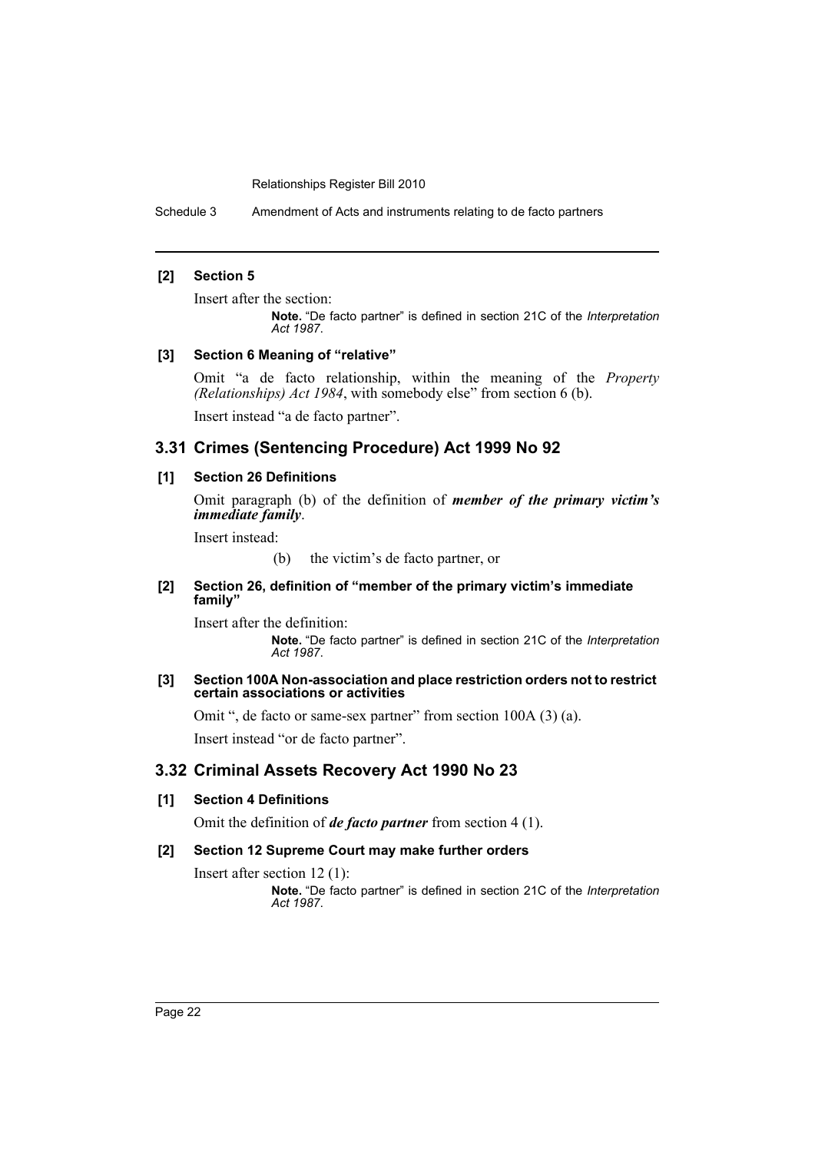Schedule 3 Amendment of Acts and instruments relating to de facto partners

## **[2] Section 5**

Insert after the section:

**Note.** "De facto partner" is defined in section 21C of the *Interpretation Act 1987*.

#### **[3] Section 6 Meaning of "relative"**

Omit "a de facto relationship, within the meaning of the *Property (Relationships) Act 1984*, with somebody else" from section 6 (b).

Insert instead "a de facto partner".

## **3.31 Crimes (Sentencing Procedure) Act 1999 No 92**

#### **[1] Section 26 Definitions**

Omit paragraph (b) of the definition of *member of the primary victim's immediate family*.

Insert instead:

(b) the victim's de facto partner, or

#### **[2] Section 26, definition of "member of the primary victim's immediate family"**

Insert after the definition:

**Note.** "De facto partner" is defined in section 21C of the *Interpretation Act 1987*.

#### **[3] Section 100A Non-association and place restriction orders not to restrict certain associations or activities**

Omit ", de facto or same-sex partner" from section 100A (3) (a). Insert instead "or de facto partner".

## **3.32 Criminal Assets Recovery Act 1990 No 23**

## **[1] Section 4 Definitions**

Omit the definition of *de facto partner* from section 4 (1).

#### **[2] Section 12 Supreme Court may make further orders**

Insert after section 12 (1):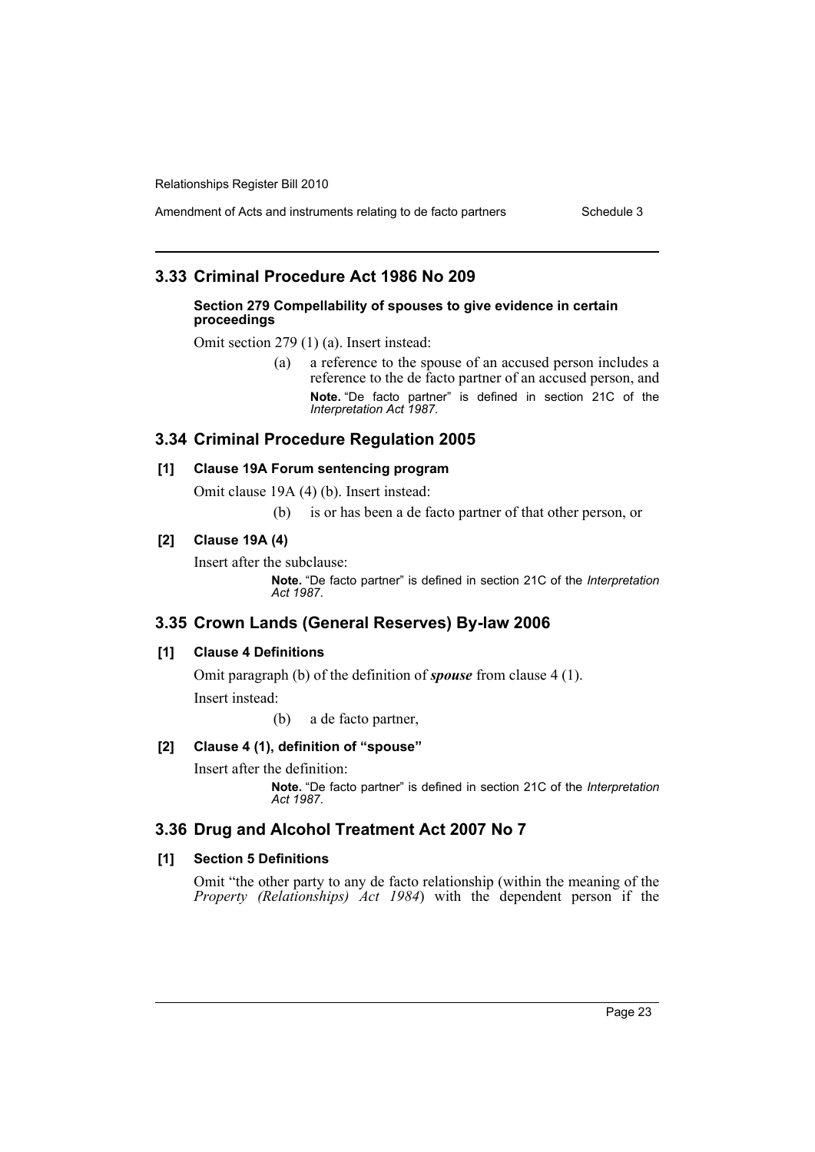Amendment of Acts and instruments relating to de facto partners Schedule 3

## **3.33 Criminal Procedure Act 1986 No 209**

#### **Section 279 Compellability of spouses to give evidence in certain proceedings**

Omit section 279 (1) (a). Insert instead:

(a) a reference to the spouse of an accused person includes a reference to the de facto partner of an accused person, and **Note.** "De facto partner" is defined in section 21C of the *Interpretation Act 1987*.

## **3.34 Criminal Procedure Regulation 2005**

#### **[1] Clause 19A Forum sentencing program**

Omit clause 19A (4) (b). Insert instead:

(b) is or has been a de facto partner of that other person, or

## **[2] Clause 19A (4)**

Insert after the subclause:

**Note.** "De facto partner" is defined in section 21C of the *Interpretation Act 1987*.

## **3.35 Crown Lands (General Reserves) By-law 2006**

#### **[1] Clause 4 Definitions**

Omit paragraph (b) of the definition of *spouse* from clause 4 (1). Insert instead:

(b) a de facto partner,

## **[2] Clause 4 (1), definition of "spouse"**

Insert after the definition: **Note.** "De facto partner" is defined in section 21C of the *Interpretation Act 1987*.

## **3.36 Drug and Alcohol Treatment Act 2007 No 7**

## **[1] Section 5 Definitions**

Omit "the other party to any de facto relationship (within the meaning of the *Property (Relationships) Act 1984*) with the dependent person if the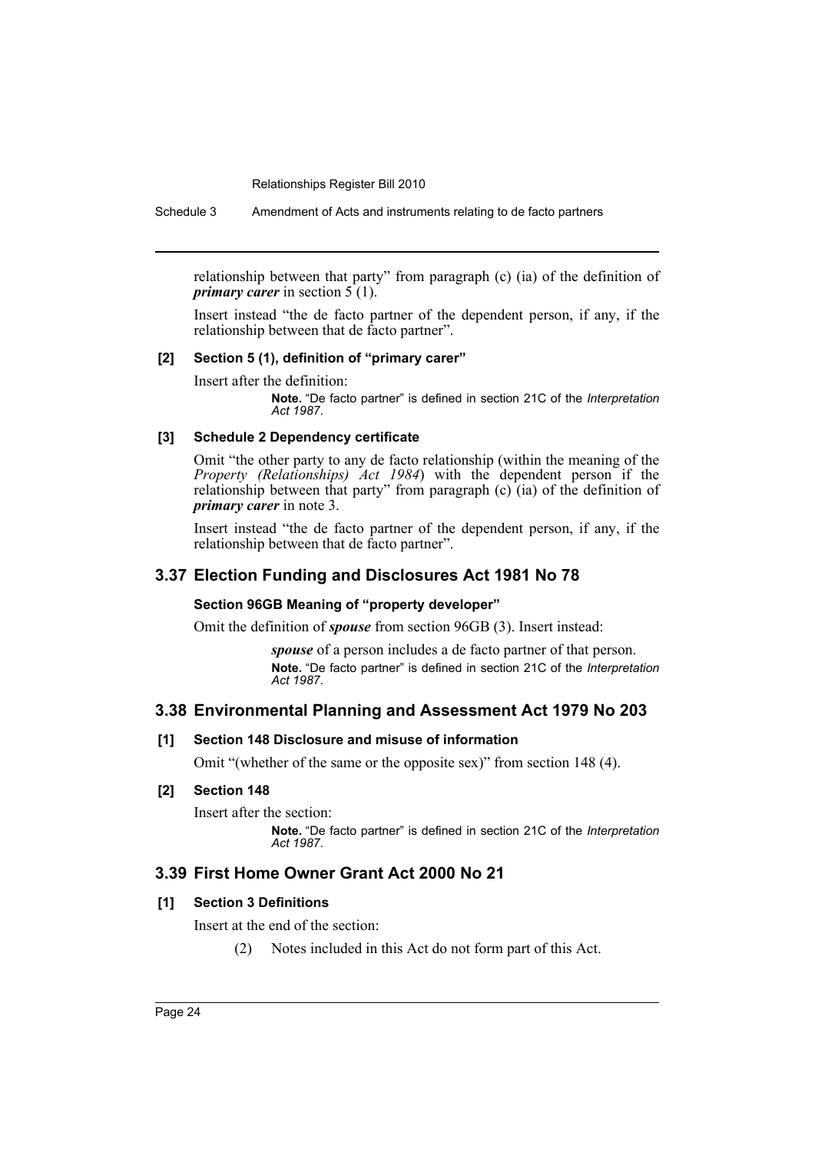Schedule 3 Amendment of Acts and instruments relating to de facto partners

relationship between that party" from paragraph (c) (ia) of the definition of *primary carer* in section  $5(1)$ .

Insert instead "the de facto partner of the dependent person, if any, if the relationship between that de facto partner".

## **[2] Section 5 (1), definition of "primary carer"**

Insert after the definition:

**Note.** "De facto partner" is defined in section 21C of the *Interpretation Act 1987*.

#### **[3] Schedule 2 Dependency certificate**

Omit "the other party to any de facto relationship (within the meaning of the *Property (Relationships) Act 1984*) with the dependent person if the relationship between that party" from paragraph (c) (ia) of the definition of *primary carer* in note 3.

Insert instead "the de facto partner of the dependent person, if any, if the relationship between that de facto partner".

## **3.37 Election Funding and Disclosures Act 1981 No 78**

#### **Section 96GB Meaning of "property developer"**

Omit the definition of *spouse* from section 96GB (3). Insert instead:

*spouse* of a person includes a de facto partner of that person. **Note.** "De facto partner" is defined in section 21C of the *Interpretation Act 1987*.

## **3.38 Environmental Planning and Assessment Act 1979 No 203**

#### **[1] Section 148 Disclosure and misuse of information**

Omit "(whether of the same or the opposite sex)" from section 148 (4).

## **[2] Section 148**

Insert after the section:

**Note.** "De facto partner" is defined in section 21C of the *Interpretation Act 1987*.

## **3.39 First Home Owner Grant Act 2000 No 21**

## **[1] Section 3 Definitions**

Insert at the end of the section:

(2) Notes included in this Act do not form part of this Act.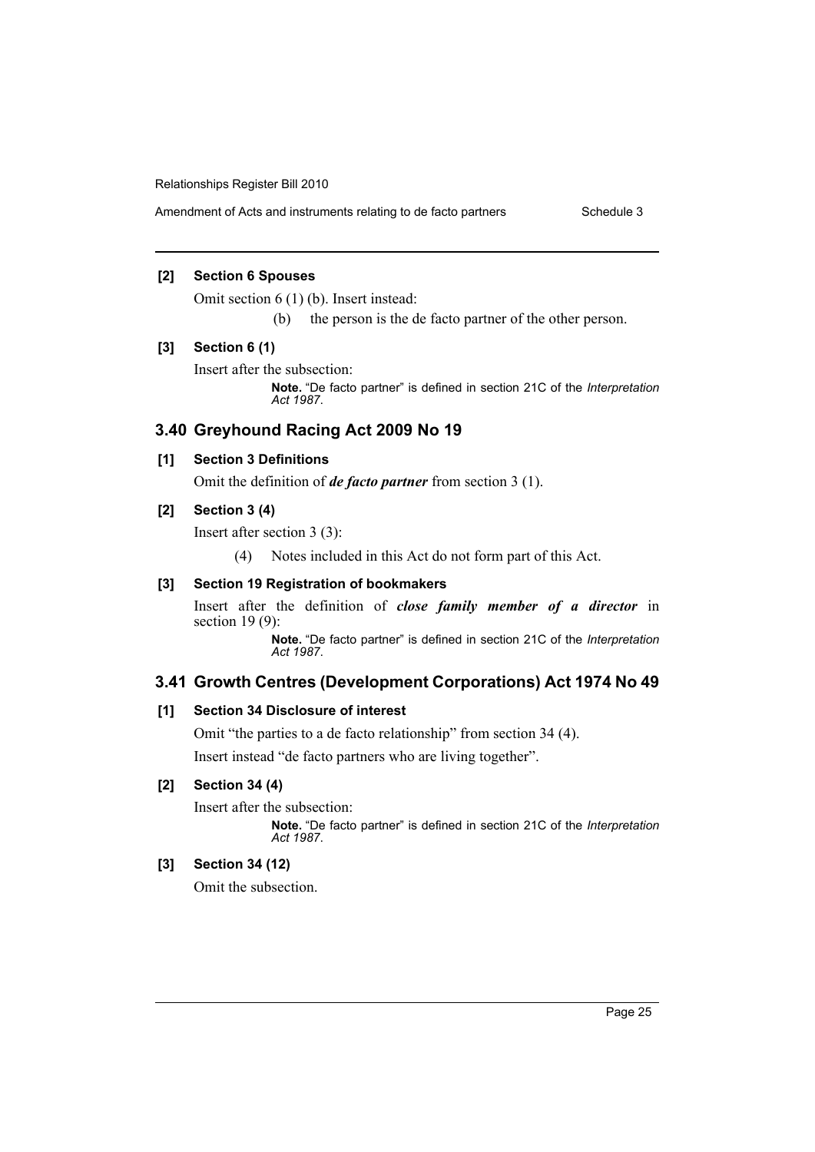Amendment of Acts and instruments relating to de facto partners Schedule 3

## **[2] Section 6 Spouses**

Omit section 6 (1) (b). Insert instead:

(b) the person is the de facto partner of the other person.

#### **[3] Section 6 (1)**

Insert after the subsection:

**Note.** "De facto partner" is defined in section 21C of the *Interpretation Act 1987*.

## **3.40 Greyhound Racing Act 2009 No 19**

## **[1] Section 3 Definitions**

Omit the definition of *de facto partner* from section 3 (1).

## **[2] Section 3 (4)**

Insert after section 3 (3):

(4) Notes included in this Act do not form part of this Act.

### **[3] Section 19 Registration of bookmakers**

Insert after the definition of *close family member of a director* in section 19 (9):

**Note.** "De facto partner" is defined in section 21C of the *Interpretation Act 1987*.

## **3.41 Growth Centres (Development Corporations) Act 1974 No 49**

## **[1] Section 34 Disclosure of interest**

Omit "the parties to a de facto relationship" from section 34 (4).

Insert instead "de facto partners who are living together".

## **[2] Section 34 (4)**

Insert after the subsection:

**Note.** "De facto partner" is defined in section 21C of the *Interpretation Act 1987*.

## **[3] Section 34 (12)**

Omit the subsection.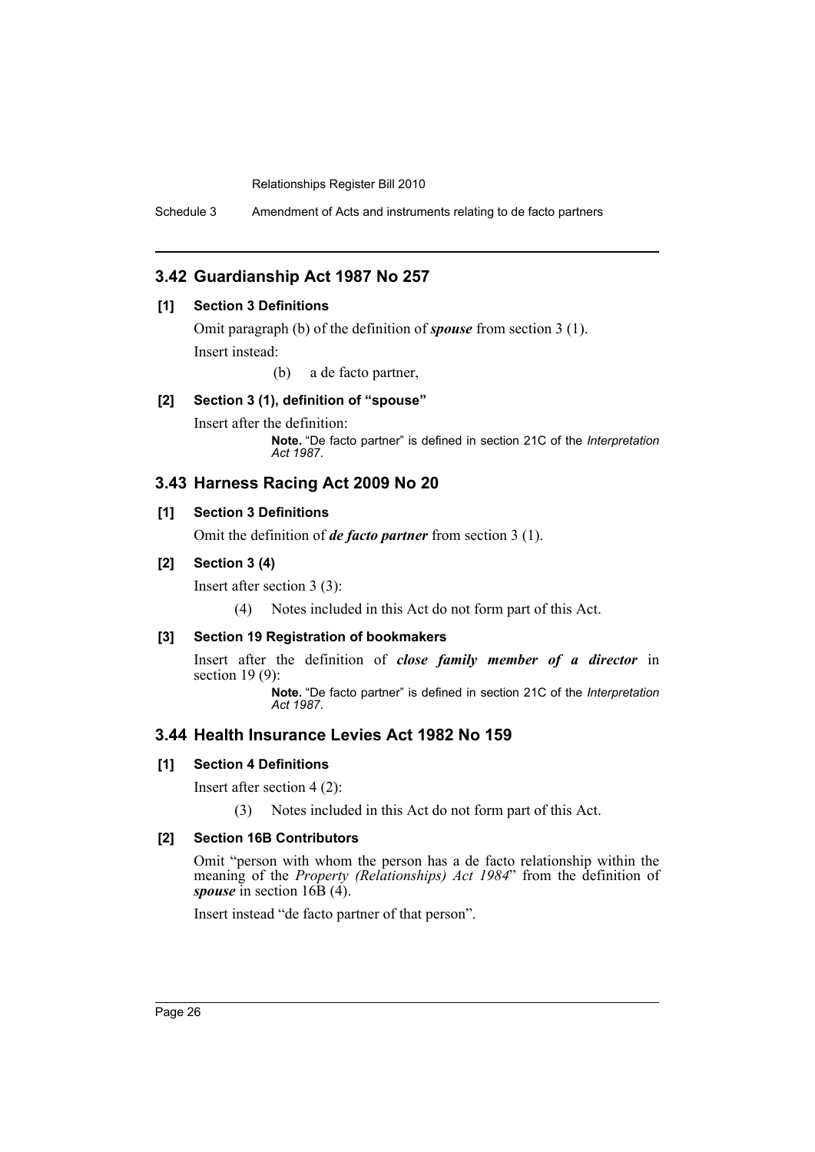Schedule 3 Amendment of Acts and instruments relating to de facto partners

## **3.42 Guardianship Act 1987 No 257**

## **[1] Section 3 Definitions**

Omit paragraph (b) of the definition of *spouse* from section 3 (1).

Insert instead:

(b) a de facto partner,

## **[2] Section 3 (1), definition of "spouse"**

Insert after the definition:

**Note.** "De facto partner" is defined in section 21C of the *Interpretation Act 1987*.

## **3.43 Harness Racing Act 2009 No 20**

## **[1] Section 3 Definitions**

Omit the definition of *de facto partner* from section 3 (1).

#### **[2] Section 3 (4)**

Insert after section 3 (3):

(4) Notes included in this Act do not form part of this Act.

## **[3] Section 19 Registration of bookmakers**

Insert after the definition of *close family member of a director* in section 19 (9):

**Note.** "De facto partner" is defined in section 21C of the *Interpretation Act 1987*.

## **3.44 Health Insurance Levies Act 1982 No 159**

## **[1] Section 4 Definitions**

Insert after section 4 (2):

(3) Notes included in this Act do not form part of this Act.

## **[2] Section 16B Contributors**

Omit "person with whom the person has a de facto relationship within the meaning of the *Property (Relationships) Act 1984*" from the definition of *spouse* in section 16B (4).

Insert instead "de facto partner of that person".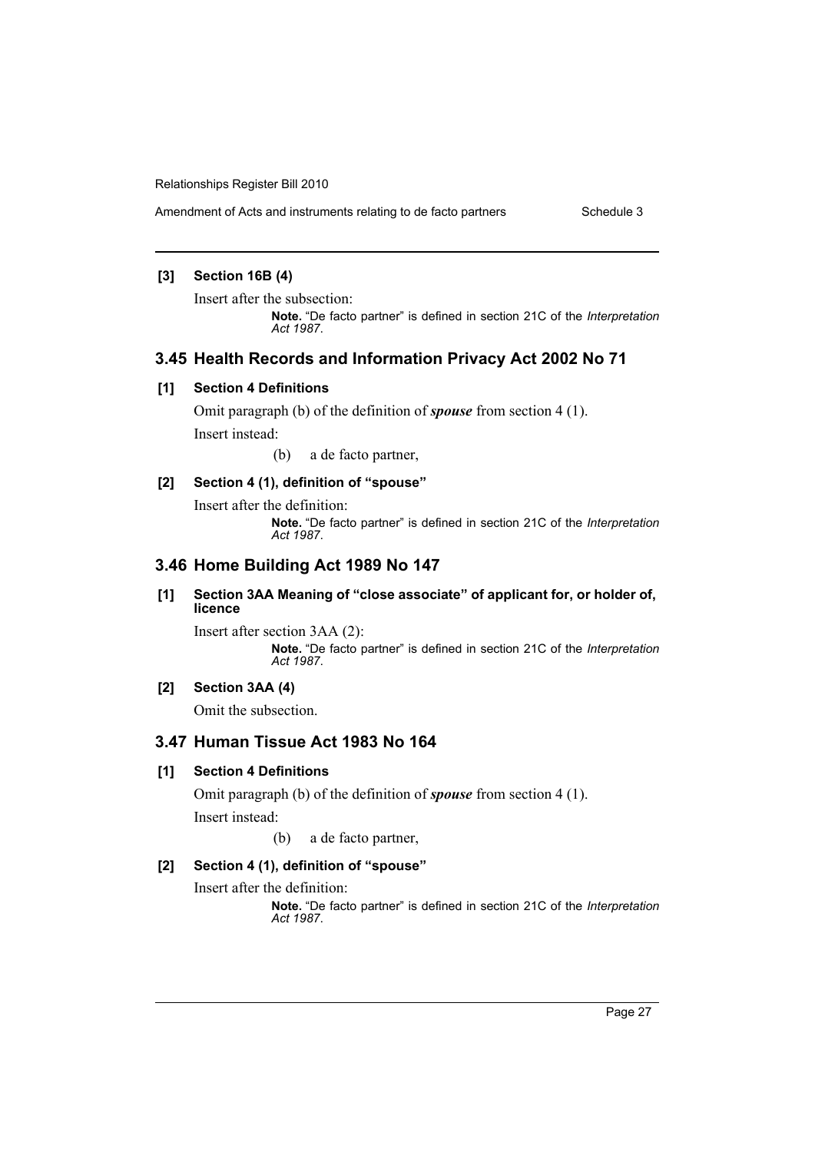Amendment of Acts and instruments relating to de facto partners Schedule 3

# **[3] Section 16B (4)**

Insert after the subsection:

**Note.** "De facto partner" is defined in section 21C of the *Interpretation Act 1987*.

## **3.45 Health Records and Information Privacy Act 2002 No 71**

#### **[1] Section 4 Definitions**

Omit paragraph (b) of the definition of *spouse* from section 4 (1).

Insert instead:

(b) a de facto partner,

## **[2] Section 4 (1), definition of "spouse"**

Insert after the definition:

**Note.** "De facto partner" is defined in section 21C of the *Interpretation Act 1987*.

# **3.46 Home Building Act 1989 No 147**

#### **[1] Section 3AA Meaning of "close associate" of applicant for, or holder of, licence**

Insert after section 3AA (2): **Note.** "De facto partner" is defined in section 21C of the *Interpretation Act 1987*.

## **[2] Section 3AA (4)**

Omit the subsection.

## **3.47 Human Tissue Act 1983 No 164**

## **[1] Section 4 Definitions**

Omit paragraph (b) of the definition of *spouse* from section 4 (1). Insert instead:

(b) a de facto partner,

## **[2] Section 4 (1), definition of "spouse"**

Insert after the definition: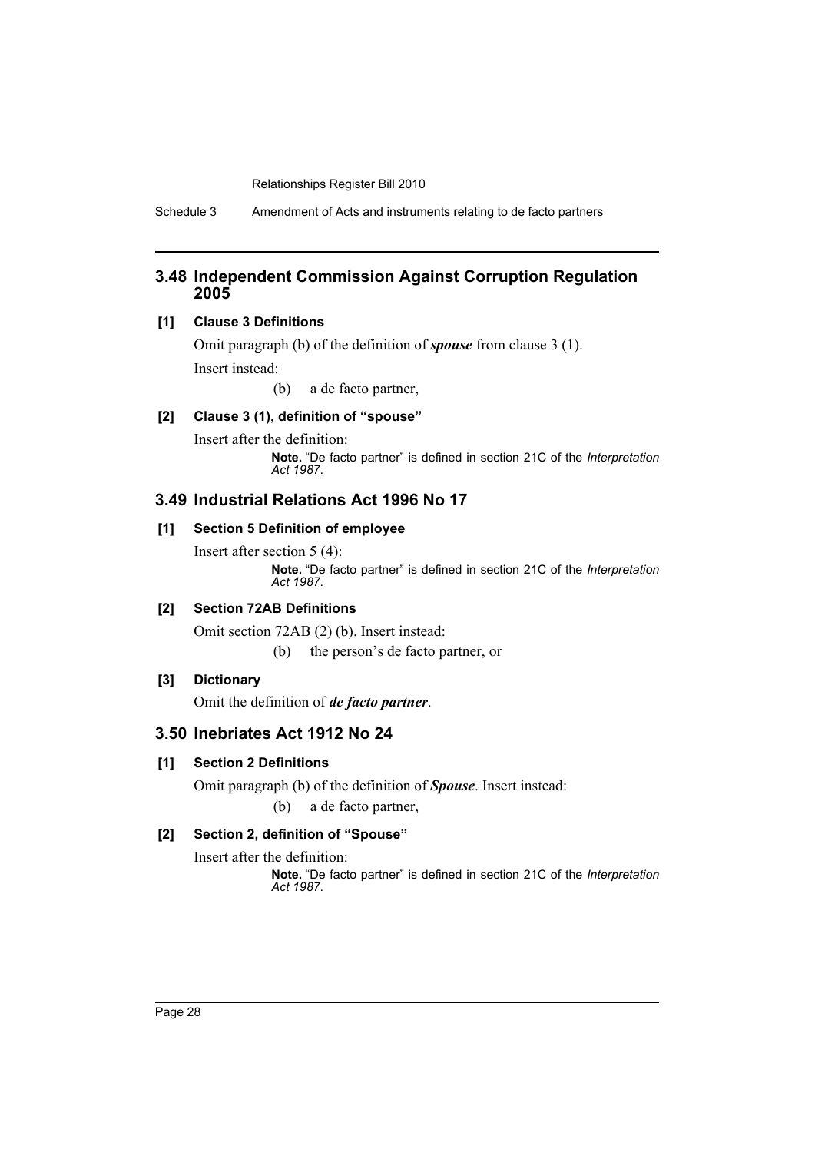Schedule 3 Amendment of Acts and instruments relating to de facto partners

## **3.48 Independent Commission Against Corruption Regulation 2005**

## **[1] Clause 3 Definitions**

Omit paragraph (b) of the definition of *spouse* from clause 3 (1). Insert instead:

(b) a de facto partner,

## **[2] Clause 3 (1), definition of "spouse"**

Insert after the definition: **Note.** "De facto partner" is defined in section 21C of the *Interpretation Act 1987*.

## **3.49 Industrial Relations Act 1996 No 17**

## **[1] Section 5 Definition of employee**

Insert after section 5 (4): **Note.** "De facto partner" is defined in section 21C of the *Interpretation Act 1987*.

## **[2] Section 72AB Definitions**

Omit section 72AB (2) (b). Insert instead:

(b) the person's de facto partner, or

## **[3] Dictionary**

Omit the definition of *de facto partner*.

## **3.50 Inebriates Act 1912 No 24**

## **[1] Section 2 Definitions**

Omit paragraph (b) of the definition of *Spouse*. Insert instead: (b) a de facto partner,

## **[2] Section 2, definition of "Spouse"**

Insert after the definition: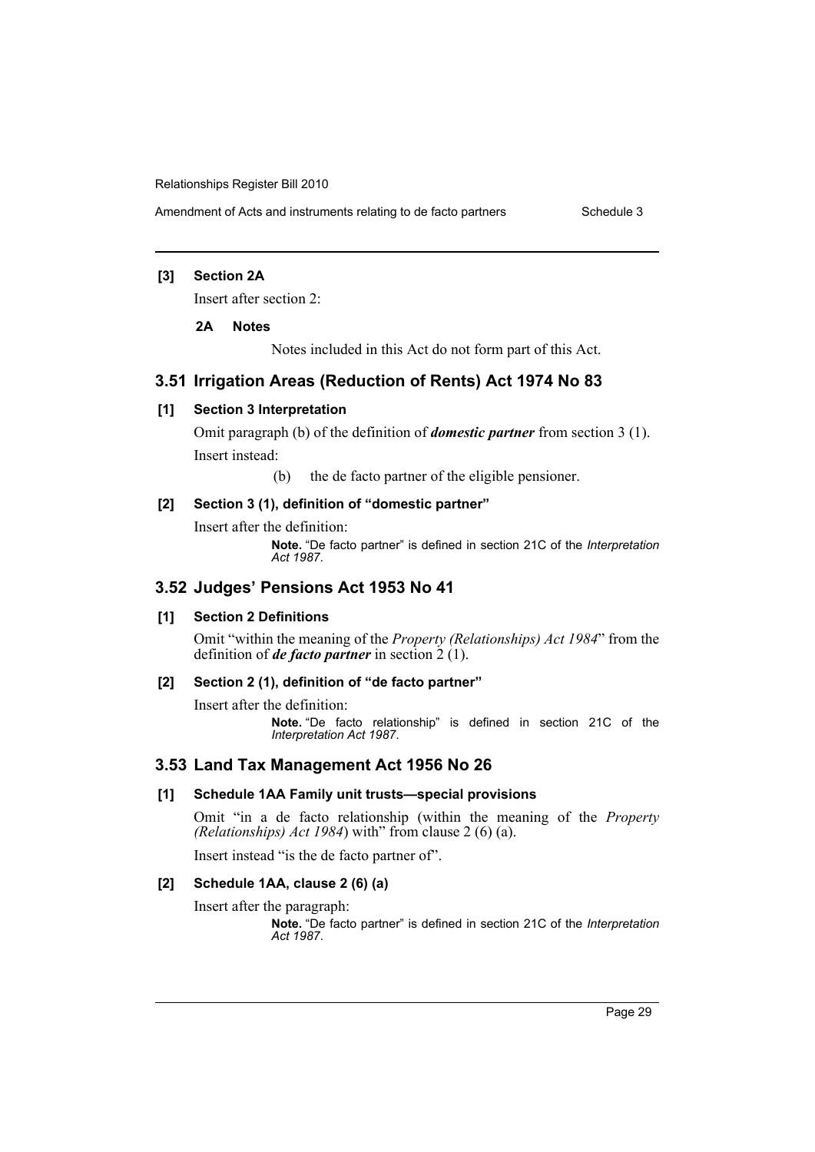Amendment of Acts and instruments relating to de facto partners Schedule 3

## **[3] Section 2A**

Insert after section 2:

#### **2A Notes**

Notes included in this Act do not form part of this Act.

## **3.51 Irrigation Areas (Reduction of Rents) Act 1974 No 83**

## **[1] Section 3 Interpretation**

Omit paragraph (b) of the definition of *domestic partner* from section 3 (1). Insert instead:

(b) the de facto partner of the eligible pensioner.

## **[2] Section 3 (1), definition of "domestic partner"**

Insert after the definition: **Note.** "De facto partner" is defined in section 21C of the *Interpretation Act 1987*.

## **3.52 Judges' Pensions Act 1953 No 41**

#### **[1] Section 2 Definitions**

Omit "within the meaning of the *Property (Relationships) Act 1984*" from the definition of *de facto partner* in section  $\frac{2}{1}$ .

## **[2] Section 2 (1), definition of "de facto partner"**

Insert after the definition:

**Note.** "De facto relationship" is defined in section 21C of the *Interpretation Act 1987*.

#### **3.53 Land Tax Management Act 1956 No 26**

#### **[1] Schedule 1AA Family unit trusts—special provisions**

Omit "in a de facto relationship (within the meaning of the *Property (Relationships) Act 1984*) with" from clause 2 (6) (a).

Insert instead "is the de facto partner of".

## **[2] Schedule 1AA, clause 2 (6) (a)**

Insert after the paragraph: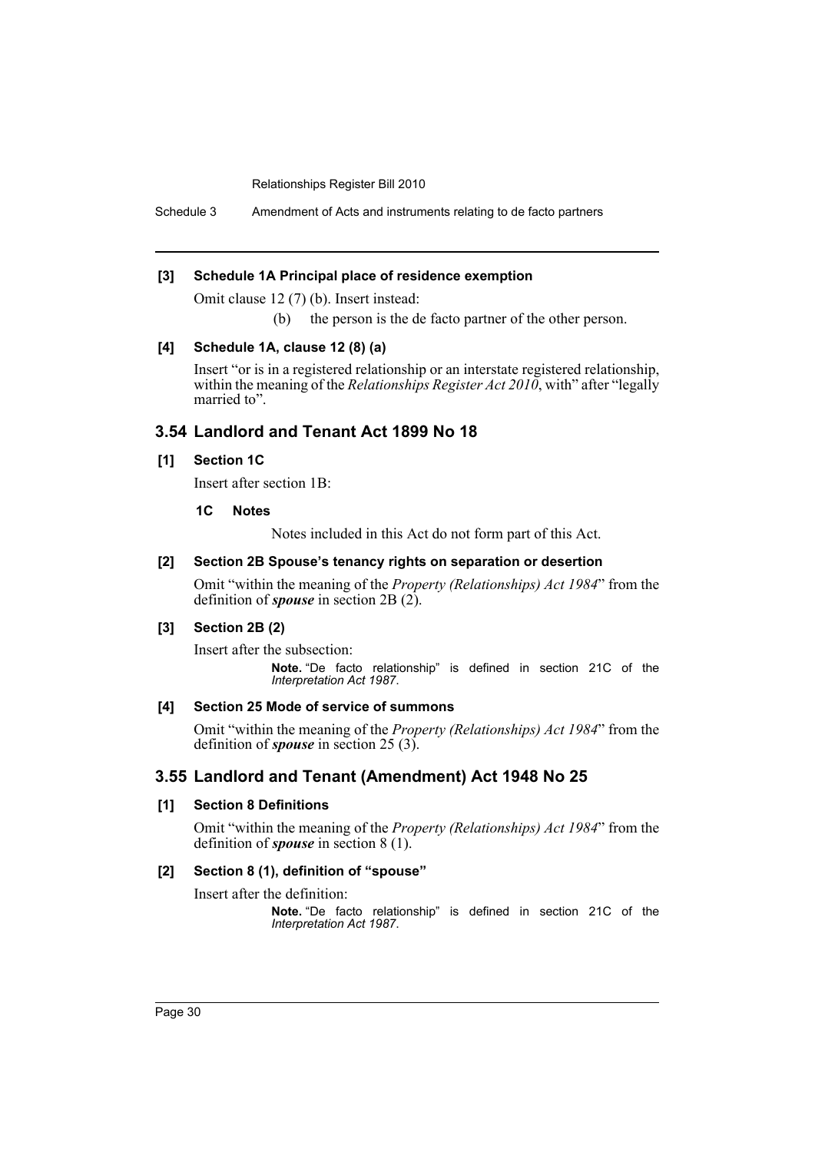Schedule 3 Amendment of Acts and instruments relating to de facto partners

#### **[3] Schedule 1A Principal place of residence exemption**

Omit clause 12 (7) (b). Insert instead:

(b) the person is the de facto partner of the other person.

#### **[4] Schedule 1A, clause 12 (8) (a)**

Insert "or is in a registered relationship or an interstate registered relationship, within the meaning of the *Relationships Register Act 2010*, with" after "legally married to".

## **3.54 Landlord and Tenant Act 1899 No 18**

#### **[1] Section 1C**

Insert after section 1B:

#### **1C Notes**

Notes included in this Act do not form part of this Act.

## **[2] Section 2B Spouse's tenancy rights on separation or desertion**

Omit "within the meaning of the *Property (Relationships) Act 1984*" from the definition of *spouse* in section 2B (2).

#### **[3] Section 2B (2)**

Insert after the subsection: **Note.** "De facto relationship" is defined in section 21C of the *Interpretation Act 1987*.

#### **[4] Section 25 Mode of service of summons**

Omit "within the meaning of the *Property (Relationships) Act 1984*" from the definition of *spouse* in section 25 (3).

## **3.55 Landlord and Tenant (Amendment) Act 1948 No 25**

## **[1] Section 8 Definitions**

Omit "within the meaning of the *Property (Relationships) Act 1984*" from the definition of *spouse* in section 8 (1).

#### **[2] Section 8 (1), definition of "spouse"**

Insert after the definition: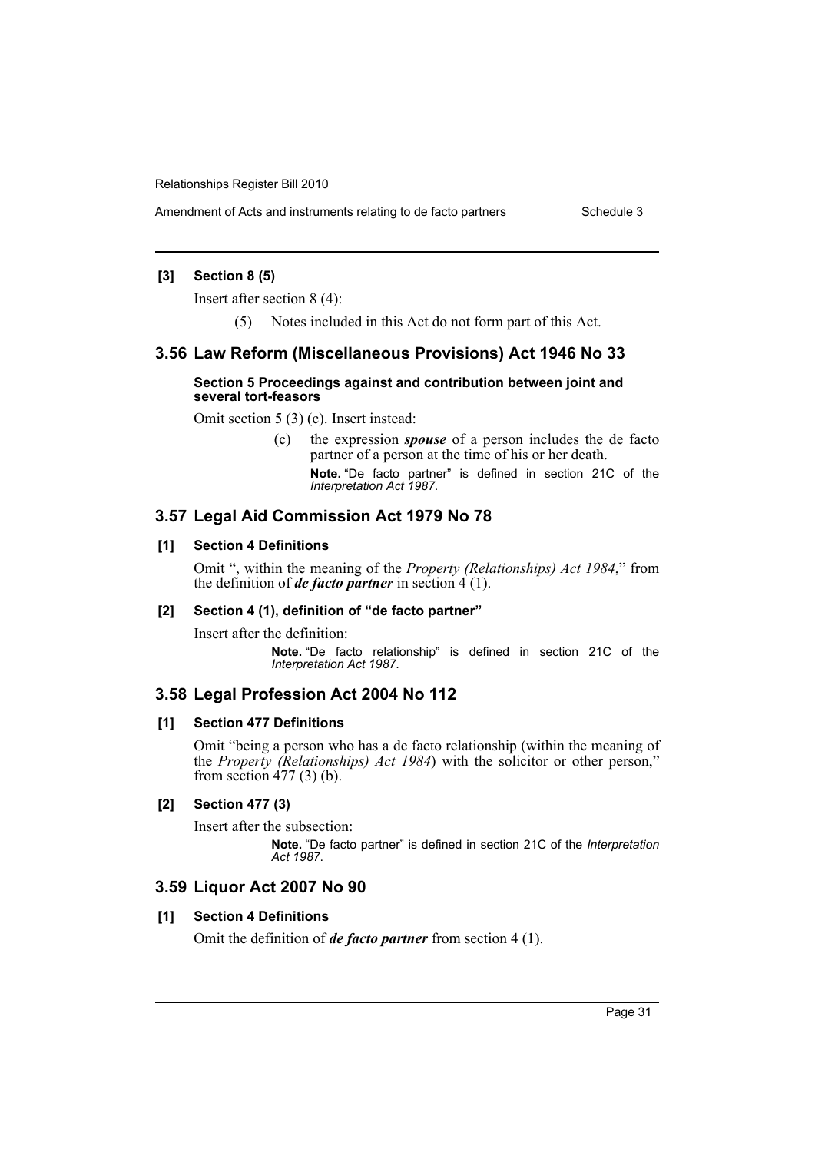Amendment of Acts and instruments relating to de facto partners Schedule 3

## **[3] Section 8 (5)**

Insert after section 8 (4):

(5) Notes included in this Act do not form part of this Act.

## **3.56 Law Reform (Miscellaneous Provisions) Act 1946 No 33**

#### **Section 5 Proceedings against and contribution between joint and several tort-feasors**

Omit section 5 (3) (c). Insert instead:

(c) the expression *spouse* of a person includes the de facto partner of a person at the time of his or her death. **Note.** "De facto partner" is defined in section 21C of the *Interpretation Act 1987*.

## **3.57 Legal Aid Commission Act 1979 No 78**

#### **[1] Section 4 Definitions**

Omit ", within the meaning of the *Property (Relationships) Act 1984*," from the definition of *de facto partner* in section  $4(1)$ .

#### **[2] Section 4 (1), definition of "de facto partner"**

Insert after the definition: **Note.** "De facto relationship" is defined in section 21C of the *Interpretation Act 1987*.

## **3.58 Legal Profession Act 2004 No 112**

#### **[1] Section 477 Definitions**

Omit "being a person who has a de facto relationship (within the meaning of the *Property (Relationships) Act 1984*) with the solicitor or other person," from section 477 (3) (b).

## **[2] Section 477 (3)**

Insert after the subsection: **Note.** "De facto partner" is defined in section 21C of the *Interpretation Act 1987*.

# **3.59 Liquor Act 2007 No 90**

#### **[1] Section 4 Definitions**

Omit the definition of *de facto partner* from section 4 (1).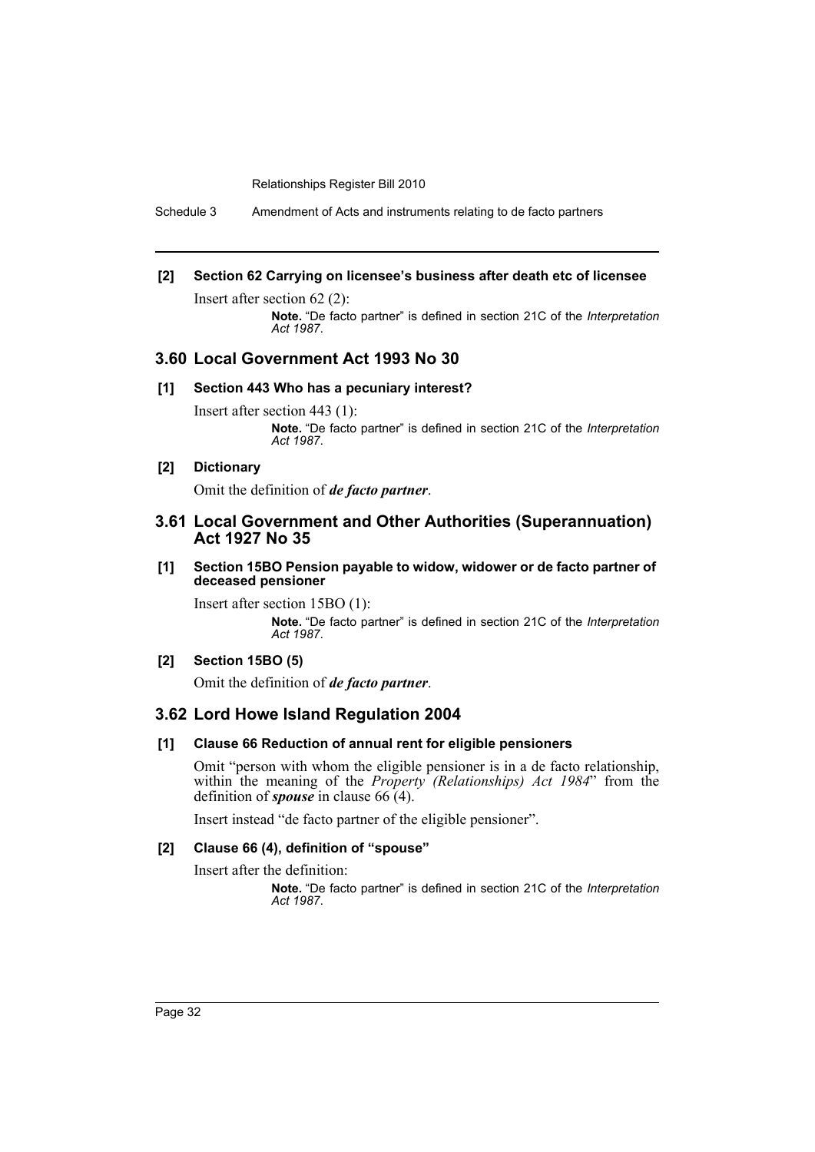Schedule 3 Amendment of Acts and instruments relating to de facto partners

## **[2] Section 62 Carrying on licensee's business after death etc of licensee**

Insert after section 62 (2):

**Note.** "De facto partner" is defined in section 21C of the *Interpretation Act 1987*.

## **3.60 Local Government Act 1993 No 30**

#### **[1] Section 443 Who has a pecuniary interest?**

Insert after section 443 (1): **Note.** "De facto partner" is defined in section 21C of the *Interpretation Act 1987*.

## **[2] Dictionary**

Omit the definition of *de facto partner*.

## **3.61 Local Government and Other Authorities (Superannuation) Act 1927 No 35**

#### **[1] Section 15BO Pension payable to widow, widower or de facto partner of deceased pensioner**

Insert after section 15BO (1): **Note.** "De facto partner" is defined in section 21C of the *Interpretation Act 1987*.

## **[2] Section 15BO (5)**

Omit the definition of *de facto partner*.

## **3.62 Lord Howe Island Regulation 2004**

## **[1] Clause 66 Reduction of annual rent for eligible pensioners**

Omit "person with whom the eligible pensioner is in a de facto relationship, within the meaning of the *Property (Relationships) Act 1984*" from the definition of *spouse* in clause 66 (4).

Insert instead "de facto partner of the eligible pensioner".

# **[2] Clause 66 (4), definition of "spouse"**

Insert after the definition: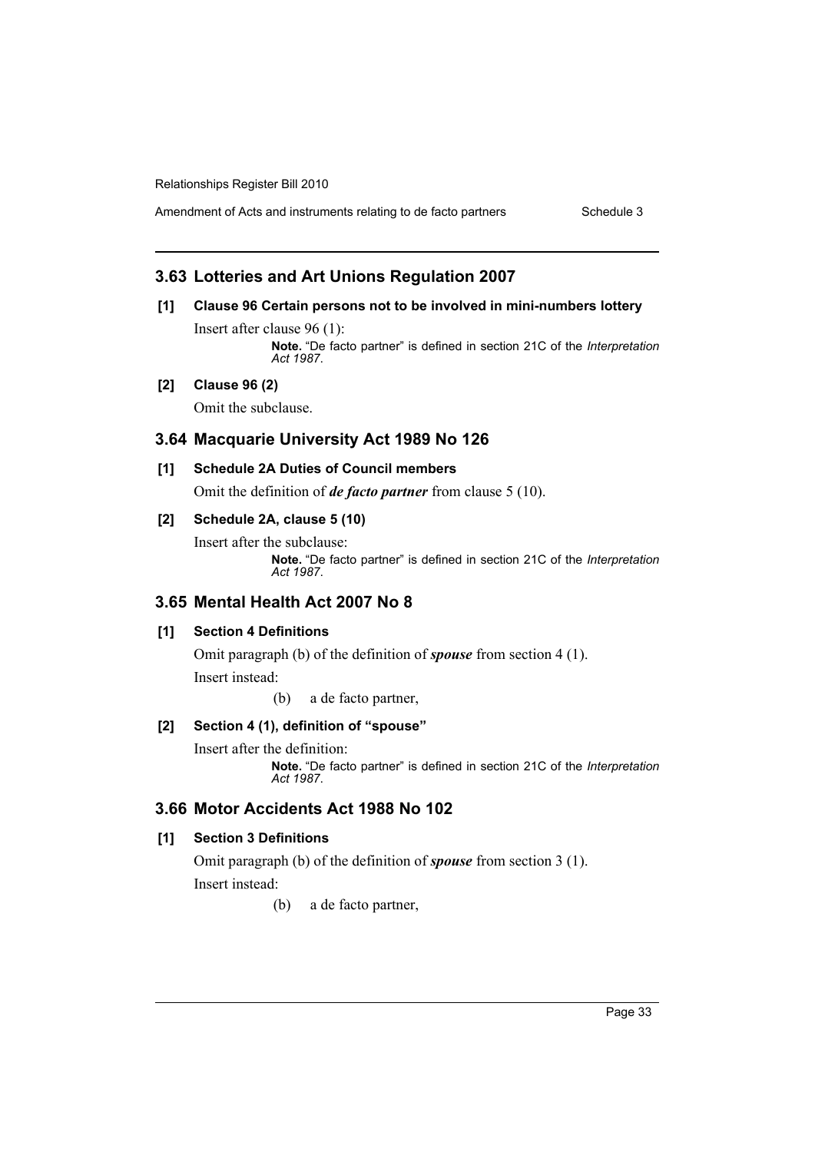Amendment of Acts and instruments relating to de facto partners Schedule 3

## **3.63 Lotteries and Art Unions Regulation 2007**

## **[1] Clause 96 Certain persons not to be involved in mini-numbers lottery**

Insert after clause 96 (1): **Note.** "De facto partner" is defined in section 21C of the *Interpretation Act 1987*.

## **[2] Clause 96 (2)**

Omit the subclause.

## **3.64 Macquarie University Act 1989 No 126**

#### **[1] Schedule 2A Duties of Council members**

Omit the definition of *de facto partner* from clause 5 (10).

## **[2] Schedule 2A, clause 5 (10)**

Insert after the subclause: **Note.** "De facto partner" is defined in section 21C of the *Interpretation Act 1987*.

## **3.65 Mental Health Act 2007 No 8**

## **[1] Section 4 Definitions**

Omit paragraph (b) of the definition of *spouse* from section 4 (1). Insert instead:

(b) a de facto partner,

## **[2] Section 4 (1), definition of "spouse"**

Insert after the definition:

**Note.** "De facto partner" is defined in section 21C of the *Interpretation Act 1987*.

## **3.66 Motor Accidents Act 1988 No 102**

## **[1] Section 3 Definitions**

Omit paragraph (b) of the definition of *spouse* from section 3 (1). Insert instead:

(b) a de facto partner,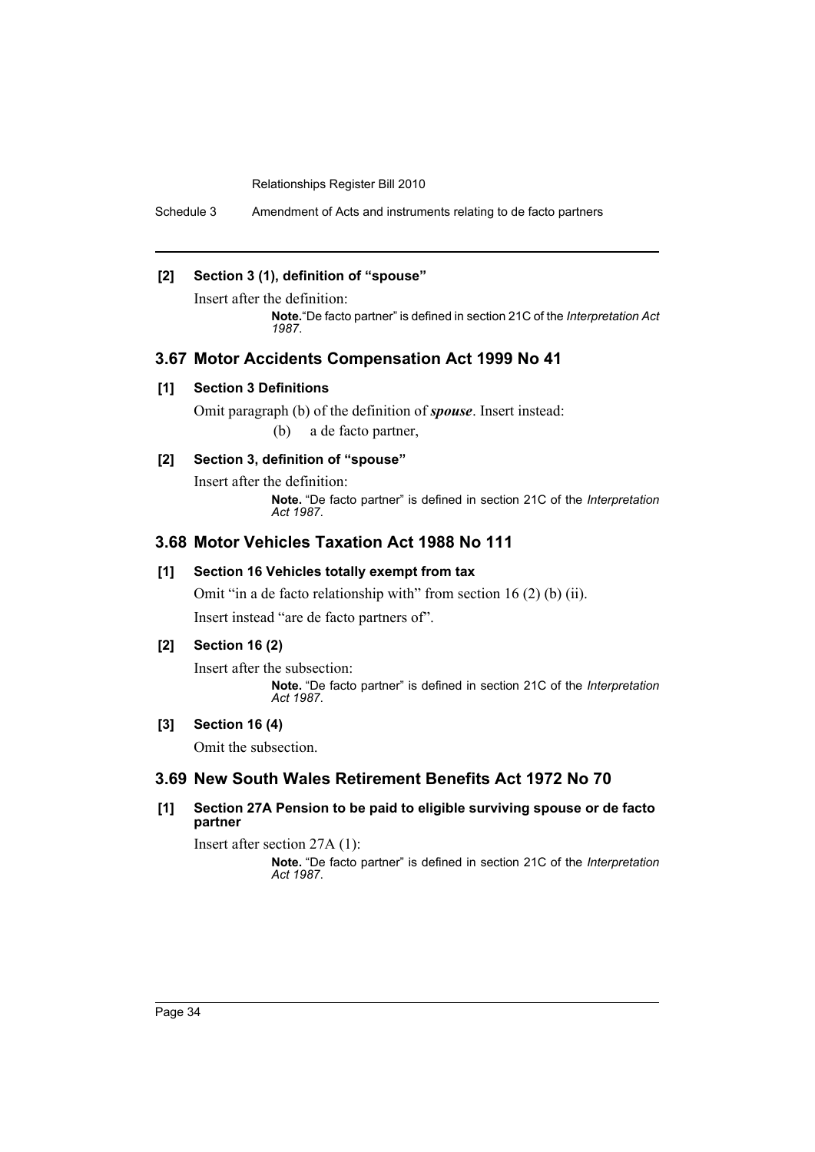Schedule 3 Amendment of Acts and instruments relating to de facto partners

## **[2] Section 3 (1), definition of "spouse"**

Insert after the definition:

**Note.**"De facto partner" is defined in section 21C of the *Interpretation Act 1987*.

## **3.67 Motor Accidents Compensation Act 1999 No 41**

#### **[1] Section 3 Definitions**

Omit paragraph (b) of the definition of *spouse*. Insert instead: (b) a de facto partner,

## **[2] Section 3, definition of "spouse"**

Insert after the definition: **Note.** "De facto partner" is defined in section 21C of the *Interpretation Act 1987*.

## **3.68 Motor Vehicles Taxation Act 1988 No 111**

#### **[1] Section 16 Vehicles totally exempt from tax**

Omit "in a de facto relationship with" from section 16 (2) (b) (ii). Insert instead "are de facto partners of".

## **[2] Section 16 (2)**

Insert after the subsection: **Note.** "De facto partner" is defined in section 21C of the *Interpretation Act 1987*.

## **[3] Section 16 (4)**

Omit the subsection.

# **3.69 New South Wales Retirement Benefits Act 1972 No 70**

**[1] Section 27A Pension to be paid to eligible surviving spouse or de facto partner**

Insert after section 27A (1):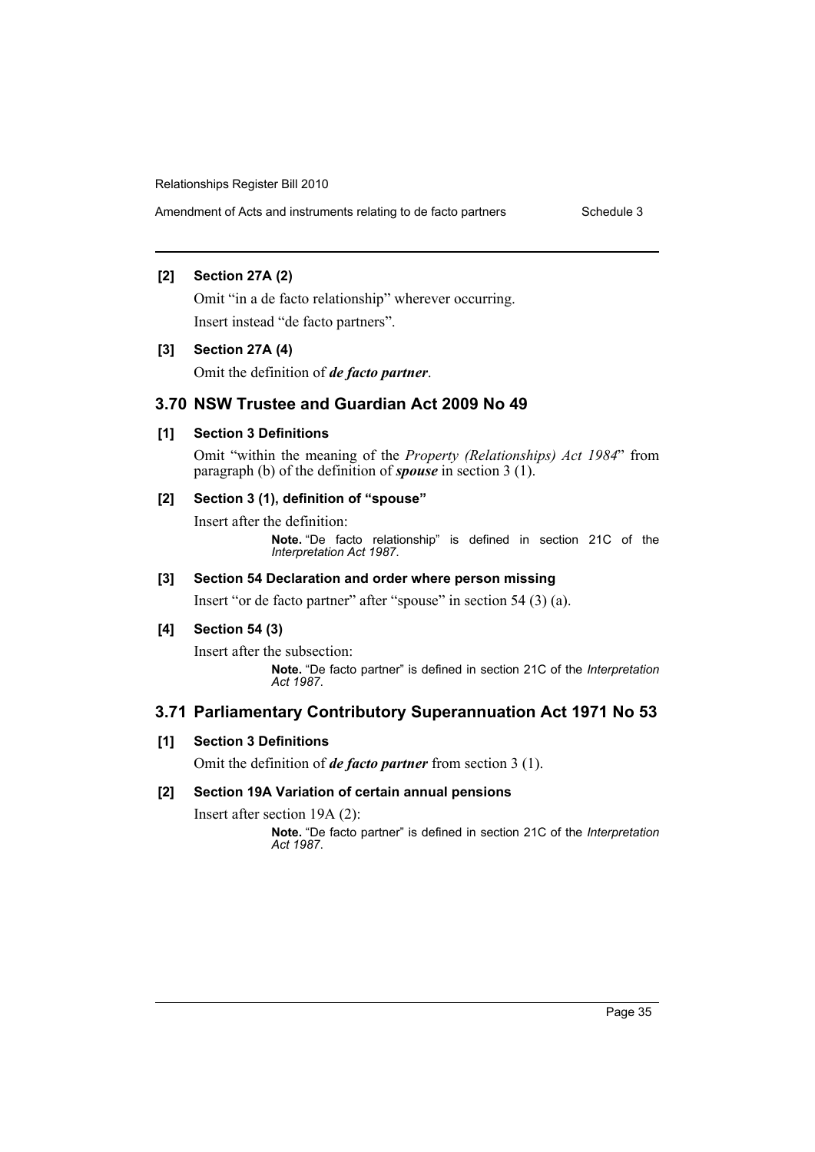Amendment of Acts and instruments relating to de facto partners Schedule 3

## **[2] Section 27A (2)**

Omit "in a de facto relationship" wherever occurring. Insert instead "de facto partners".

## **[3] Section 27A (4)**

Omit the definition of *de facto partner*.

## **3.70 NSW Trustee and Guardian Act 2009 No 49**

## **[1] Section 3 Definitions**

Omit "within the meaning of the *Property (Relationships) Act 1984*" from paragraph (b) of the definition of *spouse* in section 3 (1).

## **[2] Section 3 (1), definition of "spouse"**

Insert after the definition:

**Note.** "De facto relationship" is defined in section 21C of the *Interpretation Act 1987*.

## **[3] Section 54 Declaration and order where person missing**

Insert "or de facto partner" after "spouse" in section 54 (3) (a).

## **[4] Section 54 (3)**

Insert after the subsection: **Note.** "De facto partner" is defined in section 21C of the *Interpretation Act 1987*.

# **3.71 Parliamentary Contributory Superannuation Act 1971 No 53**

## **[1] Section 3 Definitions**

Omit the definition of *de facto partner* from section 3 (1).

## **[2] Section 19A Variation of certain annual pensions**

Insert after section 19A (2):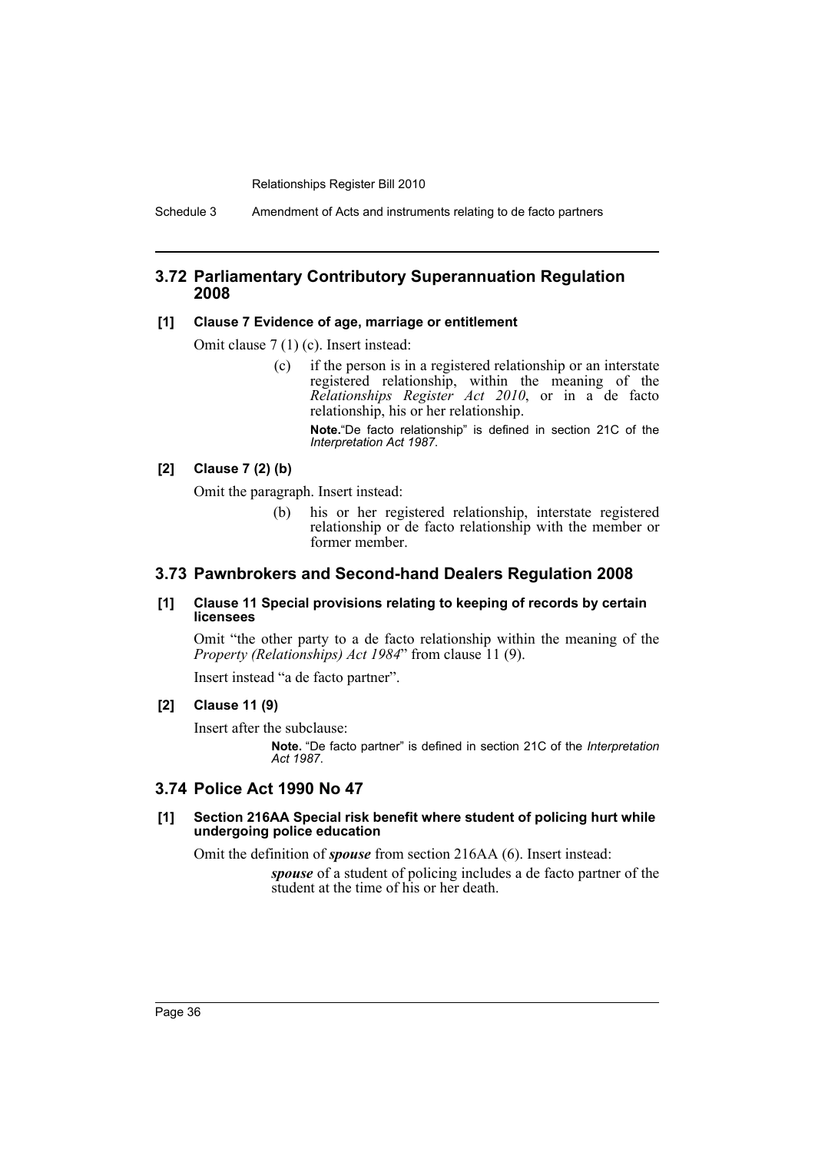Schedule 3 Amendment of Acts and instruments relating to de facto partners

## **3.72 Parliamentary Contributory Superannuation Regulation 2008**

#### **[1] Clause 7 Evidence of age, marriage or entitlement**

Omit clause 7 (1) (c). Insert instead:

(c) if the person is in a registered relationship or an interstate registered relationship, within the meaning of the *Relationships Register Act 2010*, or in a de facto relationship, his or her relationship.

**Note.**"De facto relationship" is defined in section 21C of the *Interpretation Act 1987*.

#### **[2] Clause 7 (2) (b)**

Omit the paragraph. Insert instead:

(b) his or her registered relationship, interstate registered relationship or de facto relationship with the member or former member.

## **3.73 Pawnbrokers and Second-hand Dealers Regulation 2008**

#### **[1] Clause 11 Special provisions relating to keeping of records by certain licensees**

Omit "the other party to a de facto relationship within the meaning of the *Property (Relationships) Act 1984*" from clause 11 (9).

Insert instead "a de facto partner".

#### **[2] Clause 11 (9)**

Insert after the subclause:

**Note.** "De facto partner" is defined in section 21C of the *Interpretation Act 1987*.

## **3.74 Police Act 1990 No 47**

#### **[1] Section 216AA Special risk benefit where student of policing hurt while undergoing police education**

Omit the definition of *spouse* from section 216AA (6). Insert instead:

*spouse* of a student of policing includes a de facto partner of the student at the time of his or her death.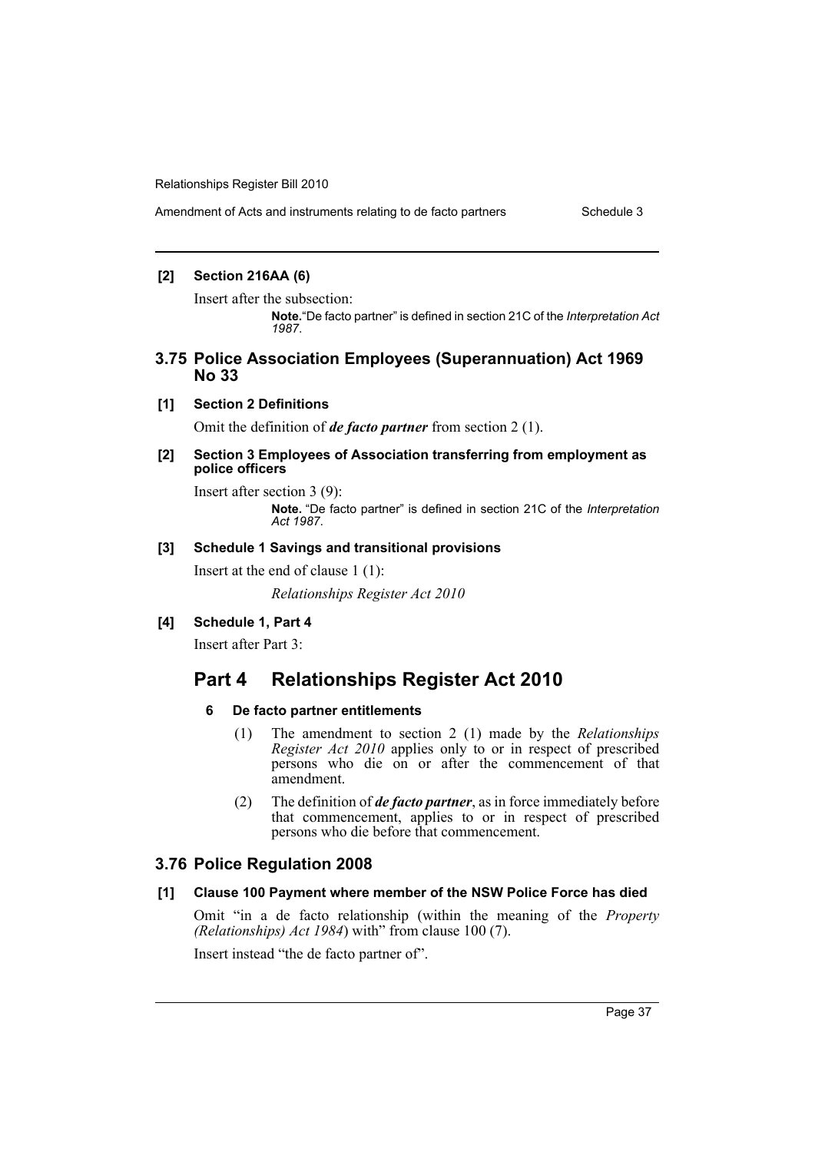## **[2] Section 216AA (6)**

Insert after the subsection:

**Note.**"De facto partner" is defined in section 21C of the *Interpretation Act 1987*.

## **3.75 Police Association Employees (Superannuation) Act 1969 No 33**

#### **[1] Section 2 Definitions**

Omit the definition of *de facto partner* from section 2 (1).

#### **[2] Section 3 Employees of Association transferring from employment as police officers**

Insert after section 3 (9):

**Note.** "De facto partner" is defined in section 21C of the *Interpretation Act 1987*.

#### **[3] Schedule 1 Savings and transitional provisions**

Insert at the end of clause 1 (1):

*Relationships Register Act 2010*

## **[4] Schedule 1, Part 4**

Insert after Part 3:

# **Part 4 Relationships Register Act 2010**

## **6 De facto partner entitlements**

- (1) The amendment to section 2 (1) made by the *Relationships Register Act 2010* applies only to or in respect of prescribed persons who die on or after the commencement of that amendment.
- (2) The definition of *de facto partner*, as in force immediately before that commencement, applies to or in respect of prescribed persons who die before that commencement.

## **3.76 Police Regulation 2008**

## **[1] Clause 100 Payment where member of the NSW Police Force has died**

Omit "in a de facto relationship (within the meaning of the *Property (Relationships) Act 1984*) with" from clause 100 (7).

Insert instead "the de facto partner of".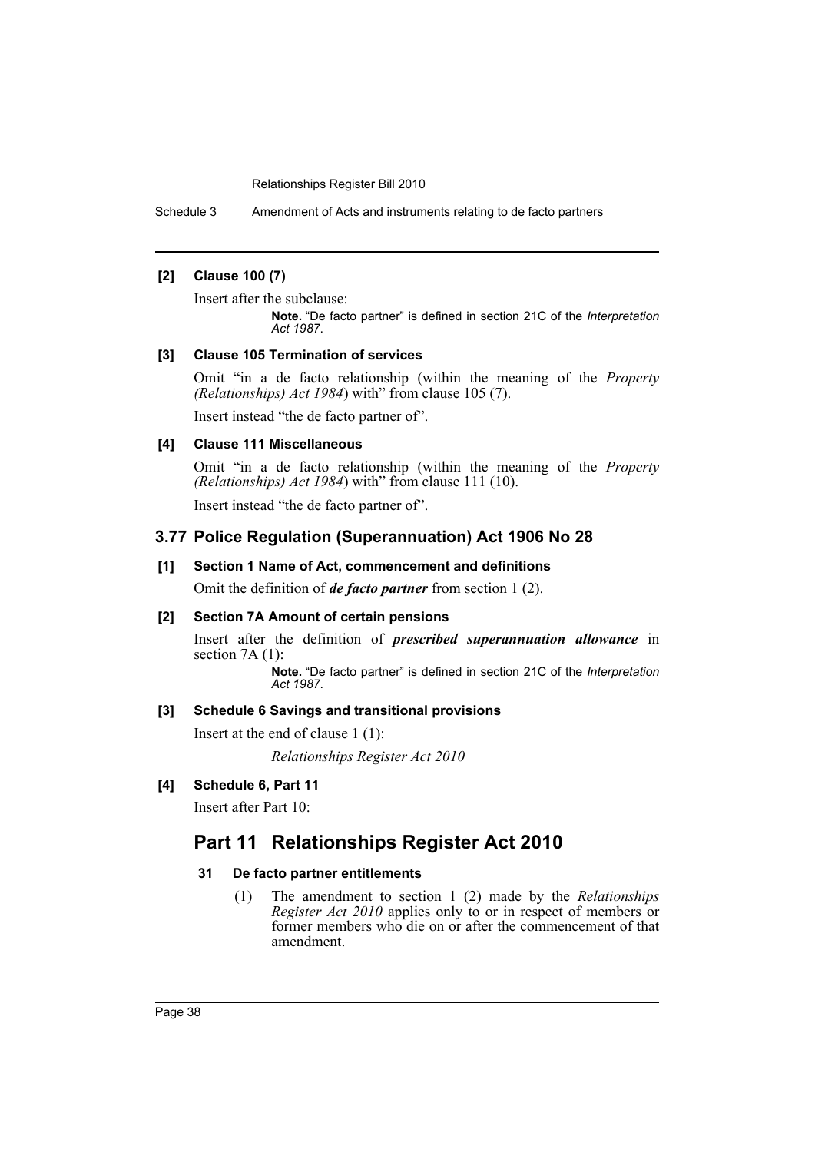Schedule 3 Amendment of Acts and instruments relating to de facto partners

## **[2] Clause 100 (7)**

Insert after the subclause:

**Note.** "De facto partner" is defined in section 21C of the *Interpretation Act 1987*.

### **[3] Clause 105 Termination of services**

Omit "in a de facto relationship (within the meaning of the *Property (Relationships) Act 1984*) with" from clause 105 (7).

Insert instead "the de facto partner of".

#### **[4] Clause 111 Miscellaneous**

Omit "in a de facto relationship (within the meaning of the *Property (Relationships) Act 1984*) with" from clause 111 (10).

Insert instead "the de facto partner of".

## **3.77 Police Regulation (Superannuation) Act 1906 No 28**

#### **[1] Section 1 Name of Act, commencement and definitions**

Omit the definition of *de facto partner* from section 1 (2).

## **[2] Section 7A Amount of certain pensions**

Insert after the definition of *prescribed superannuation allowance* in section 7A (1):

**Note.** "De facto partner" is defined in section 21C of the *Interpretation Act 1987*.

## **[3] Schedule 6 Savings and transitional provisions**

Insert at the end of clause 1 (1):

*Relationships Register Act 2010*

## **[4] Schedule 6, Part 11**

Insert after Part 10:

# **Part 11 Relationships Register Act 2010**

## **31 De facto partner entitlements**

(1) The amendment to section 1 (2) made by the *Relationships Register Act 2010* applies only to or in respect of members or former members who die on or after the commencement of that amendment.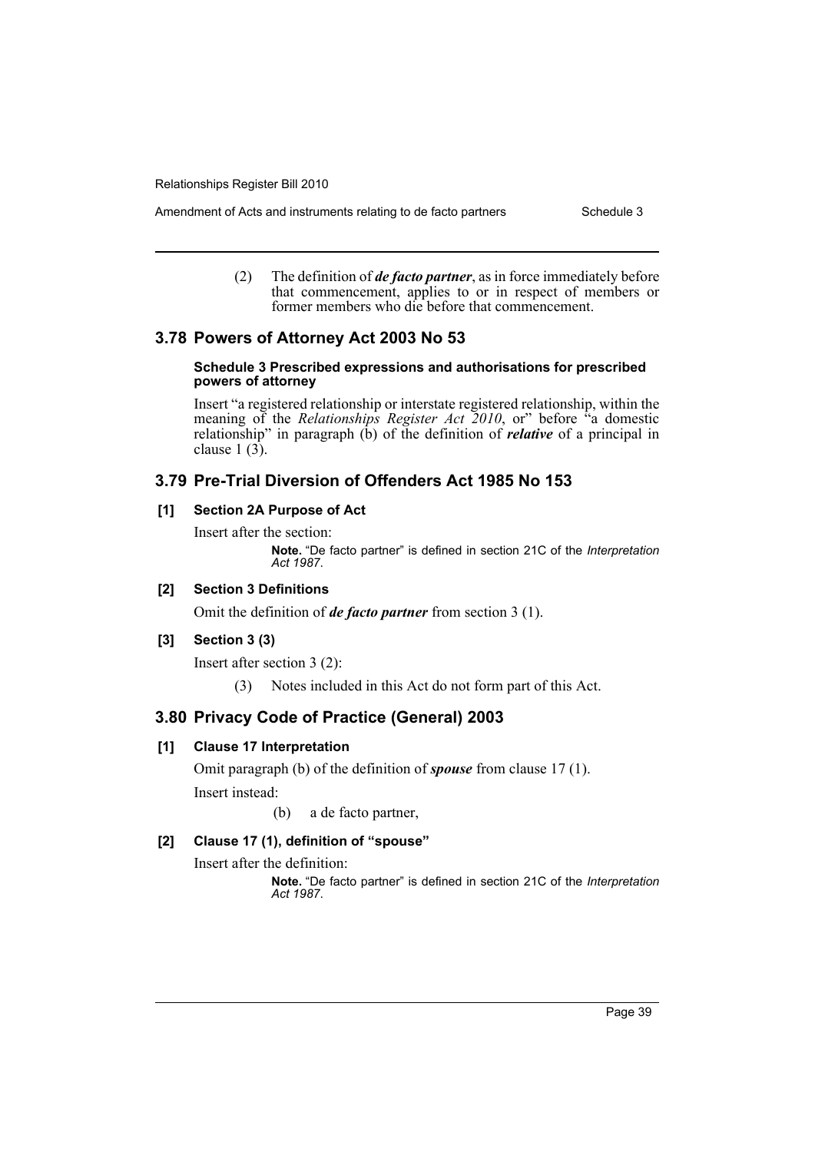Amendment of Acts and instruments relating to de facto partners Schedule 3

(2) The definition of *de facto partner*, as in force immediately before that commencement, applies to or in respect of members or former members who die before that commencement.

## **3.78 Powers of Attorney Act 2003 No 53**

#### **Schedule 3 Prescribed expressions and authorisations for prescribed powers of attorney**

Insert "a registered relationship or interstate registered relationship, within the meaning of the *Relationships Register Act 2010*, or" before "a domestic relationship" in paragraph (b) of the definition of *relative* of a principal in clause  $1(3)$ .

## **3.79 Pre-Trial Diversion of Offenders Act 1985 No 153**

## **[1] Section 2A Purpose of Act**

Insert after the section:

**Note.** "De facto partner" is defined in section 21C of the *Interpretation Act 1987*.

## **[2] Section 3 Definitions**

Omit the definition of *de facto partner* from section 3 (1).

## **[3] Section 3 (3)**

Insert after section 3 (2):

(3) Notes included in this Act do not form part of this Act.

## **3.80 Privacy Code of Practice (General) 2003**

## **[1] Clause 17 Interpretation**

Omit paragraph (b) of the definition of *spouse* from clause 17 (1). Insert instead:

(b) a de facto partner,

## **[2] Clause 17 (1), definition of "spouse"**

Insert after the definition: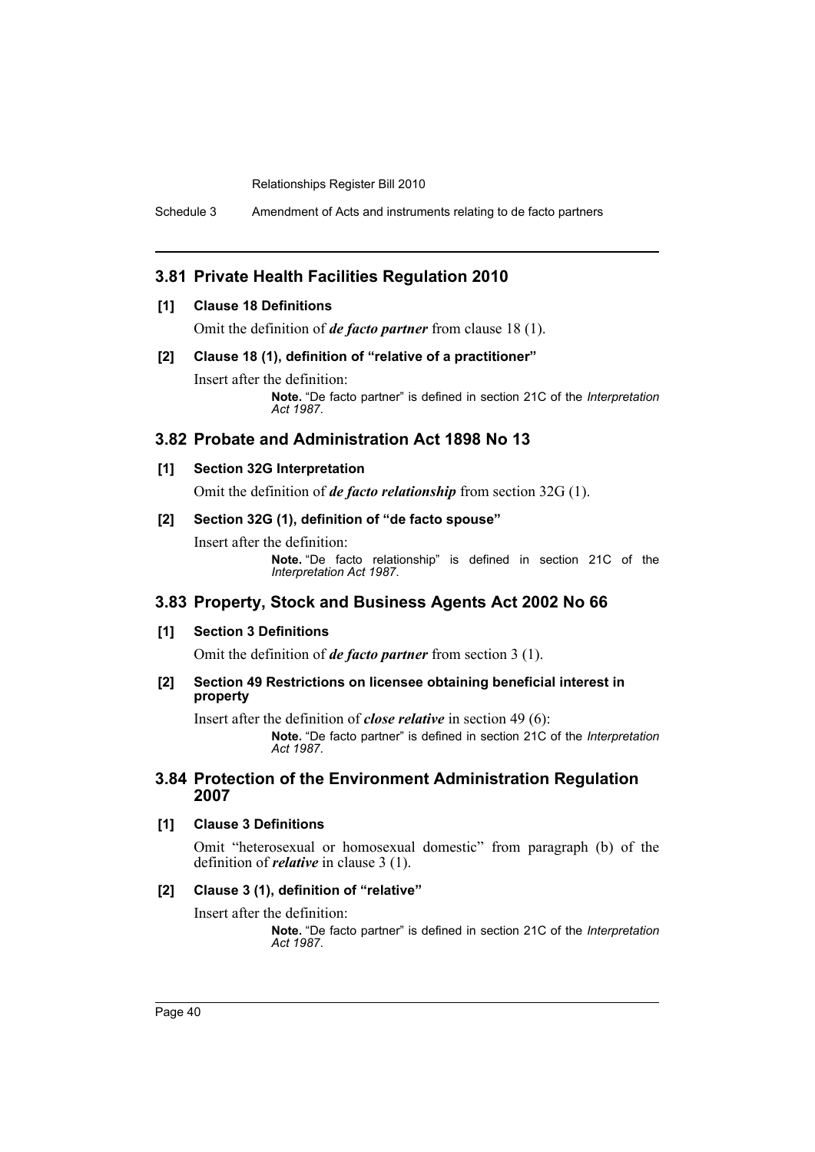Schedule 3 Amendment of Acts and instruments relating to de facto partners

## **3.81 Private Health Facilities Regulation 2010**

## **[1] Clause 18 Definitions**

Omit the definition of *de facto partner* from clause 18 (1).

#### **[2] Clause 18 (1), definition of "relative of a practitioner"**

Insert after the definition: **Note.** "De facto partner" is defined in section 21C of the *Interpretation Act 1987*.

## **3.82 Probate and Administration Act 1898 No 13**

#### **[1] Section 32G Interpretation**

Omit the definition of *de facto relationship* from section 32G (1).

## **[2] Section 32G (1), definition of "de facto spouse"**

Insert after the definition:

**Note.** "De facto relationship" is defined in section 21C of the *Interpretation Act 1987*.

## **3.83 Property, Stock and Business Agents Act 2002 No 66**

## **[1] Section 3 Definitions**

Omit the definition of *de facto partner* from section 3 (1).

#### **[2] Section 49 Restrictions on licensee obtaining beneficial interest in property**

Insert after the definition of *close relative* in section 49 (6):

**Note.** "De facto partner" is defined in section 21C of the *Interpretation Act 1987*.

## **3.84 Protection of the Environment Administration Regulation 2007**

## **[1] Clause 3 Definitions**

Omit "heterosexual or homosexual domestic" from paragraph (b) of the definition of *relative* in clause 3 (1).

#### **[2] Clause 3 (1), definition of "relative"**

Insert after the definition: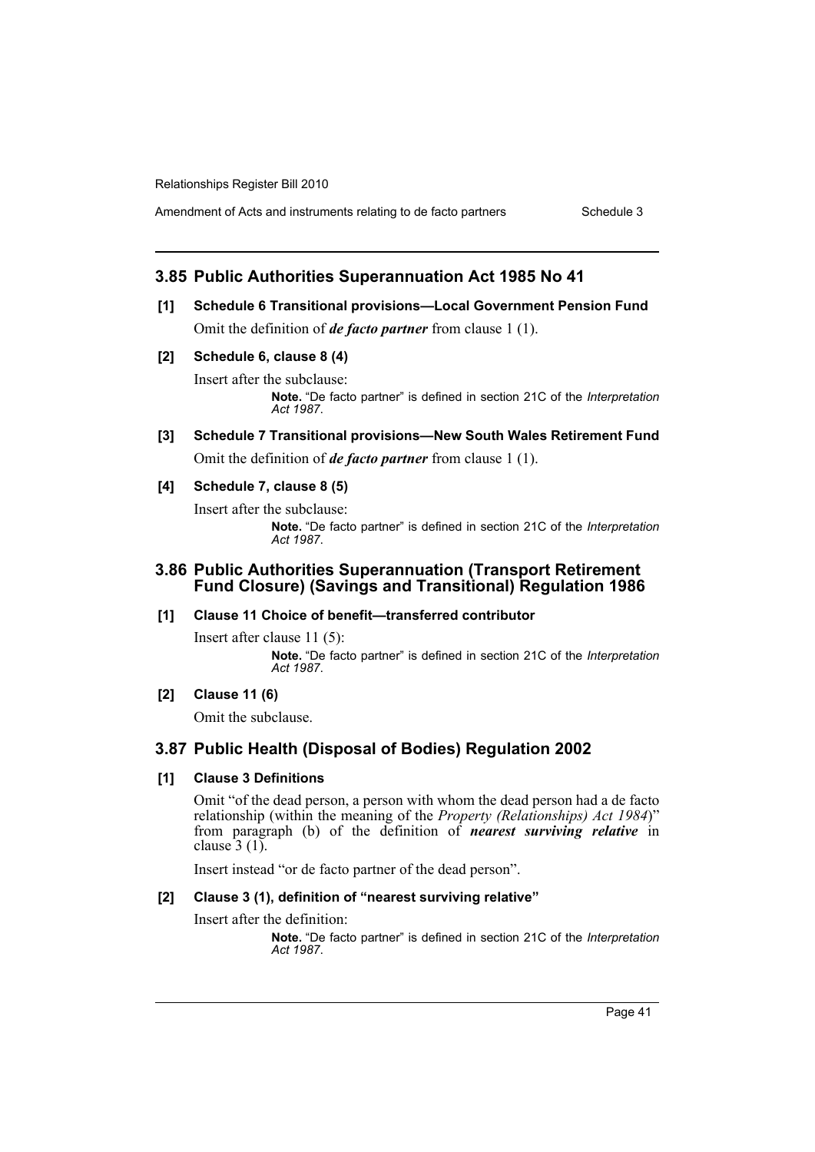Amendment of Acts and instruments relating to de facto partners Schedule 3

## **3.85 Public Authorities Superannuation Act 1985 No 41**

- **[1] Schedule 6 Transitional provisions—Local Government Pension Fund** Omit the definition of *de facto partner* from clause 1 (1).
- **[2] Schedule 6, clause 8 (4)**

Insert after the subclause: **Note.** "De facto partner" is defined in section 21C of the *Interpretation Act 1987*.

**[3] Schedule 7 Transitional provisions—New South Wales Retirement Fund** Omit the definition of *de facto partner* from clause 1 (1).

#### **[4] Schedule 7, clause 8 (5)**

Insert after the subclause: **Note.** "De facto partner" is defined in section 21C of the *Interpretation Act 1987*.

## **3.86 Public Authorities Superannuation (Transport Retirement Fund Closure) (Savings and Transitional) Regulation 1986**

#### **[1] Clause 11 Choice of benefit—transferred contributor**

Insert after clause 11 (5): **Note.** "De facto partner" is defined in section 21C of the *Interpretation Act 1987*.

## **[2] Clause 11 (6)**

Omit the subclause.

## **3.87 Public Health (Disposal of Bodies) Regulation 2002**

#### **[1] Clause 3 Definitions**

Omit "of the dead person, a person with whom the dead person had a de facto relationship (within the meaning of the *Property (Relationships) Act 1984*)" from paragraph (b) of the definition of *nearest surviving relative* in clause  $3(1)$ .

Insert instead "or de facto partner of the dead person".

#### **[2] Clause 3 (1), definition of "nearest surviving relative"**

Insert after the definition: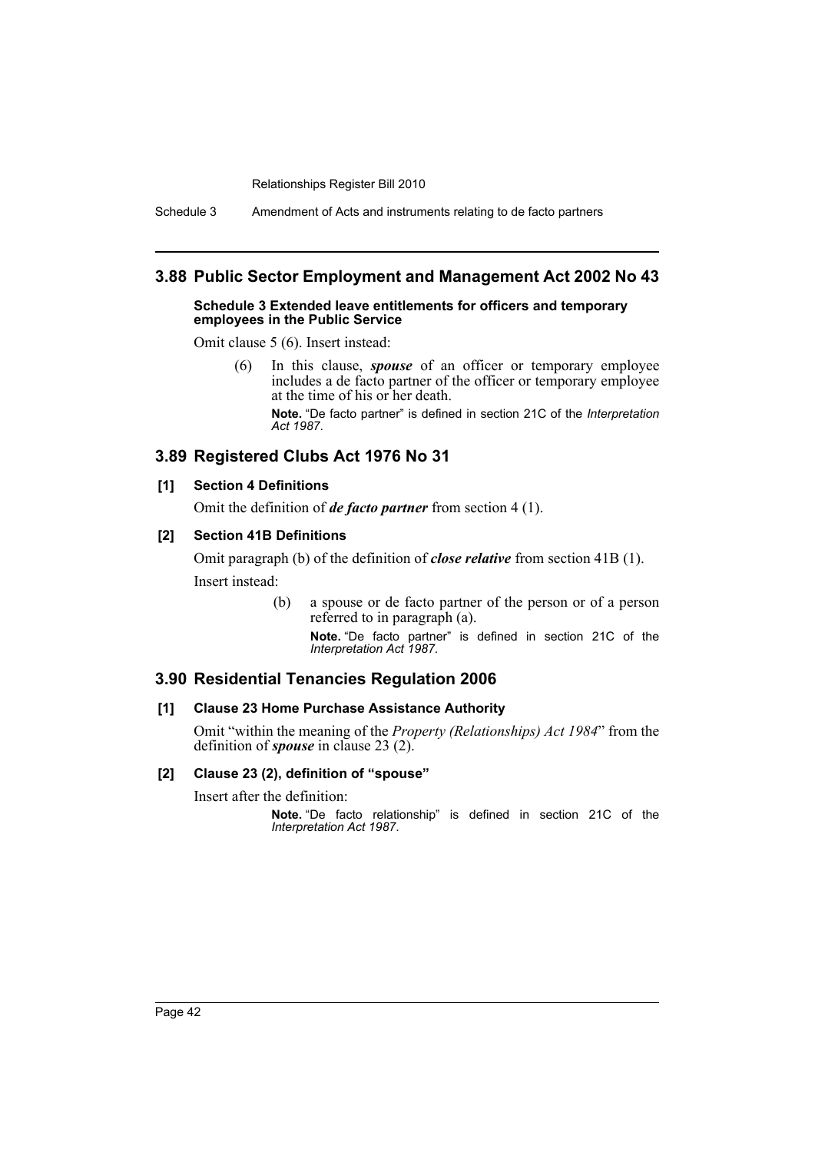Schedule 3 Amendment of Acts and instruments relating to de facto partners

## **3.88 Public Sector Employment and Management Act 2002 No 43**

#### **Schedule 3 Extended leave entitlements for officers and temporary employees in the Public Service**

Omit clause 5 (6). Insert instead:

(6) In this clause, *spouse* of an officer or temporary employee includes a de facto partner of the officer or temporary employee at the time of his or her death. **Note.** "De facto partner" is defined in section 21C of the *Interpretation Act 1987*.

## **3.89 Registered Clubs Act 1976 No 31**

## **[1] Section 4 Definitions**

Omit the definition of *de facto partner* from section 4 (1).

## **[2] Section 41B Definitions**

Omit paragraph (b) of the definition of *close relative* from section 41B (1). Insert instead:

> (b) a spouse or de facto partner of the person or of a person referred to in paragraph (a).

**Note.** "De facto partner" is defined in section 21C of the *Interpretation Act 1987*.

## **3.90 Residential Tenancies Regulation 2006**

#### **[1] Clause 23 Home Purchase Assistance Authority**

Omit "within the meaning of the *Property (Relationships) Act 1984*" from the definition of *spouse* in clause 23 (2).

#### **[2] Clause 23 (2), definition of "spouse"**

Insert after the definition: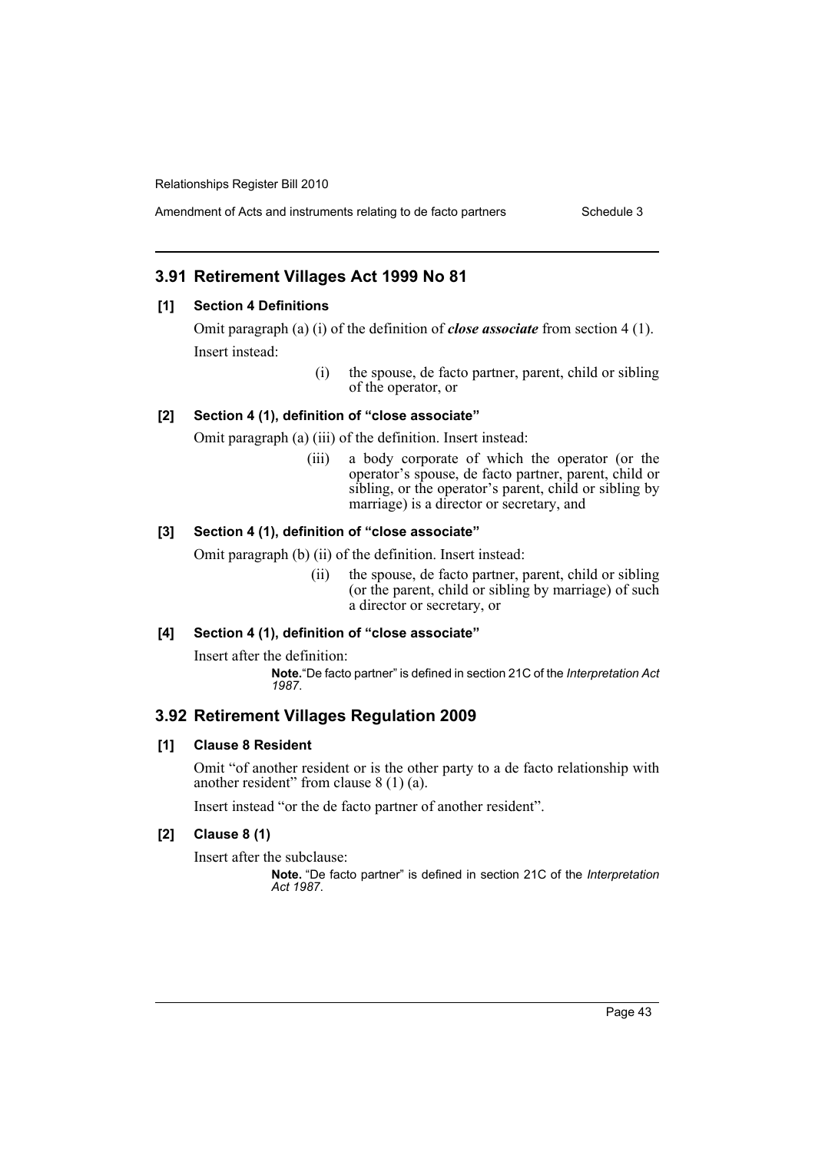Amendment of Acts and instruments relating to de facto partners Schedule 3

# **3.91 Retirement Villages Act 1999 No 81**

## **[1] Section 4 Definitions**

Omit paragraph (a) (i) of the definition of *close associate* from section 4 (1). Insert instead:

> (i) the spouse, de facto partner, parent, child or sibling of the operator, or

## **[2] Section 4 (1), definition of "close associate"**

Omit paragraph (a) (iii) of the definition. Insert instead:

(iii) a body corporate of which the operator (or the operator's spouse, de facto partner, parent, child or sibling, or the operator's parent, child or sibling by marriage) is a director or secretary, and

## **[3] Section 4 (1), definition of "close associate"**

Omit paragraph (b) (ii) of the definition. Insert instead:

(ii) the spouse, de facto partner, parent, child or sibling (or the parent, child or sibling by marriage) of such a director or secretary, or

## **[4] Section 4 (1), definition of "close associate"**

Insert after the definition:

**Note.**"De facto partner" is defined in section 21C of the *Interpretation Act 1987*.

# **3.92 Retirement Villages Regulation 2009**

## **[1] Clause 8 Resident**

Omit "of another resident or is the other party to a de facto relationship with another resident" from clause 8 (1) (a).

Insert instead "or the de facto partner of another resident".

## **[2] Clause 8 (1)**

Insert after the subclause: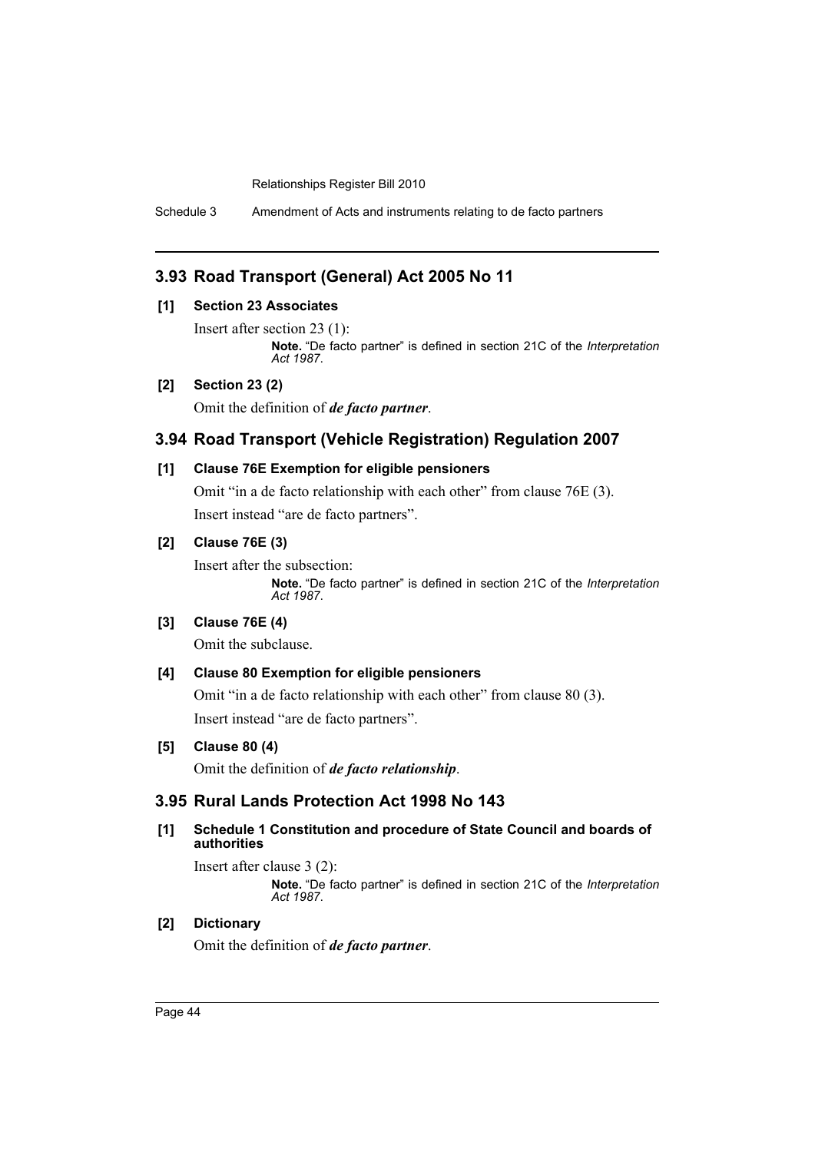Schedule 3 Amendment of Acts and instruments relating to de facto partners

## **3.93 Road Transport (General) Act 2005 No 11**

## **[1] Section 23 Associates**

Insert after section 23 (1):

**Note.** "De facto partner" is defined in section 21C of the *Interpretation Act 1987*.

## **[2] Section 23 (2)**

Omit the definition of *de facto partner*.

## **3.94 Road Transport (Vehicle Registration) Regulation 2007**

#### **[1] Clause 76E Exemption for eligible pensioners**

Omit "in a de facto relationship with each other" from clause 76E (3). Insert instead "are de facto partners".

#### **[2] Clause 76E (3)**

Insert after the subsection:

**Note.** "De facto partner" is defined in section 21C of the *Interpretation Act 1987*.

## **[3] Clause 76E (4)**

Omit the subclause.

#### **[4] Clause 80 Exemption for eligible pensioners**

Omit "in a de facto relationship with each other" from clause 80 (3). Insert instead "are de facto partners".

## **[5] Clause 80 (4)**

Omit the definition of *de facto relationship*.

## **3.95 Rural Lands Protection Act 1998 No 143**

## **[1] Schedule 1 Constitution and procedure of State Council and boards of authorities**

Insert after clause 3 (2):

**Note.** "De facto partner" is defined in section 21C of the *Interpretation Act 1987*.

## **[2] Dictionary**

Omit the definition of *de facto partner*.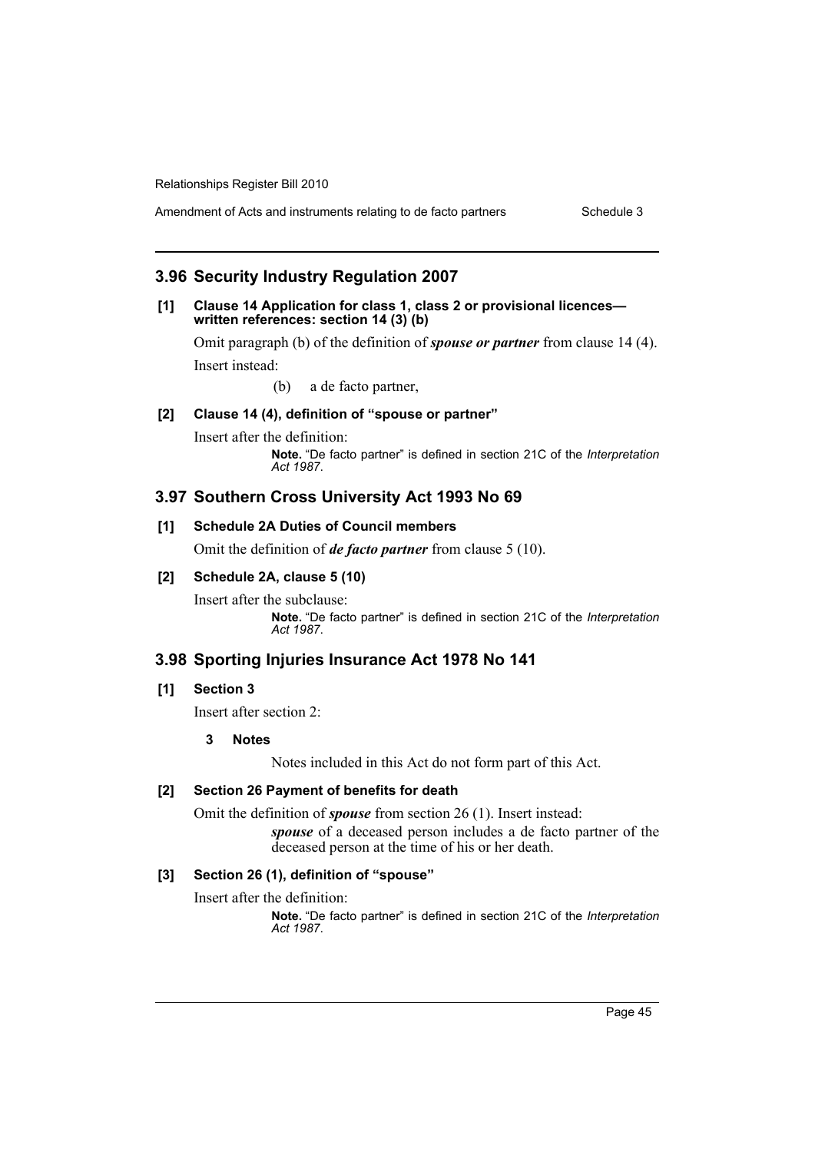## **3.96 Security Industry Regulation 2007**

#### **[1] Clause 14 Application for class 1, class 2 or provisional licences written references: section 14 (3) (b)**

Omit paragraph (b) of the definition of *spouse or partner* from clause 14 (4). Insert instead:

(b) a de facto partner,

## **[2] Clause 14 (4), definition of "spouse or partner"**

Insert after the definition: **Note.** "De facto partner" is defined in section 21C of the *Interpretation Act 1987*.

## **3.97 Southern Cross University Act 1993 No 69**

## **[1] Schedule 2A Duties of Council members**

Omit the definition of *de facto partner* from clause 5 (10).

## **[2] Schedule 2A, clause 5 (10)**

Insert after the subclause: **Note.** "De facto partner" is defined in section 21C of the *Interpretation Act 1987*.

## **3.98 Sporting Injuries Insurance Act 1978 No 141**

#### **[1] Section 3**

Insert after section 2:

#### **3 Notes**

Notes included in this Act do not form part of this Act.

## **[2] Section 26 Payment of benefits for death**

Omit the definition of *spouse* from section 26 (1). Insert instead:

*spouse* of a deceased person includes a de facto partner of the deceased person at the time of his or her death.

## **[3] Section 26 (1), definition of "spouse"**

Insert after the definition: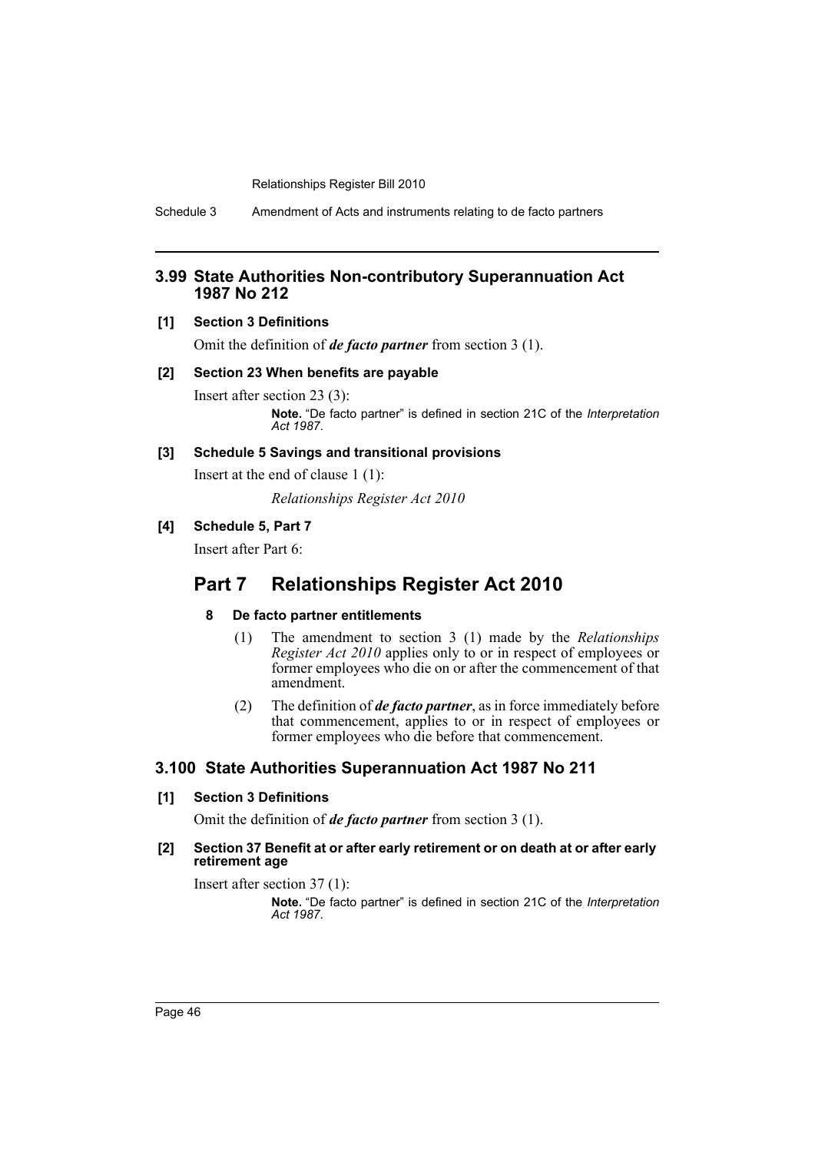Schedule 3 Amendment of Acts and instruments relating to de facto partners

## **3.99 State Authorities Non-contributory Superannuation Act 1987 No 212**

#### **[1] Section 3 Definitions**

Omit the definition of *de facto partner* from section 3 (1).

#### **[2] Section 23 When benefits are payable**

Insert after section 23 (3): **Note.** "De facto partner" is defined in section 21C of the *Interpretation Act 1987*.

#### **[3] Schedule 5 Savings and transitional provisions**

Insert at the end of clause 1 (1):

*Relationships Register Act 2010*

## **[4] Schedule 5, Part 7**

Insert after Part 6:

# **Part 7 Relationships Register Act 2010**

## **8 De facto partner entitlements**

- (1) The amendment to section 3 (1) made by the *Relationships Register Act 2010* applies only to or in respect of employees or former employees who die on or after the commencement of that amendment.
- (2) The definition of *de facto partner*, as in force immediately before that commencement, applies to or in respect of employees or former employees who die before that commencement.

## **3.100 State Authorities Superannuation Act 1987 No 211**

## **[1] Section 3 Definitions**

Omit the definition of *de facto partner* from section 3 (1).

#### **[2] Section 37 Benefit at or after early retirement or on death at or after early retirement age**

Insert after section 37 (1):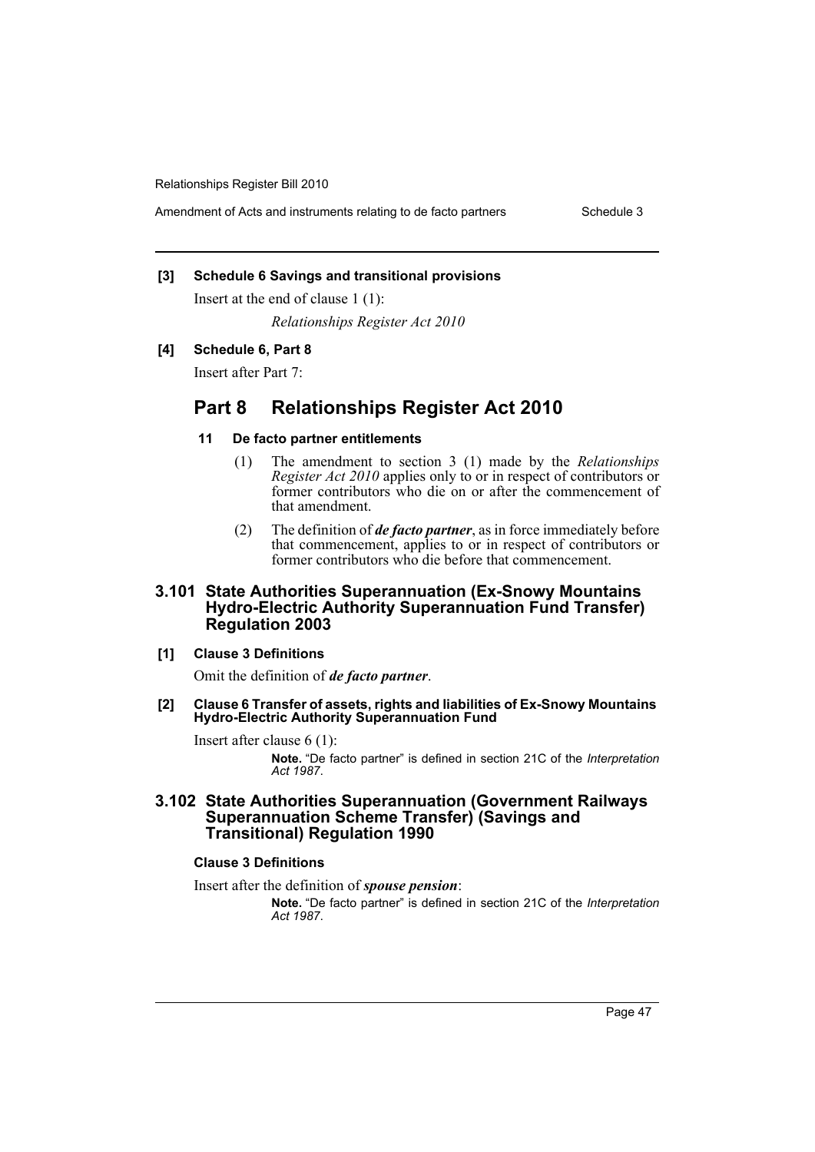Amendment of Acts and instruments relating to de facto partners Schedule 3

#### **[3] Schedule 6 Savings and transitional provisions**

Insert at the end of clause 1 (1):

*Relationships Register Act 2010*

#### **[4] Schedule 6, Part 8**

Insert after Part 7:

# **Part 8 Relationships Register Act 2010**

#### **11 De facto partner entitlements**

- (1) The amendment to section 3 (1) made by the *Relationships Register Act 2010* applies only to or in respect of contributors or former contributors who die on or after the commencement of that amendment.
- (2) The definition of *de facto partner*, as in force immediately before that commencement, applies to or in respect of contributors or former contributors who die before that commencement.

## **3.101 State Authorities Superannuation (Ex-Snowy Mountains Hydro-Electric Authority Superannuation Fund Transfer) Regulation 2003**

#### **[1] Clause 3 Definitions**

Omit the definition of *de facto partner*.

#### **[2] Clause 6 Transfer of assets, rights and liabilities of Ex-Snowy Mountains Hydro-Electric Authority Superannuation Fund**

Insert after clause 6 (1):

**Note.** "De facto partner" is defined in section 21C of the *Interpretation Act 1987*.

## **3.102 State Authorities Superannuation (Government Railways Superannuation Scheme Transfer) (Savings and Transitional) Regulation 1990**

## **Clause 3 Definitions**

Insert after the definition of *spouse pension*: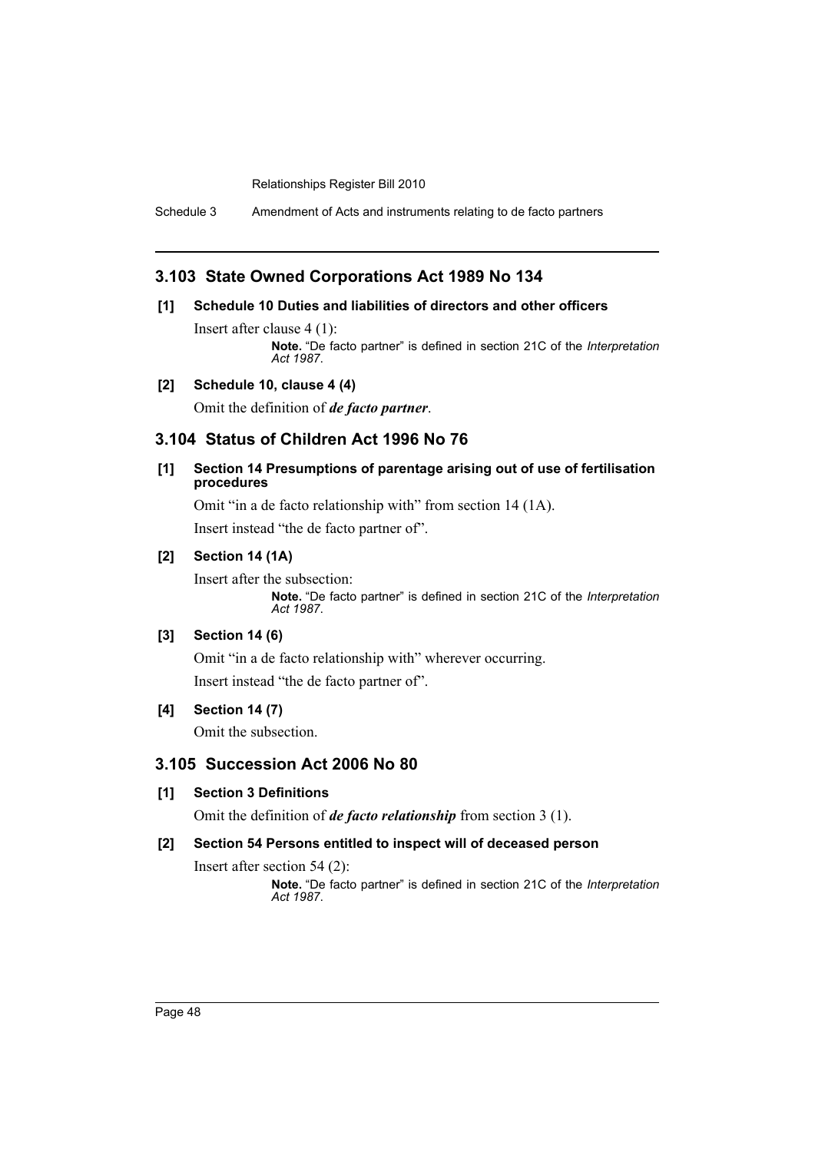Schedule 3 Amendment of Acts and instruments relating to de facto partners

## **3.103 State Owned Corporations Act 1989 No 134**

## **[1] Schedule 10 Duties and liabilities of directors and other officers**

Insert after clause 4 (1): **Note.** "De facto partner" is defined in section 21C of the *Interpretation Act 1987*.

## **[2] Schedule 10, clause 4 (4)**

Omit the definition of *de facto partner*.

## **3.104 Status of Children Act 1996 No 76**

#### **[1] Section 14 Presumptions of parentage arising out of use of fertilisation procedures**

Omit "in a de facto relationship with" from section 14 (1A). Insert instead "the de facto partner of".

## **[2] Section 14 (1A)**

Insert after the subsection: **Note.** "De facto partner" is defined in section 21C of the *Interpretation Act 1987*.

## **[3] Section 14 (6)**

Omit "in a de facto relationship with" wherever occurring. Insert instead "the de facto partner of".

## **[4] Section 14 (7)**

Omit the subsection.

## **3.105 Succession Act 2006 No 80**

#### **[1] Section 3 Definitions**

Omit the definition of *de facto relationship* from section 3 (1).

## **[2] Section 54 Persons entitled to inspect will of deceased person**

Insert after section 54 (2):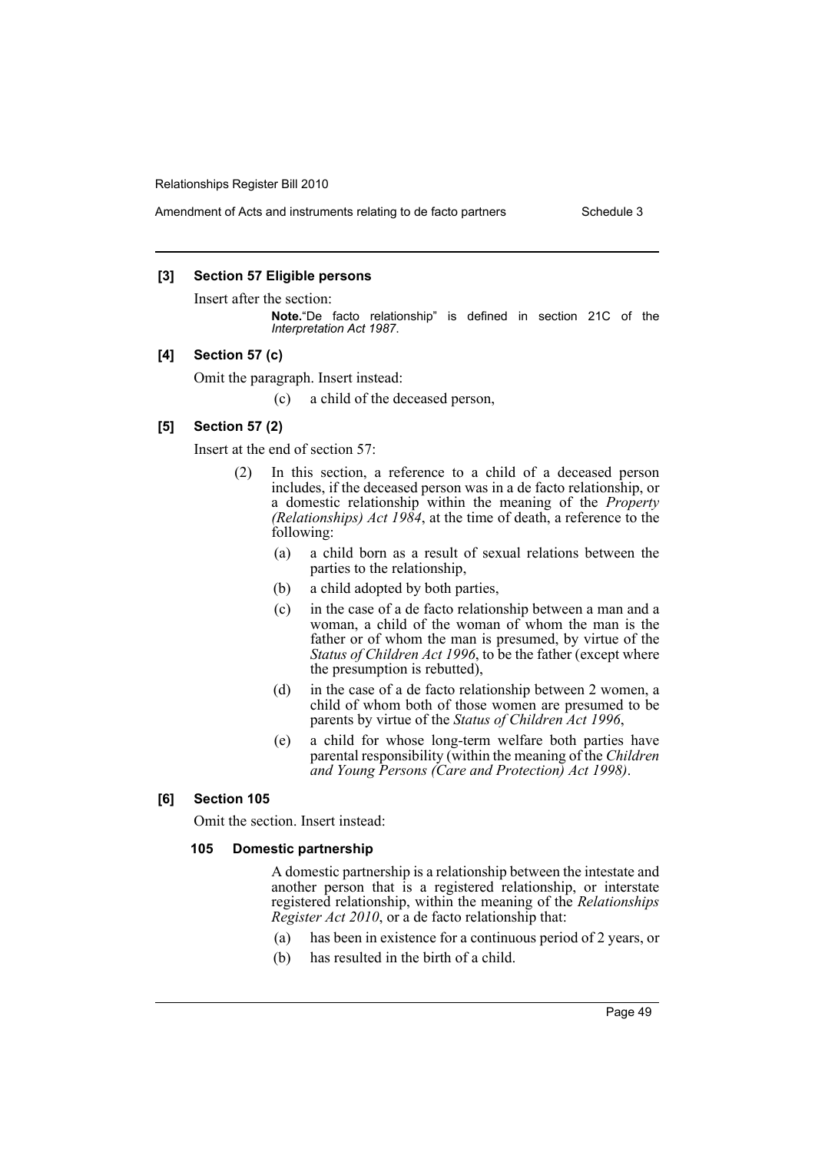Amendment of Acts and instruments relating to de facto partners Schedule 3

#### **[3] Section 57 Eligible persons**

Insert after the section:

**Note.**"De facto relationship" is defined in section 21C of the *Interpretation Act 1987*.

#### **[4] Section 57 (c)**

Omit the paragraph. Insert instead:

(c) a child of the deceased person,

## **[5] Section 57 (2)**

Insert at the end of section 57:

- (2) In this section, a reference to a child of a deceased person includes, if the deceased person was in a de facto relationship, or a domestic relationship within the meaning of the *Property (Relationships) Act 1984*, at the time of death, a reference to the following:
	- (a) a child born as a result of sexual relations between the parties to the relationship,
	- (b) a child adopted by both parties,
	- (c) in the case of a de facto relationship between a man and a woman, a child of the woman of whom the man is the father or of whom the man is presumed, by virtue of the *Status of Children Act 1996*, to be the father (except where the presumption is rebutted),
	- (d) in the case of a de facto relationship between 2 women, a child of whom both of those women are presumed to be parents by virtue of the *Status of Children Act 1996*,
	- (e) a child for whose long-term welfare both parties have parental responsibility (within the meaning of the *Children and Young Persons (Care and Protection) Act 1998)*.

#### **[6] Section 105**

Omit the section. Insert instead:

#### **105 Domestic partnership**

A domestic partnership is a relationship between the intestate and another person that is a registered relationship, or interstate registered relationship, within the meaning of the *Relationships Register Act 2010*, or a de facto relationship that:

- (a) has been in existence for a continuous period of 2 years, or
- (b) has resulted in the birth of a child.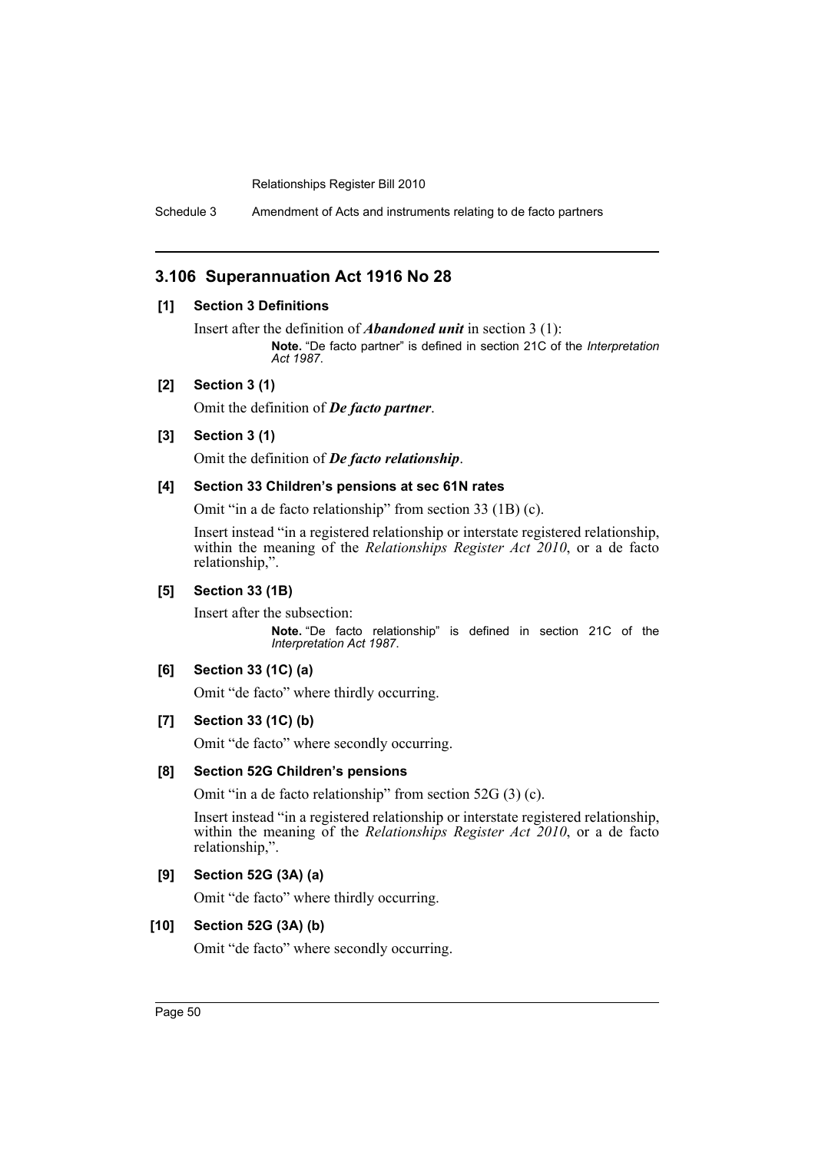Schedule 3 Amendment of Acts and instruments relating to de facto partners

## **3.106 Superannuation Act 1916 No 28**

## **[1] Section 3 Definitions**

Insert after the definition of *Abandoned unit* in section 3 (1): **Note.** "De facto partner" is defined in section 21C of the *Interpretation Act 1987*.

#### **[2] Section 3 (1)**

Omit the definition of *De facto partner*.

#### **[3] Section 3 (1)**

Omit the definition of *De facto relationship*.

#### **[4] Section 33 Children's pensions at sec 61N rates**

Omit "in a de facto relationship" from section 33 (1B) (c).

Insert instead "in a registered relationship or interstate registered relationship, within the meaning of the *Relationships Register Act 2010*, or a de facto relationship,".

## **[5] Section 33 (1B)**

Insert after the subsection: **Note.** "De facto relationship" is defined in section 21C of the *Interpretation Act 1987*.

## **[6] Section 33 (1C) (a)**

Omit "de facto" where thirdly occurring.

#### **[7] Section 33 (1C) (b)**

Omit "de facto" where secondly occurring.

#### **[8] Section 52G Children's pensions**

Omit "in a de facto relationship" from section 52G (3) (c).

Insert instead "in a registered relationship or interstate registered relationship, within the meaning of the *Relationships Register Act 2010*, or a de facto relationship,".

## **[9] Section 52G (3A) (a)**

Omit "de facto" where thirdly occurring.

## **[10] Section 52G (3A) (b)**

Omit "de facto" where secondly occurring.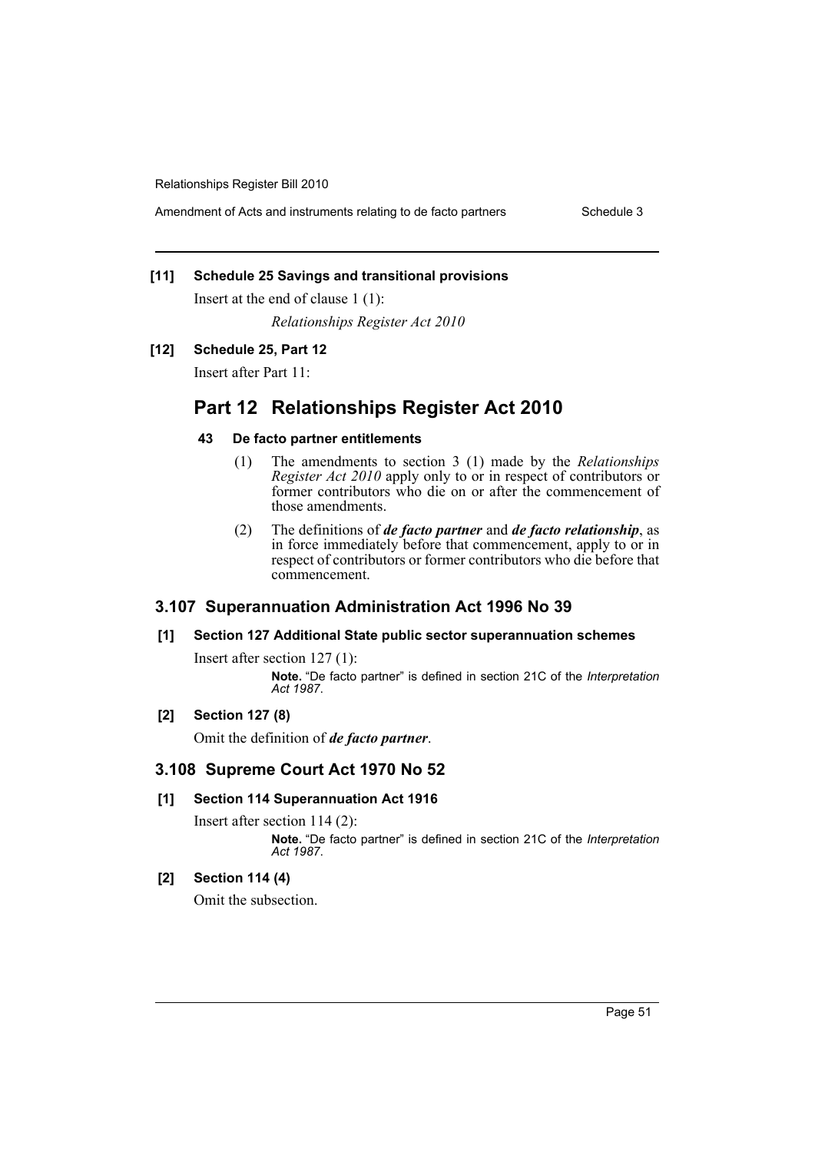Amendment of Acts and instruments relating to de facto partners Schedule 3

## **[11] Schedule 25 Savings and transitional provisions**

Insert at the end of clause 1 (1):

*Relationships Register Act 2010*

## **[12] Schedule 25, Part 12**

Insert after Part 11:

# **Part 12 Relationships Register Act 2010**

## **43 De facto partner entitlements**

- (1) The amendments to section 3 (1) made by the *Relationships Register Act 2010* apply only to or in respect of contributors or former contributors who die on or after the commencement of those amendments.
- (2) The definitions of *de facto partner* and *de facto relationship*, as in force immediately before that commencement, apply to or in respect of contributors or former contributors who die before that commencement.

# **3.107 Superannuation Administration Act 1996 No 39**

## **[1] Section 127 Additional State public sector superannuation schemes**

Insert after section 127 (1): **Note.** "De facto partner" is defined in section 21C of the *Interpretation Act 1987*.

## **[2] Section 127 (8)**

Omit the definition of *de facto partner*.

## **3.108 Supreme Court Act 1970 No 52**

## **[1] Section 114 Superannuation Act 1916**

Insert after section 114 (2): **Note.** "De facto partner" is defined in section 21C of the *Interpretation Act 1987*.

## **[2] Section 114 (4)**

Omit the subsection.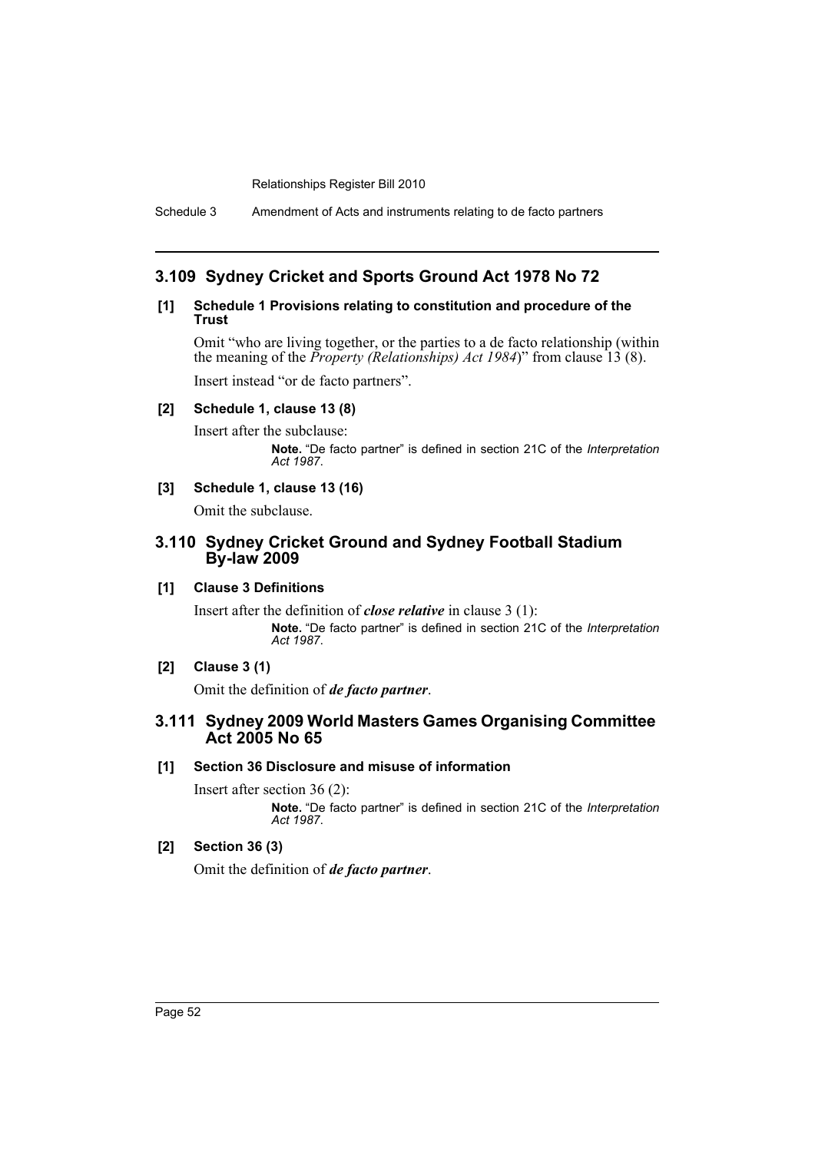Schedule 3 Amendment of Acts and instruments relating to de facto partners

## **3.109 Sydney Cricket and Sports Ground Act 1978 No 72**

### **[1] Schedule 1 Provisions relating to constitution and procedure of the Trust**

Omit "who are living together, or the parties to a de facto relationship (within the meaning of the *Property (Relationships) Act 1984*)" from clause 13 (8).

Insert instead "or de facto partners".

## **[2] Schedule 1, clause 13 (8)**

Insert after the subclause: **Note.** "De facto partner" is defined in section 21C of the *Interpretation Act 1987*.

## **[3] Schedule 1, clause 13 (16)**

Omit the subclause.

## **3.110 Sydney Cricket Ground and Sydney Football Stadium By-law 2009**

## **[1] Clause 3 Definitions**

Insert after the definition of *close relative* in clause 3 (1): **Note.** "De facto partner" is defined in section 21C of the *Interpretation Act 1987*.

## **[2] Clause 3 (1)**

Omit the definition of *de facto partner*.

## **3.111 Sydney 2009 World Masters Games Organising Committee Act 2005 No 65**

## **[1] Section 36 Disclosure and misuse of information**

Insert after section 36 (2): **Note.** "De facto partner" is defined in section 21C of the *Interpretation Act 1987*.

## **[2] Section 36 (3)**

Omit the definition of *de facto partner*.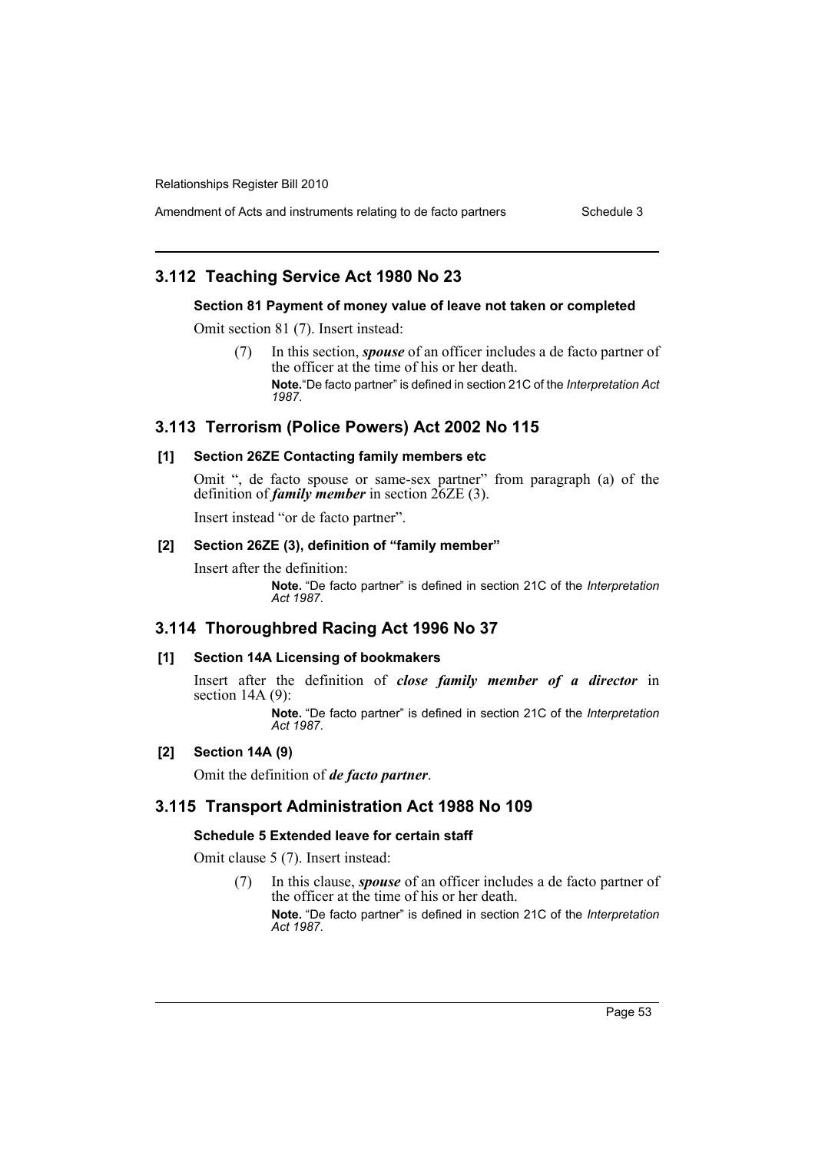Amendment of Acts and instruments relating to de facto partners Schedule 3

## **3.112 Teaching Service Act 1980 No 23**

#### **Section 81 Payment of money value of leave not taken or completed**

Omit section 81 (7). Insert instead:

(7) In this section, *spouse* of an officer includes a de facto partner of the officer at the time of his or her death. **Note.**"De facto partner" is defined in section 21C of the *Interpretation Act 1987*.

## **3.113 Terrorism (Police Powers) Act 2002 No 115**

## **[1] Section 26ZE Contacting family members etc**

Omit ", de facto spouse or same-sex partner" from paragraph (a) of the definition of *family member* in section 26ZE (3).

Insert instead "or de facto partner".

#### **[2] Section 26ZE (3), definition of "family member"**

Insert after the definition:

**Note.** "De facto partner" is defined in section 21C of the *Interpretation Act 1987*.

## **3.114 Thoroughbred Racing Act 1996 No 37**

#### **[1] Section 14A Licensing of bookmakers**

Insert after the definition of *close family member of a director* in section 14A (9):

> **Note.** "De facto partner" is defined in section 21C of the *Interpretation Act 1987*.

#### **[2] Section 14A (9)**

Omit the definition of *de facto partner*.

## **3.115 Transport Administration Act 1988 No 109**

#### **Schedule 5 Extended leave for certain staff**

Omit clause 5 (7). Insert instead:

(7) In this clause, *spouse* of an officer includes a de facto partner of the officer at the time of his or her death.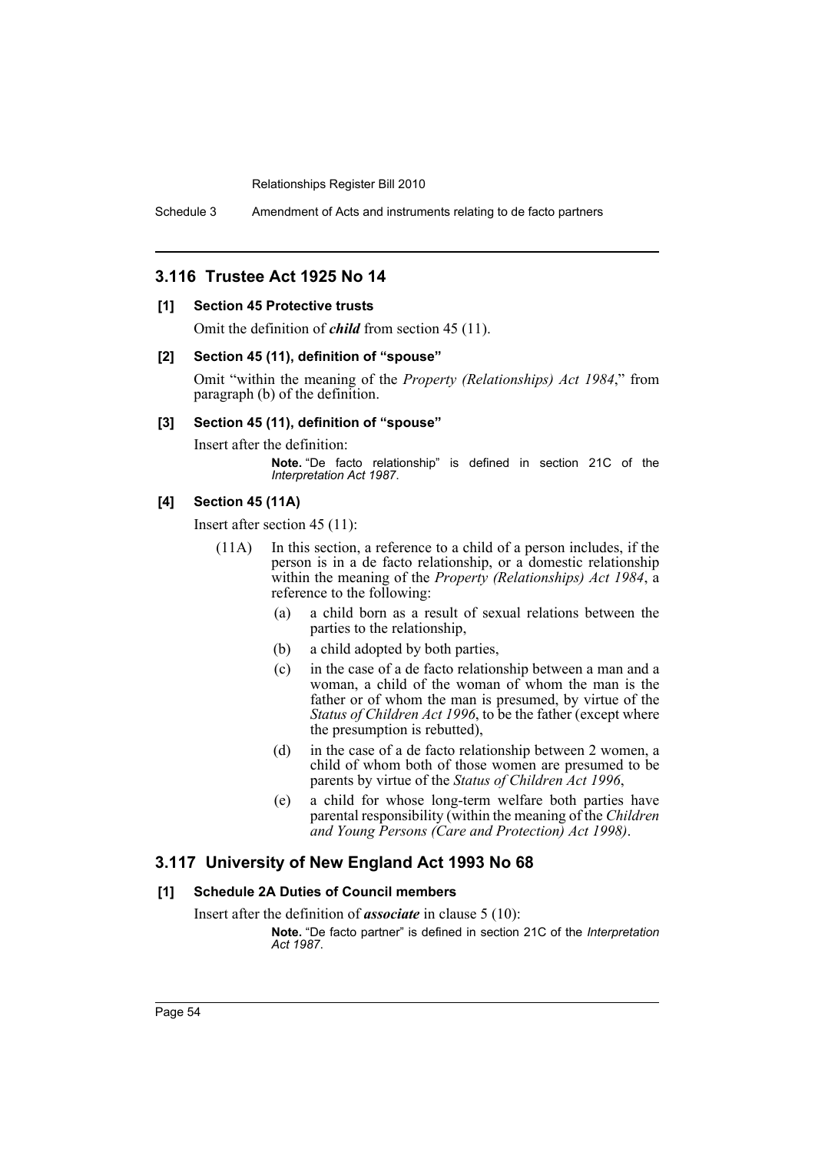Schedule 3 Amendment of Acts and instruments relating to de facto partners

## **3.116 Trustee Act 1925 No 14**

## **[1] Section 45 Protective trusts**

Omit the definition of *child* from section 45 (11).

## **[2] Section 45 (11), definition of "spouse"**

Omit "within the meaning of the *Property (Relationships) Act 1984*," from paragraph (b) of the definition.

#### **[3] Section 45 (11), definition of "spouse"**

Insert after the definition:

**Note.** "De facto relationship" is defined in section 21C of the *Interpretation Act 1987*.

## **[4] Section 45 (11A)**

Insert after section 45 (11):

- (11A) In this section, a reference to a child of a person includes, if the person is in a de facto relationship, or a domestic relationship within the meaning of the *Property (Relationships) Act 1984*, a reference to the following:
	- (a) a child born as a result of sexual relations between the parties to the relationship,
	- (b) a child adopted by both parties,
	- (c) in the case of a de facto relationship between a man and a woman, a child of the woman of whom the man is the father or of whom the man is presumed, by virtue of the *Status of Children Act 1996*, to be the father (except where the presumption is rebutted),
	- (d) in the case of a de facto relationship between 2 women, a child of whom both of those women are presumed to be parents by virtue of the *Status of Children Act 1996*,
	- (e) a child for whose long-term welfare both parties have parental responsibility (within the meaning of the *Children and Young Persons (Care and Protection) Act 1998)*.

## **3.117 University of New England Act 1993 No 68**

## **[1] Schedule 2A Duties of Council members**

Insert after the definition of *associate* in clause 5 (10):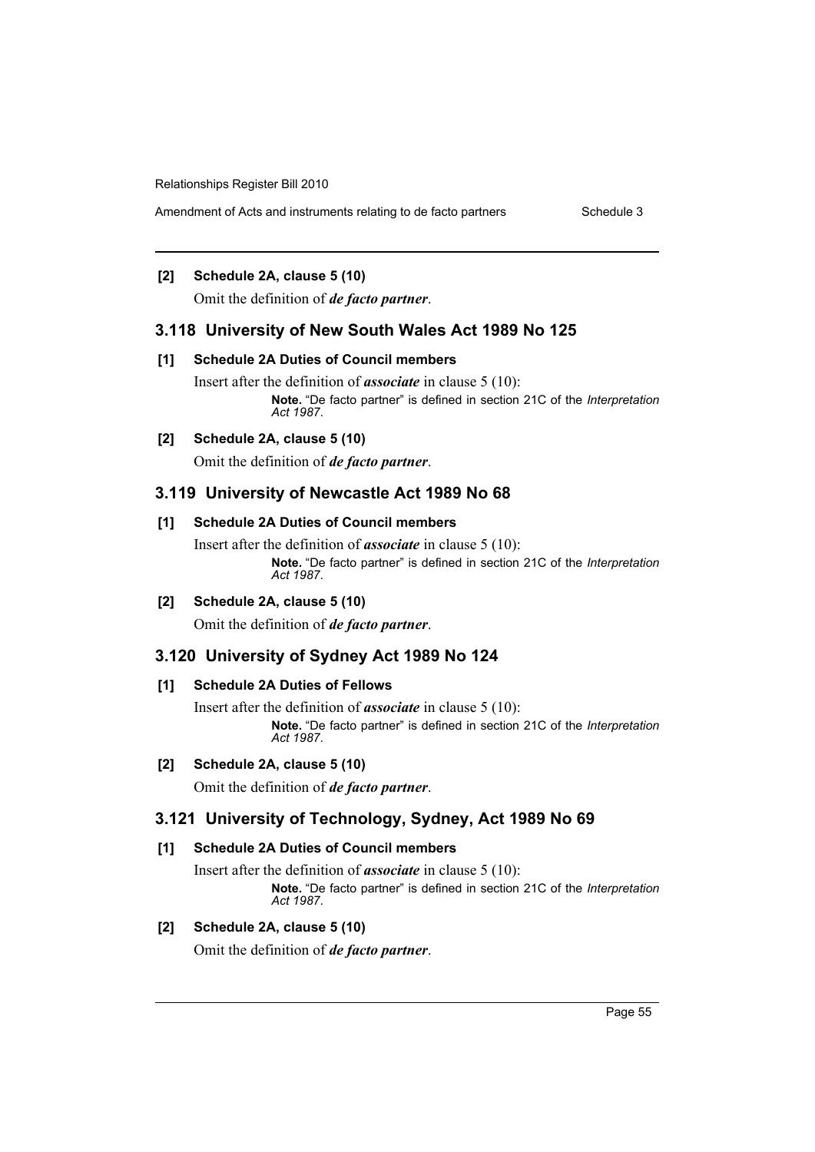Amendment of Acts and instruments relating to de facto partners Schedule 3

## **[2] Schedule 2A, clause 5 (10)**

Omit the definition of *de facto partner*.

## **3.118 University of New South Wales Act 1989 No 125**

#### **[1] Schedule 2A Duties of Council members**

Insert after the definition of *associate* in clause 5 (10): **Note.** "De facto partner" is defined in section 21C of the *Interpretation Act 1987*.

#### **[2] Schedule 2A, clause 5 (10)**

Omit the definition of *de facto partner*.

## **3.119 University of Newcastle Act 1989 No 68**

#### **[1] Schedule 2A Duties of Council members**

Insert after the definition of *associate* in clause 5 (10): **Note.** "De facto partner" is defined in section 21C of the *Interpretation Act 1987*.

**[2] Schedule 2A, clause 5 (10)**

Omit the definition of *de facto partner*.

## **3.120 University of Sydney Act 1989 No 124**

## **[1] Schedule 2A Duties of Fellows**

Insert after the definition of *associate* in clause 5 (10): **Note.** "De facto partner" is defined in section 21C of the *Interpretation Act 1987*.

#### **[2] Schedule 2A, clause 5 (10)**

Omit the definition of *de facto partner*.

## **3.121 University of Technology, Sydney, Act 1989 No 69**

## **[1] Schedule 2A Duties of Council members**

Insert after the definition of *associate* in clause 5 (10): **Note.** "De facto partner" is defined in section 21C of the *Interpretation Act 1987*.

## **[2] Schedule 2A, clause 5 (10)**

Omit the definition of *de facto partner*.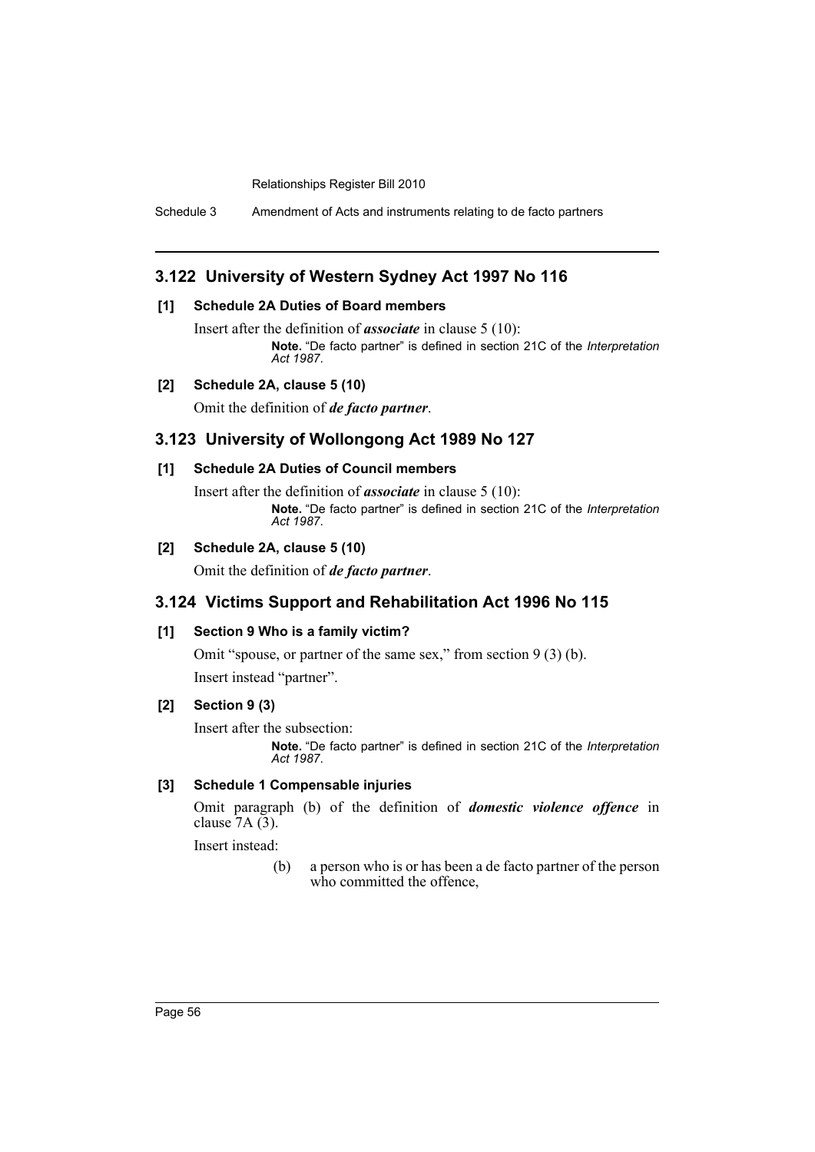Schedule 3 Amendment of Acts and instruments relating to de facto partners

## **3.122 University of Western Sydney Act 1997 No 116**

## **[1] Schedule 2A Duties of Board members**

Insert after the definition of *associate* in clause 5 (10): **Note.** "De facto partner" is defined in section 21C of the *Interpretation Act 1987*.

## **[2] Schedule 2A, clause 5 (10)**

Omit the definition of *de facto partner*.

## **3.123 University of Wollongong Act 1989 No 127**

#### **[1] Schedule 2A Duties of Council members**

Insert after the definition of *associate* in clause 5 (10): **Note.** "De facto partner" is defined in section 21C of the *Interpretation Act 1987*.

## **[2] Schedule 2A, clause 5 (10)**

Omit the definition of *de facto partner*.

## **3.124 Victims Support and Rehabilitation Act 1996 No 115**

## **[1] Section 9 Who is a family victim?**

Omit "spouse, or partner of the same sex," from section 9 (3) (b). Insert instead "partner".

#### **[2] Section 9 (3)**

Insert after the subsection:

**Note.** "De facto partner" is defined in section 21C of the *Interpretation Act 1987*.

## **[3] Schedule 1 Compensable injuries**

Omit paragraph (b) of the definition of *domestic violence offence* in clause  $7A(3)$ .

Insert instead:

(b) a person who is or has been a de facto partner of the person who committed the offence,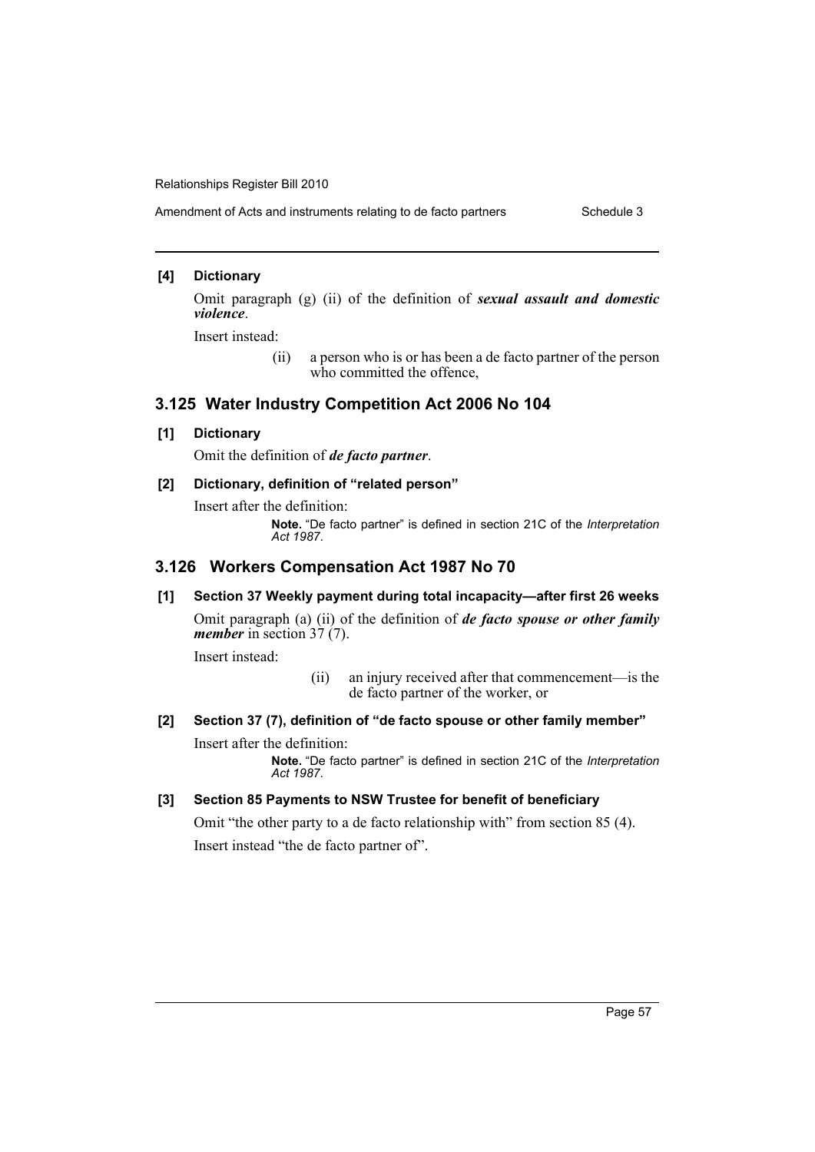Amendment of Acts and instruments relating to de facto partners Schedule 3

## **[4] Dictionary**

Omit paragraph (g) (ii) of the definition of *sexual assault and domestic violence*.

Insert instead:

(ii) a person who is or has been a de facto partner of the person who committed the offence,

## **3.125 Water Industry Competition Act 2006 No 104**

#### **[1] Dictionary**

Omit the definition of *de facto partner*.

## **[2] Dictionary, definition of "related person"**

Insert after the definition: **Note.** "De facto partner" is defined in section 21C of the *Interpretation Act 1987*.

# **3.126 Workers Compensation Act 1987 No 70**

**[1] Section 37 Weekly payment during total incapacity—after first 26 weeks** Omit paragraph (a) (ii) of the definition of *de facto spouse or other family member* in section 37 (7).

Insert instead:

- (ii) an injury received after that commencement—is the de facto partner of the worker, or
- **[2] Section 37 (7), definition of "de facto spouse or other family member"** Insert after the definition:

**Note.** "De facto partner" is defined in section 21C of the *Interpretation Act 1987*.

## **[3] Section 85 Payments to NSW Trustee for benefit of beneficiary**

Omit "the other party to a de facto relationship with" from section 85 (4). Insert instead "the de facto partner of".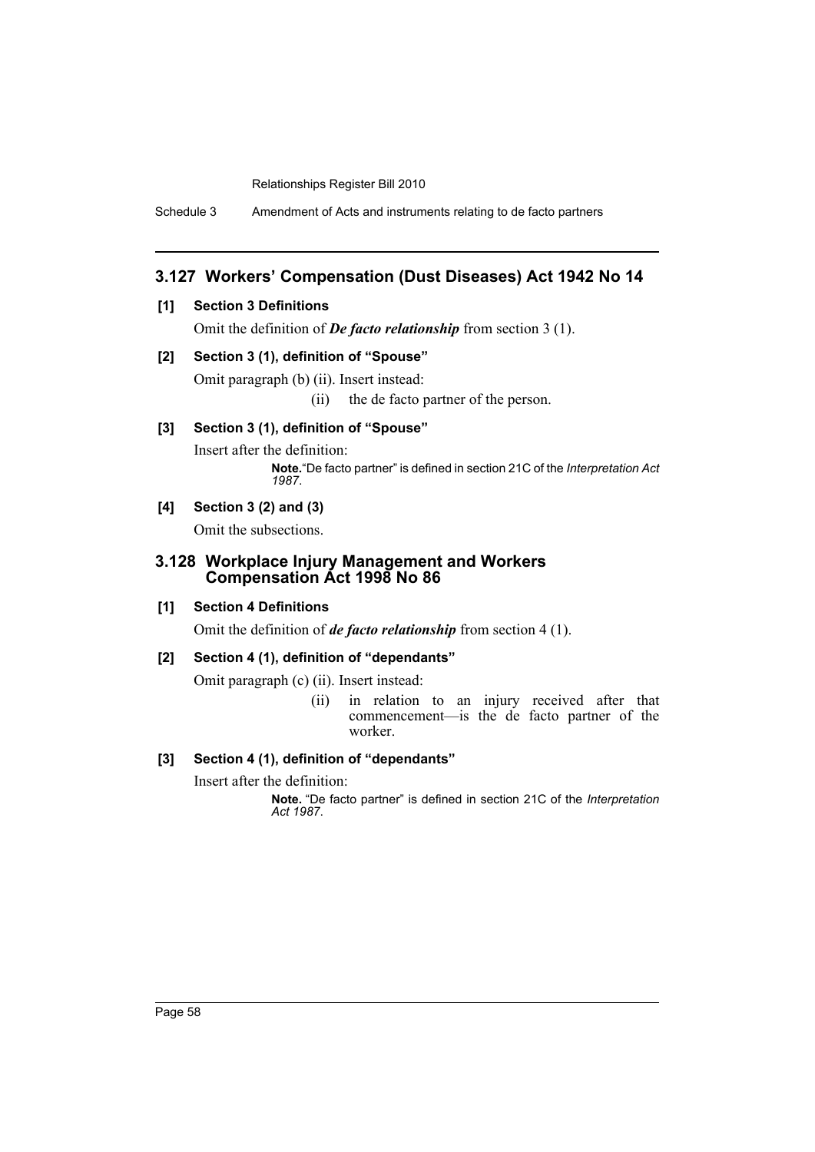Schedule 3 Amendment of Acts and instruments relating to de facto partners

## **3.127 Workers' Compensation (Dust Diseases) Act 1942 No 14**

## **[1] Section 3 Definitions**

Omit the definition of *De facto relationship* from section 3 (1).

#### **[2] Section 3 (1), definition of "Spouse"**

Omit paragraph (b) (ii). Insert instead:

(ii) the de facto partner of the person.

## **[3] Section 3 (1), definition of "Spouse"**

Insert after the definition: **Note.**"De facto partner" is defined in section 21C of the *Interpretation Act 1987*.

## **[4] Section 3 (2) and (3)**

Omit the subsections.

## **3.128 Workplace Injury Management and Workers Compensation Act 1998 No 86**

## **[1] Section 4 Definitions**

Omit the definition of *de facto relationship* from section 4 (1).

## **[2] Section 4 (1), definition of "dependants"**

Omit paragraph (c) (ii). Insert instead:

(ii) in relation to an injury received after that commencement—is the de facto partner of the worker.

## **[3] Section 4 (1), definition of "dependants"**

Insert after the definition: